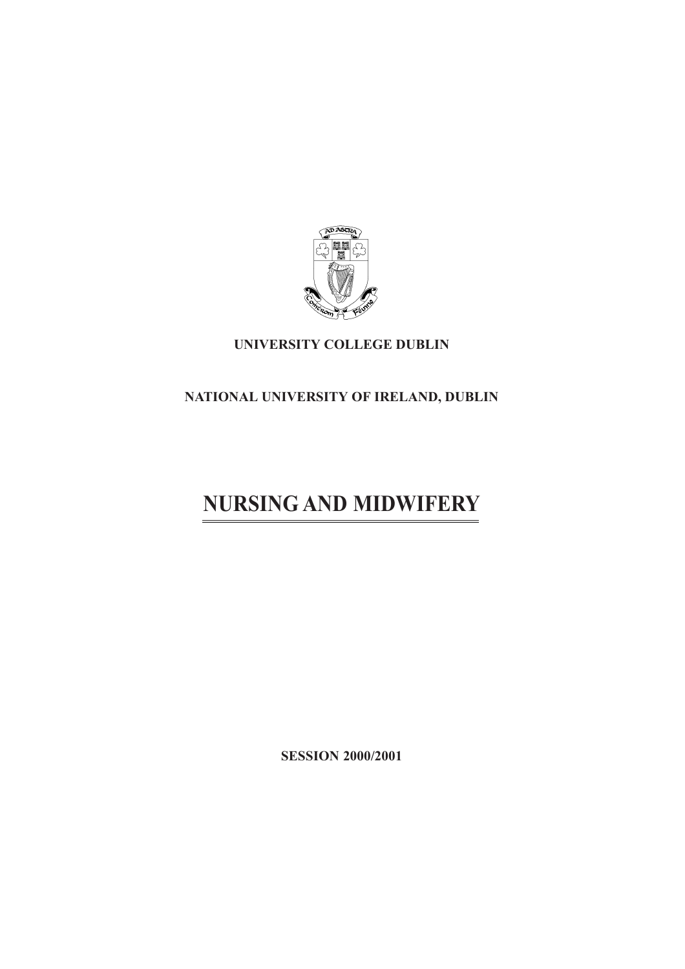

# **UNIVERSITY COLLEGE DUBLIN**

# **NATIONAL UNIVERSITY OF IRELAND, DUBLIN**

# **NURSING AND MIDWIFERY**

**SESSION 2000/2001**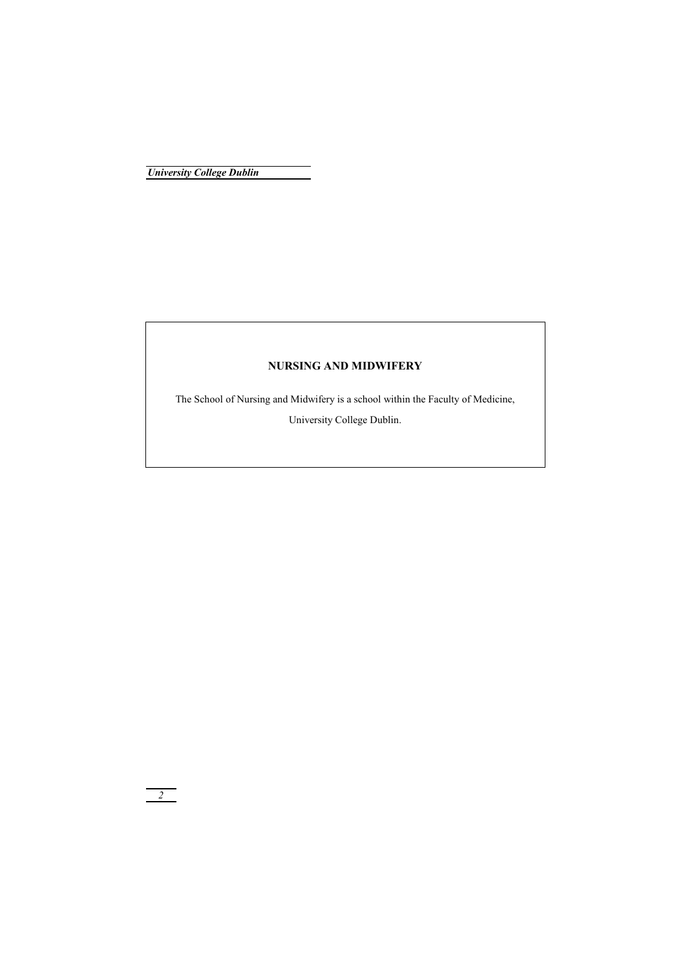# **NURSING AND MIDWIFERY**

The School of Nursing and Midwifery is a school within the Faculty of Medicine,

University College Dublin.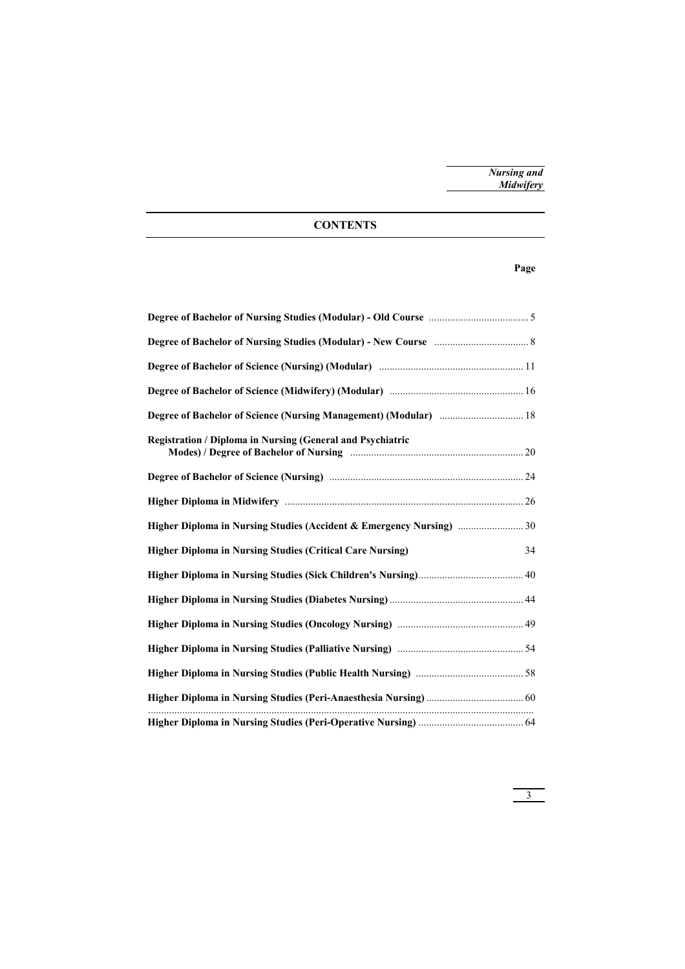# **CONTENTS**

# **Page**

| Degree of Bachelor of Science (Nursing Management) (Modular)  18     |    |
|----------------------------------------------------------------------|----|
| <b>Registration / Diploma in Nursing (General and Psychiatric</b>    |    |
|                                                                      |    |
|                                                                      |    |
| Higher Diploma in Nursing Studies (Accident & Emergency Nursing)  30 |    |
| <b>Higher Diploma in Nursing Studies (Critical Care Nursing)</b>     | 34 |
|                                                                      |    |
|                                                                      |    |
|                                                                      |    |
|                                                                      |    |
|                                                                      |    |
|                                                                      |    |
|                                                                      |    |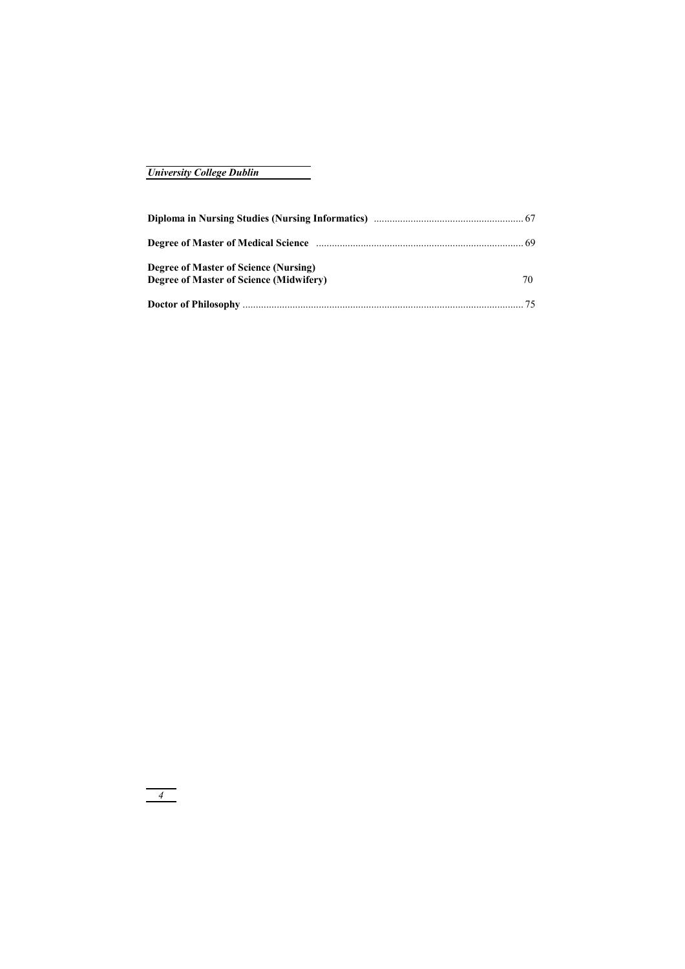| Degree of Master of Science (Nursing)   |    |
|-----------------------------------------|----|
| Degree of Master of Science (Midwifery) | 70 |
|                                         |    |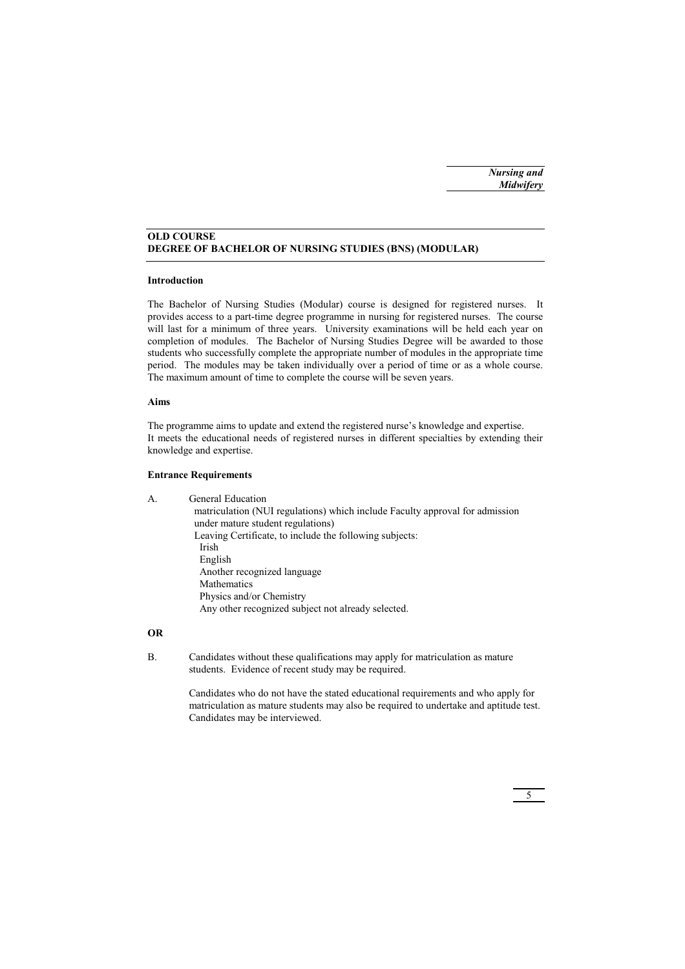# **OLD COURSE DEGREE OF BACHELOR OF NURSING STUDIES (BNS) (MODULAR)**

# **Introduction**

The Bachelor of Nursing Studies (Modular) course is designed for registered nurses. It provides access to a part-time degree programme in nursing for registered nurses. The course will last for a minimum of three years. University examinations will be held each year on completion of modules. The Bachelor of Nursing Studies Degree will be awarded to those students who successfully complete the appropriate number of modules in the appropriate time period. The modules may be taken individually over a period of time or as a whole course. The maximum amount of time to complete the course will be seven years.

# **Aims**

The programme aims to update and extend the registered nurse's knowledge and expertise. It meets the educational needs of registered nurses in different specialties by extending their knowledge and expertise.

# **Entrance Requirements**

A. General Education matriculation (NUI regulations) which include Faculty approval for admission under mature student regulations) Leaving Certificate, to include the following subjects: Irish English Another recognized language Mathematics Physics and/or Chemistry Any other recognized subject not already selected.

# **OR**

B. Candidates without these qualifications may apply for matriculation as mature students. Evidence of recent study may be required.

> Candidates who do not have the stated educational requirements and who apply for matriculation as mature students may also be required to undertake and aptitude test. Candidates may be interviewed.

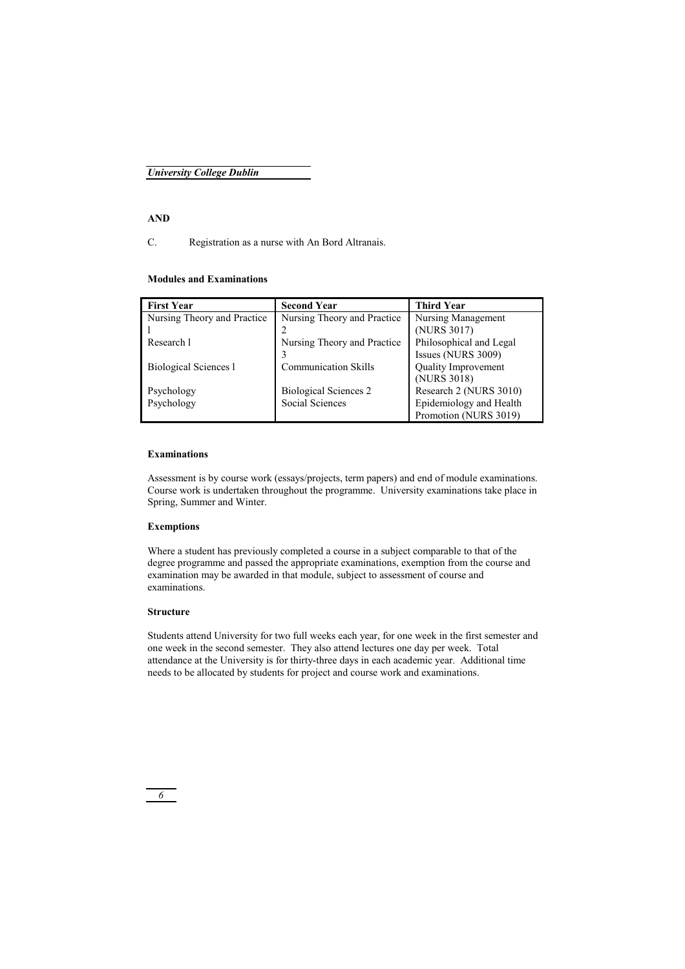# **AND**

C. Registration as a nurse with An Bord Altranais.

# **Modules and Examinations**

| <b>First Year</b>            | <b>Second Year</b>           | <b>Third Year</b>          |
|------------------------------|------------------------------|----------------------------|
| Nursing Theory and Practice  | Nursing Theory and Practice  | Nursing Management         |
|                              |                              | (NURS 3017)                |
| Research 1                   | Nursing Theory and Practice  | Philosophical and Legal    |
|                              | 3                            | Issues (NURS 3009)         |
| <b>Biological Sciences 1</b> | <b>Communication Skills</b>  | <b>Quality Improvement</b> |
|                              |                              | (NURS 3018)                |
| Psychology                   | <b>Biological Sciences 2</b> | Research 2 (NURS 3010)     |
| Psychology                   | Social Sciences              | Epidemiology and Health    |
|                              |                              | Promotion (NURS 3019)      |

# **Examinations**

Assessment is by course work (essays/projects, term papers) and end of module examinations. Course work is undertaken throughout the programme. University examinations take place in Spring, Summer and Winter.

# **Exemptions**

Where a student has previously completed a course in a subject comparable to that of the degree programme and passed the appropriate examinations, exemption from the course and examination may be awarded in that module, subject to assessment of course and examinations.

# **Structure**

Students attend University for two full weeks each year, for one week in the first semester and one week in the second semester. They also attend lectures one day per week. Total attendance at the University is for thirty-three days in each academic year. Additional time needs to be allocated by students for project and course work and examinations.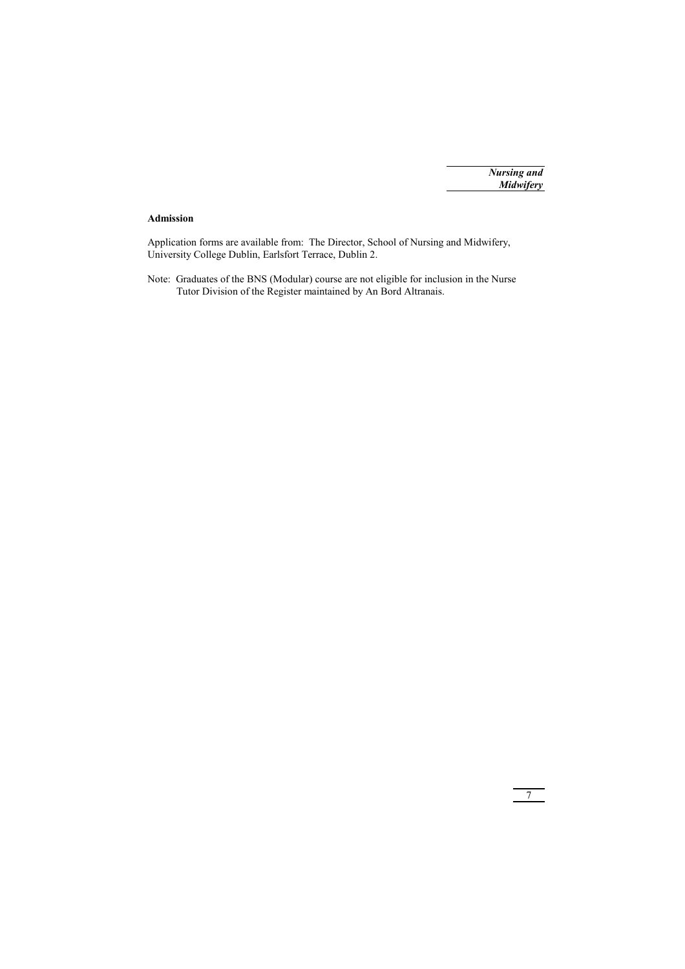7

# **Admission**

Application forms are available from: The Director, School of Nursing and Midwifery, University College Dublin, Earlsfort Terrace, Dublin 2.

Note: Graduates of the BNS (Modular) course are not eligible for inclusion in the Nurse Tutor Division of the Register maintained by An Bord Altranais.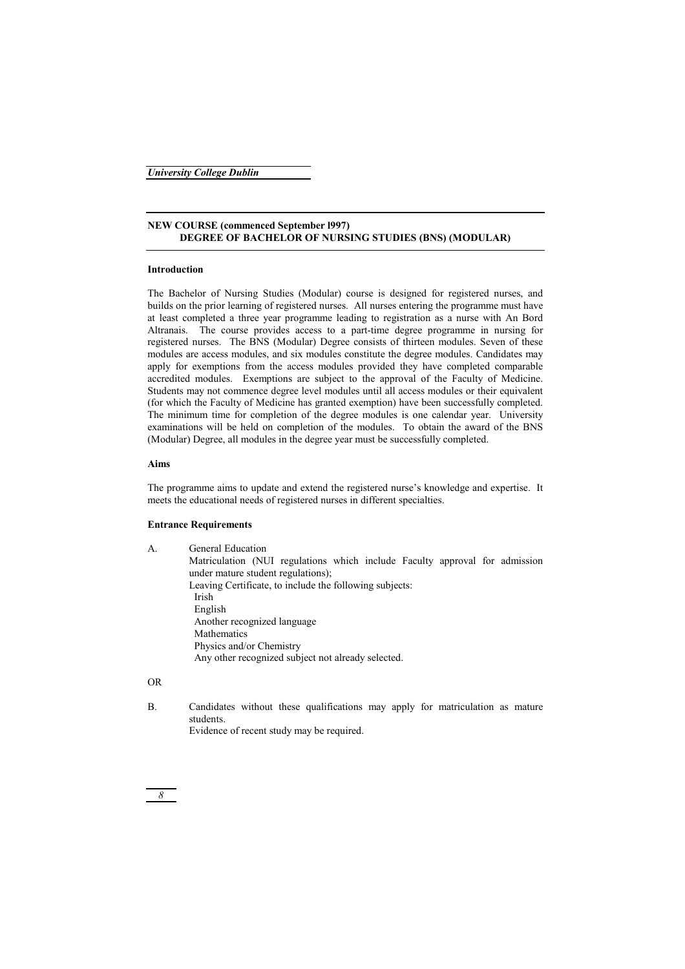# **NEW COURSE (commenced September l997) DEGREE OF BACHELOR OF NURSING STUDIES (BNS) (MODULAR)**

# **Introduction**

The Bachelor of Nursing Studies (Modular) course is designed for registered nurses, and builds on the prior learning of registered nurses. All nurses entering the programme must have at least completed a three year programme leading to registration as a nurse with An Bord Altranais. The course provides access to a part-time degree programme in nursing for registered nurses. The BNS (Modular) Degree consists of thirteen modules. Seven of these modules are access modules, and six modules constitute the degree modules. Candidates may apply for exemptions from the access modules provided they have completed comparable accredited modules. Exemptions are subject to the approval of the Faculty of Medicine. Students may not commence degree level modules until all access modules or their equivalent (for which the Faculty of Medicine has granted exemption) have been successfully completed. The minimum time for completion of the degree modules is one calendar year. University examinations will be held on completion of the modules. To obtain the award of the BNS (Modular) Degree, all modules in the degree year must be successfully completed.

# **Aims**

The programme aims to update and extend the registered nurse's knowledge and expertise. It meets the educational needs of registered nurses in different specialties.

# **Entrance Requirements**

| А. | General Education<br>Matriculation (NUI regulations which include Faculty approval for admission<br>under mature student regulations);<br>Leaving Certificate, to include the following subjects: |
|----|---------------------------------------------------------------------------------------------------------------------------------------------------------------------------------------------------|
|    | Irish                                                                                                                                                                                             |
|    |                                                                                                                                                                                                   |
|    | English                                                                                                                                                                                           |
|    | Another recognized language                                                                                                                                                                       |
|    | Mathematics                                                                                                                                                                                       |
|    | Physics and/or Chemistry                                                                                                                                                                          |
|    | Any other recognized subject not already selected.                                                                                                                                                |

# OR

B. Candidates without these qualifications may apply for matriculation as mature students. Evidence of recent study may be required.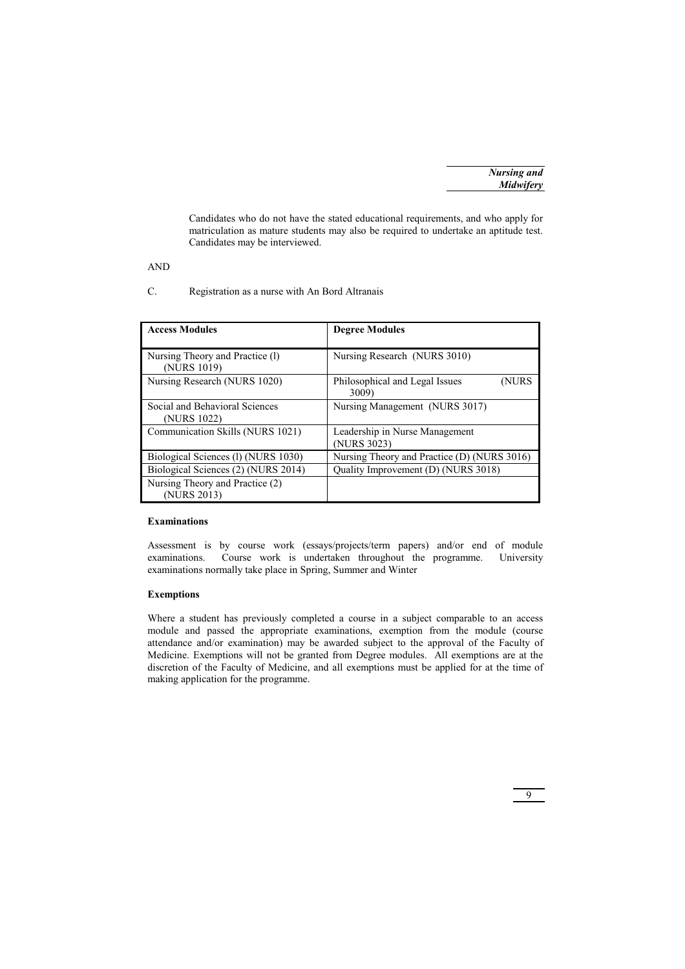Candidates who do not have the stated educational requirements, and who apply for matriculation as mature students may also be required to undertake an aptitude test. Candidates may be interviewed.

AND

C. Registration as a nurse with An Bord Altranais

| <b>Access Modules</b>                          | <b>Degree Modules</b>                            |
|------------------------------------------------|--------------------------------------------------|
| Nursing Theory and Practice (1)<br>(NURS 1019) | Nursing Research (NURS 3010)                     |
| Nursing Research (NURS 1020)                   | Philosophical and Legal Issues<br>(NURS<br>3009) |
| Social and Behavioral Sciences<br>(NURS 1022)  | Nursing Management (NURS 3017)                   |
| Communication Skills (NURS 1021)               | Leadership in Nurse Management<br>(NURS 3023)    |
| Biological Sciences (1) (NURS 1030)            | Nursing Theory and Practice (D) (NURS 3016)      |
| Biological Sciences (2) (NURS 2014)            | Quality Improvement (D) (NURS 3018)              |
| Nursing Theory and Practice (2)<br>(NURS 2013) |                                                  |

# **Examinations**

Assessment is by course work (essays/projects/term papers) and/or end of module examinations. Course work is undertaken throughout the programme. University examinations normally take place in Spring, Summer and Winter

# **Exemptions**

Where a student has previously completed a course in a subject comparable to an access module and passed the appropriate examinations, exemption from the module (course attendance and/or examination) may be awarded subject to the approval of the Faculty of Medicine. Exemptions will not be granted from Degree modules. All exemptions are at the discretion of the Faculty of Medicine, and all exemptions must be applied for at the time of making application for the programme.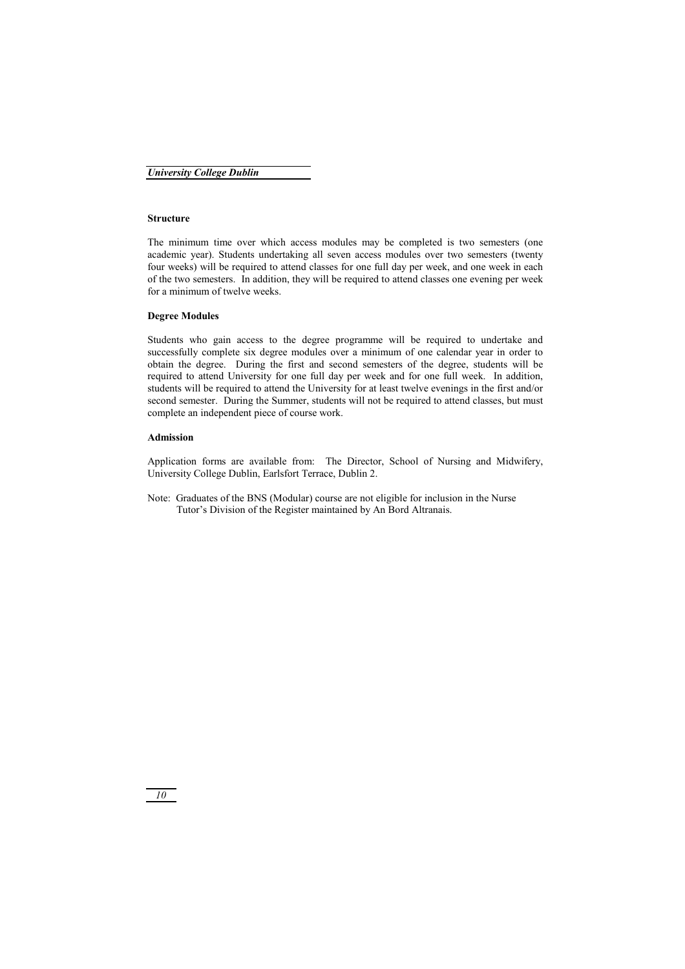# **Structure**

The minimum time over which access modules may be completed is two semesters (one academic year). Students undertaking all seven access modules over two semesters (twenty four weeks) will be required to attend classes for one full day per week, and one week in each of the two semesters. In addition, they will be required to attend classes one evening per week for a minimum of twelve weeks.

# **Degree Modules**

Students who gain access to the degree programme will be required to undertake and successfully complete six degree modules over a minimum of one calendar year in order to obtain the degree. During the first and second semesters of the degree, students will be required to attend University for one full day per week and for one full week. In addition, students will be required to attend the University for at least twelve evenings in the first and/or second semester. During the Summer, students will not be required to attend classes, but must complete an independent piece of course work.

# **Admission**

Application forms are available from: The Director, School of Nursing and Midwifery, University College Dublin, Earlsfort Terrace, Dublin 2.

Note: Graduates of the BNS (Modular) course are not eligible for inclusion in the Nurse Tutor's Division of the Register maintained by An Bord Altranais.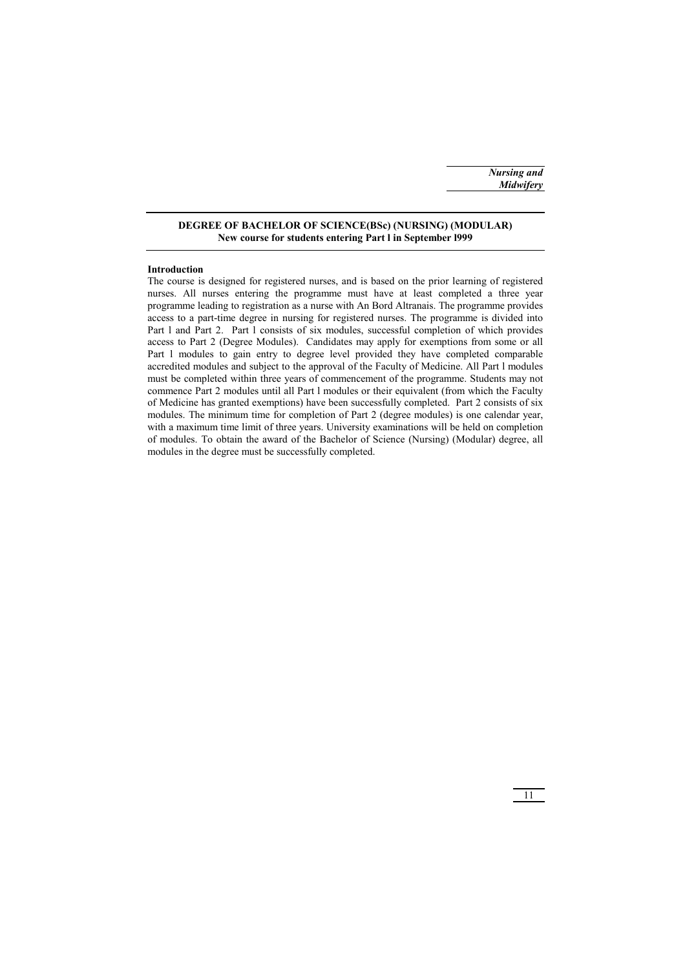# **DEGREE OF BACHELOR OF SCIENCE(BSc) (NURSING) (MODULAR) New course for students entering Part l in September l999**

# **Introduction**

The course is designed for registered nurses, and is based on the prior learning of registered nurses. All nurses entering the programme must have at least completed a three year programme leading to registration as a nurse with An Bord Altranais. The programme provides access to a part-time degree in nursing for registered nurses. The programme is divided into Part l and Part 2. Part l consists of six modules, successful completion of which provides access to Part 2 (Degree Modules). Candidates may apply for exemptions from some or all Part l modules to gain entry to degree level provided they have completed comparable accredited modules and subject to the approval of the Faculty of Medicine. All Part l modules must be completed within three years of commencement of the programme. Students may not commence Part 2 modules until all Part l modules or their equivalent (from which the Faculty of Medicine has granted exemptions) have been successfully completed. Part 2 consists of six modules. The minimum time for completion of Part 2 (degree modules) is one calendar year, with a maximum time limit of three years. University examinations will be held on completion of modules. To obtain the award of the Bachelor of Science (Nursing) (Modular) degree, all modules in the degree must be successfully completed.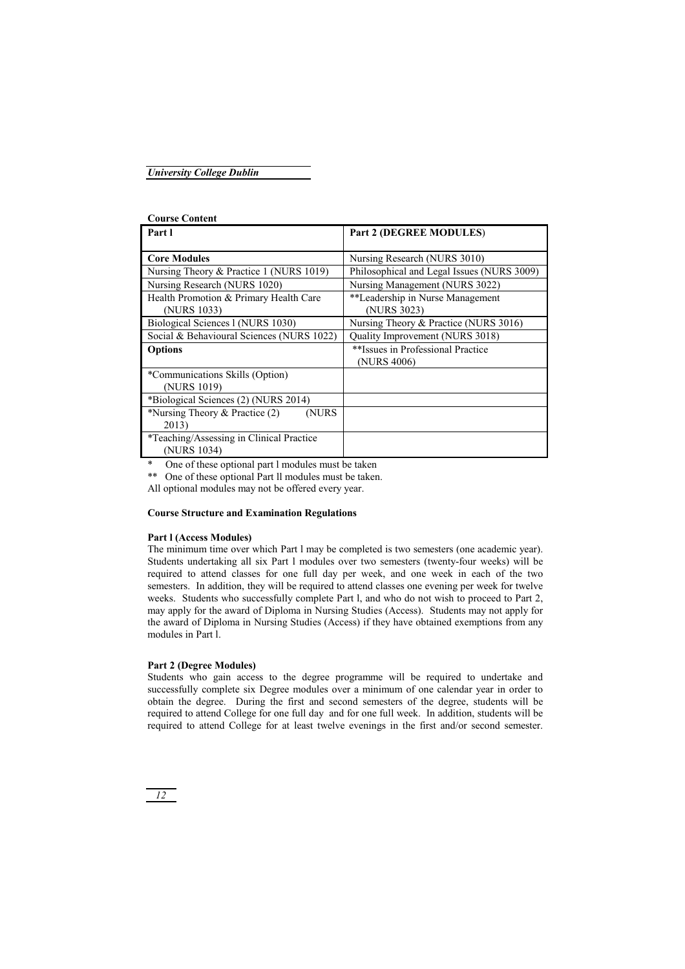| <b>Course Content</b>                     |                                            |
|-------------------------------------------|--------------------------------------------|
| Part l                                    | Part 2 (DEGREE MODULES)                    |
|                                           |                                            |
| <b>Core Modules</b>                       | Nursing Research (NURS 3010)               |
| Nursing Theory & Practice 1 (NURS 1019)   | Philosophical and Legal Issues (NURS 3009) |
| Nursing Research (NURS 1020)              | Nursing Management (NURS 3022)             |
| Health Promotion & Primary Health Care    | **Leadership in Nurse Management           |
| (NURS 1033)                               | (NURS 3023)                                |
| Biological Sciences 1 (NURS 1030)         | Nursing Theory & Practice (NURS 3016)      |
| Social & Behavioural Sciences (NURS 1022) | Quality Improvement (NURS 3018)            |
| <b>Options</b>                            | **Issues in Professional Practice          |
|                                           | (NURS 4006)                                |
| *Communications Skills (Option)           |                                            |
| (NURS 1019)                               |                                            |
| *Biological Sciences (2) (NURS 2014)      |                                            |
| *Nursing Theory $&$ Practice (2)<br>(NURS |                                            |
| 2013)                                     |                                            |
| *Teaching/Assessing in Clinical Practice  |                                            |
| (NURS 1034)                               |                                            |

One of these optional part l modules must be taken

\*\* One of these optional Part II modules must be taken.

All optional modules may not be offered every year.

# **Course Structure and Examination Regulations**

### **Part l (Access Modules)**

The minimum time over which Part l may be completed is two semesters (one academic year). Students undertaking all six Part l modules over two semesters (twenty-four weeks) will be required to attend classes for one full day per week, and one week in each of the two semesters. In addition, they will be required to attend classes one evening per week for twelve weeks. Students who successfully complete Part 1, and who do not wish to proceed to Part 2, may apply for the award of Diploma in Nursing Studies (Access). Students may not apply for the award of Diploma in Nursing Studies (Access) if they have obtained exemptions from any modules in Part l.

# **Part 2 (Degree Modules)**

Students who gain access to the degree programme will be required to undertake and successfully complete six Degree modules over a minimum of one calendar year in order to obtain the degree. During the first and second semesters of the degree, students will be required to attend College for one full day and for one full week. In addition, students will be required to attend College for at least twelve evenings in the first and/or second semester.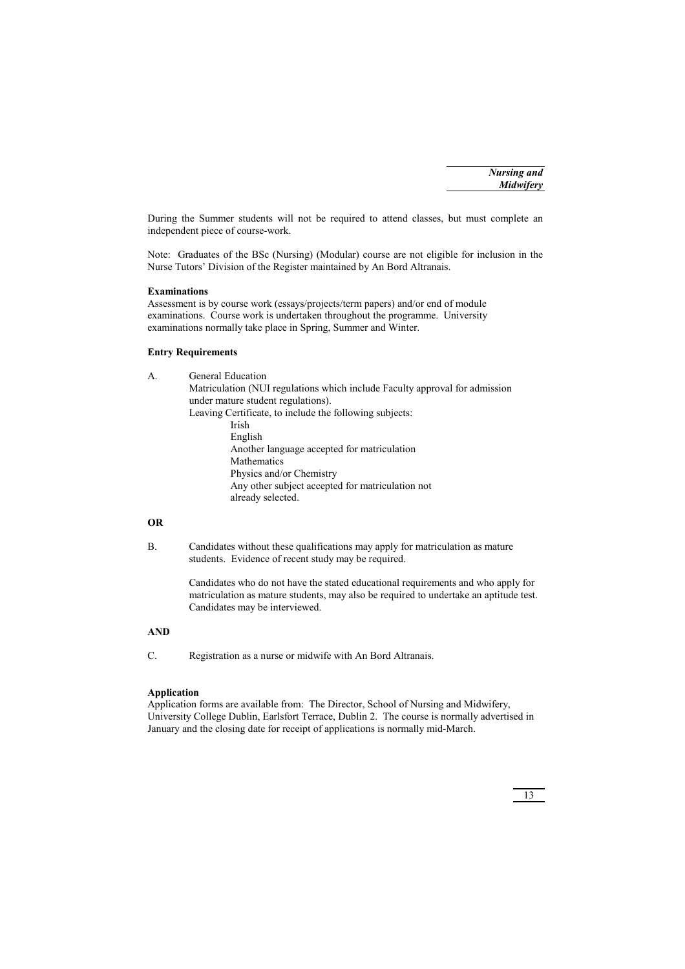During the Summer students will not be required to attend classes, but must complete an independent piece of course-work.

Note: Graduates of the BSc (Nursing) (Modular) course are not eligible for inclusion in the Nurse Tutors' Division of the Register maintained by An Bord Altranais.

# **Examinations**

Assessment is by course work (essays/projects/term papers) and/or end of module examinations. Course work is undertaken throughout the programme. University examinations normally take place in Spring, Summer and Winter.

# **Entry Requirements**

| General Education                                                           |
|-----------------------------------------------------------------------------|
| Matriculation (NUI regulations which include Faculty approval for admission |
| under mature student regulations).                                          |
| Leaving Certificate, to include the following subjects:                     |
| Irish                                                                       |
| English                                                                     |
| Another language accepted for matriculation                                 |
| Mathematics                                                                 |
| Physics and/or Chemistry                                                    |
| Any other subject accepted for matriculation not                            |
| already selected.                                                           |
|                                                                             |
|                                                                             |

# **OR**

B. Candidates without these qualifications may apply for matriculation as mature students. Evidence of recent study may be required.

> Candidates who do not have the stated educational requirements and who apply for matriculation as mature students, may also be required to undertake an aptitude test. Candidates may be interviewed.

# **AND**

C. Registration as a nurse or midwife with An Bord Altranais.

# **Application**

Application forms are available from: The Director, School of Nursing and Midwifery, University College Dublin, Earlsfort Terrace, Dublin 2. The course is normally advertised in January and the closing date for receipt of applications is normally mid-March.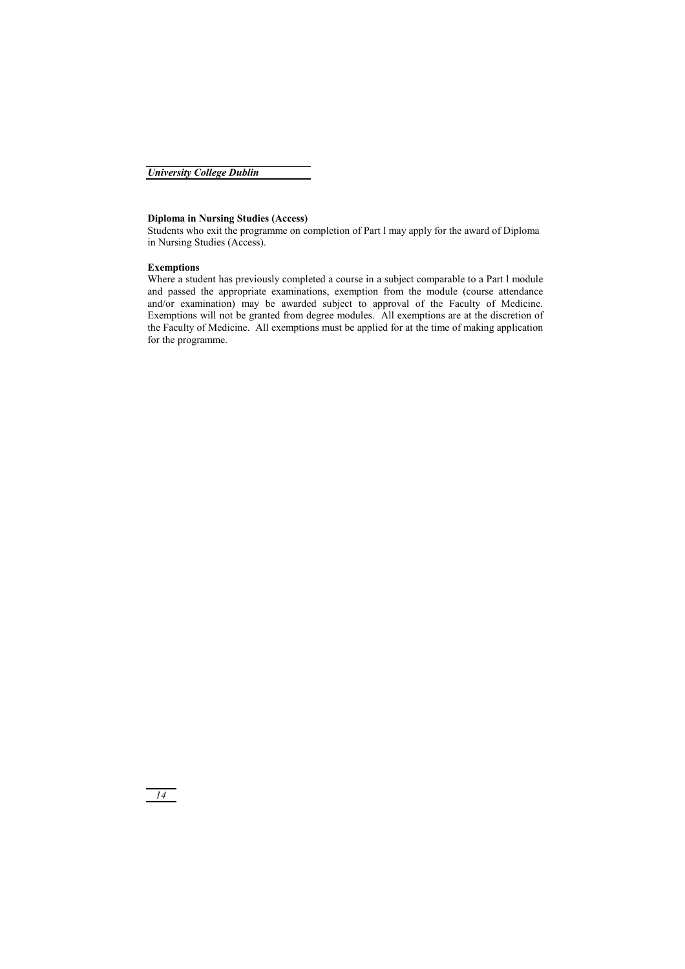# **Diploma in Nursing Studies (Access)**

Students who exit the programme on completion of Part l may apply for the award of Diploma in Nursing Studies (Access).

# **Exemptions**

Where a student has previously completed a course in a subject comparable to a Part l module and passed the appropriate examinations, exemption from the module (course attendance and/or examination) may be awarded subject to approval of the Faculty of Medicine. Exemptions will not be granted from degree modules. All exemptions are at the discretion of the Faculty of Medicine. All exemptions must be applied for at the time of making application for the programme.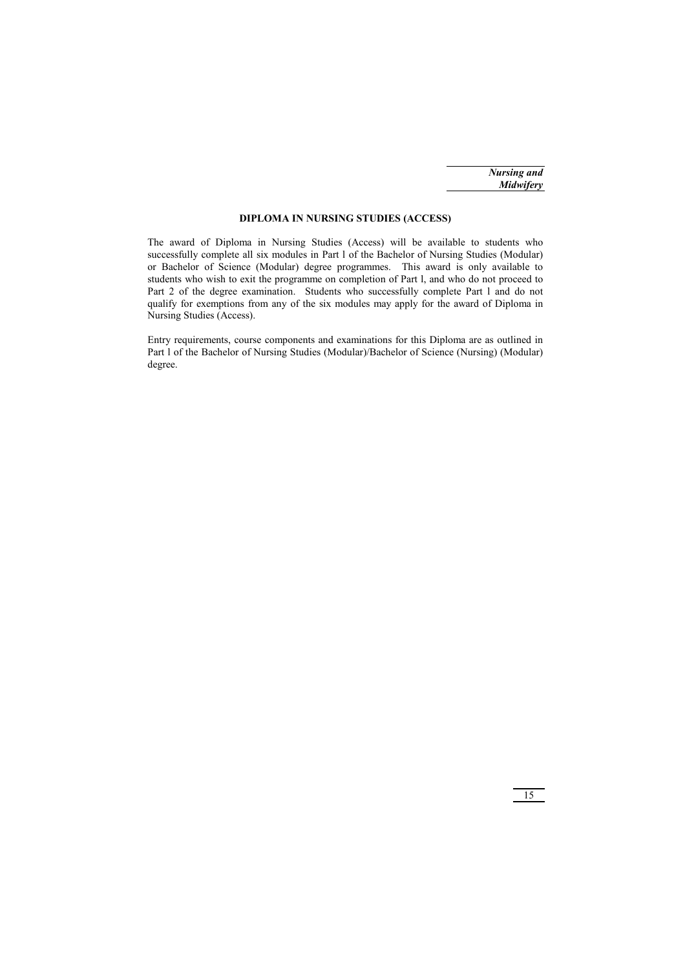# **DIPLOMA IN NURSING STUDIES (ACCESS)**

The award of Diploma in Nursing Studies (Access) will be available to students who successfully complete all six modules in Part l of the Bachelor of Nursing Studies (Modular) or Bachelor of Science (Modular) degree programmes. This award is only available to students who wish to exit the programme on completion of Part l, and who do not proceed to Part 2 of the degree examination. Students who successfully complete Part l and do not qualify for exemptions from any of the six modules may apply for the award of Diploma in Nursing Studies (Access).

Entry requirements, course components and examinations for this Diploma are as outlined in Part l of the Bachelor of Nursing Studies (Modular)/Bachelor of Science (Nursing) (Modular) degree.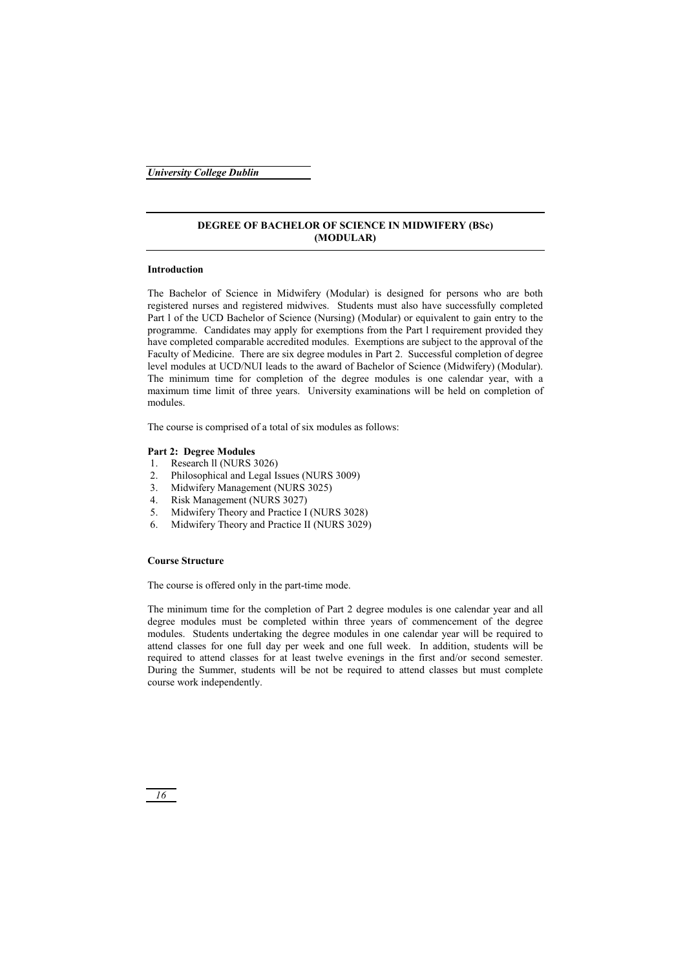# **DEGREE OF BACHELOR OF SCIENCE IN MIDWIFERY (BSc) (MODULAR)**

# **Introduction**

The Bachelor of Science in Midwifery (Modular) is designed for persons who are both registered nurses and registered midwives. Students must also have successfully completed Part l of the UCD Bachelor of Science (Nursing) (Modular) or equivalent to gain entry to the programme. Candidates may apply for exemptions from the Part l requirement provided they have completed comparable accredited modules. Exemptions are subject to the approval of the Faculty of Medicine. There are six degree modules in Part 2. Successful completion of degree level modules at UCD/NUI leads to the award of Bachelor of Science (Midwifery) (Modular). The minimum time for completion of the degree modules is one calendar year, with a maximum time limit of three years. University examinations will be held on completion of modules.

The course is comprised of a total of six modules as follows:

# **Part 2: Degree Modules**

- 1. Research ll (NURS 3026)
- 2. Philosophical and Legal Issues (NURS 3009)
- 3. Midwifery Management (NURS 3025)
- 4. Risk Management (NURS 3027)
- 5. Midwifery Theory and Practice I (NURS 3028)
- 6. Midwifery Theory and Practice II (NURS 3029)

# **Course Structure**

The course is offered only in the part-time mode.

The minimum time for the completion of Part 2 degree modules is one calendar year and all degree modules must be completed within three years of commencement of the degree modules. Students undertaking the degree modules in one calendar year will be required to attend classes for one full day per week and one full week. In addition, students will be required to attend classes for at least twelve evenings in the first and/or second semester. During the Summer, students will be not be required to attend classes but must complete course work independently.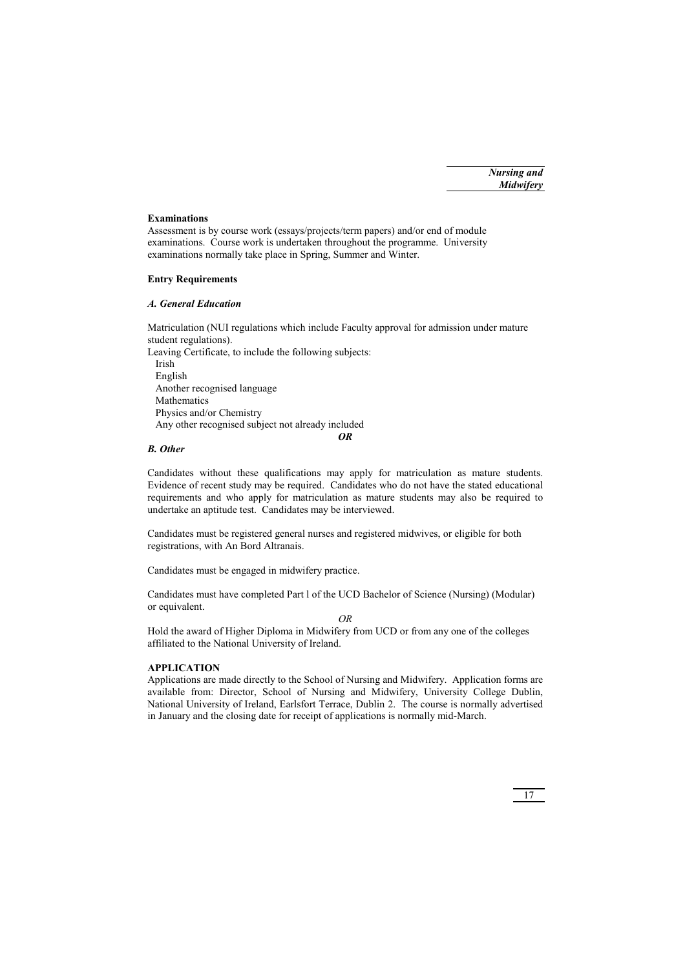# **Examinations**

Assessment is by course work (essays/projects/term papers) and/or end of module examinations. Course work is undertaken throughout the programme. University examinations normally take place in Spring, Summer and Winter.

# **Entry Requirements**

# *A. General Education*

Matriculation (NUI regulations which include Faculty approval for admission under mature student regulations).

Leaving Certificate, to include the following subjects: Irish English Another recognised language Mathematics Physics and/or Chemistry Any other recognised subject not already included *OR* 

# *B. Other*

Candidates without these qualifications may apply for matriculation as mature students. Evidence of recent study may be required. Candidates who do not have the stated educational requirements and who apply for matriculation as mature students may also be required to undertake an aptitude test. Candidates may be interviewed.

Candidates must be registered general nurses and registered midwives, or eligible for both registrations, with An Bord Altranais.

Candidates must be engaged in midwifery practice.

Candidates must have completed Part l of the UCD Bachelor of Science (Nursing) (Modular) or equivalent.

*OR* 

Hold the award of Higher Diploma in Midwifery from UCD or from any one of the colleges affiliated to the National University of Ireland.

### **APPLICATION**

Applications are made directly to the School of Nursing and Midwifery. Application forms are available from: Director, School of Nursing and Midwifery, University College Dublin, National University of Ireland, Earlsfort Terrace, Dublin 2. The course is normally advertised in January and the closing date for receipt of applications is normally mid-March.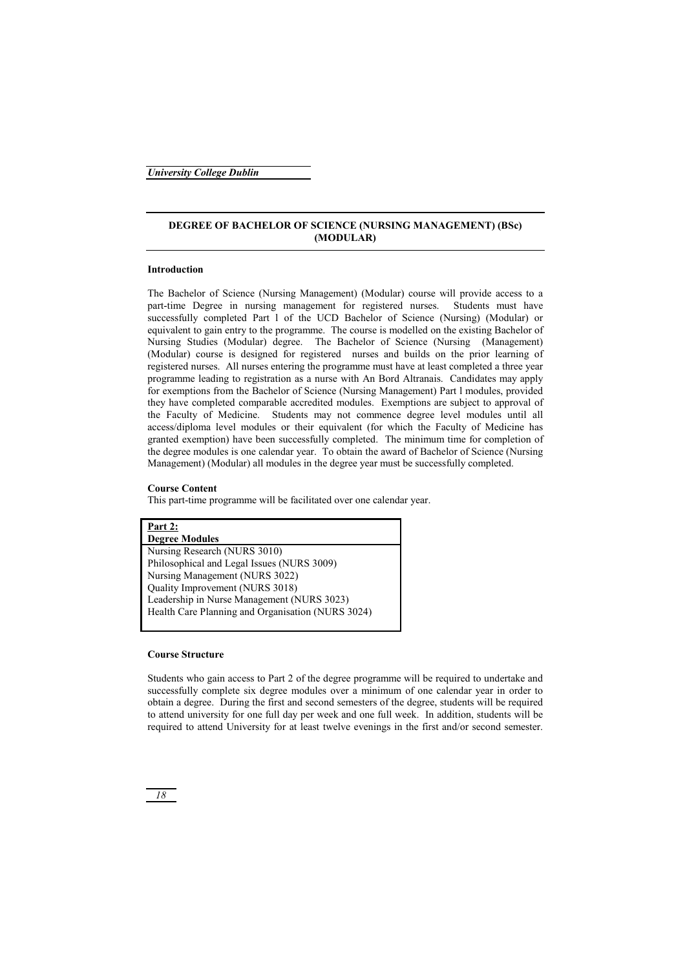# **DEGREE OF BACHELOR OF SCIENCE (NURSING MANAGEMENT) (BSc) (MODULAR)**

# **Introduction**

The Bachelor of Science (Nursing Management) (Modular) course will provide access to a part-time Degree in nursing management for registered nurses. Students must have successfully completed Part l of the UCD Bachelor of Science (Nursing) (Modular) or equivalent to gain entry to the programme. The course is modelled on the existing Bachelor of Nursing Studies (Modular) degree. The Bachelor of Science (Nursing (Management) (Modular) course is designed for registered nurses and builds on the prior learning of registered nurses. All nurses entering the programme must have at least completed a three year programme leading to registration as a nurse with An Bord Altranais. Candidates may apply for exemptions from the Bachelor of Science (Nursing Management) Part l modules, provided they have completed comparable accredited modules. Exemptions are subject to approval of the Faculty of Medicine. Students may not commence degree level modules until all access/diploma level modules or their equivalent (for which the Faculty of Medicine has granted exemption) have been successfully completed. The minimum time for completion of the degree modules is one calendar year. To obtain the award of Bachelor of Science (Nursing Management) (Modular) all modules in the degree year must be successfully completed.

# **Course Content**

This part-time programme will be facilitated over one calendar year.

**Part 2: Degree Modules**  Nursing Research (NURS 3010) Philosophical and Legal Issues (NURS 3009) Nursing Management (NURS 3022) Quality Improvement (NURS 3018) Leadership in Nurse Management (NURS 3023) Health Care Planning and Organisation (NURS 3024)

# **Course Structure**

Students who gain access to Part 2 of the degree programme will be required to undertake and successfully complete six degree modules over a minimum of one calendar year in order to obtain a degree. During the first and second semesters of the degree, students will be required to attend university for one full day per week and one full week. In addition, students will be required to attend University for at least twelve evenings in the first and/or second semester.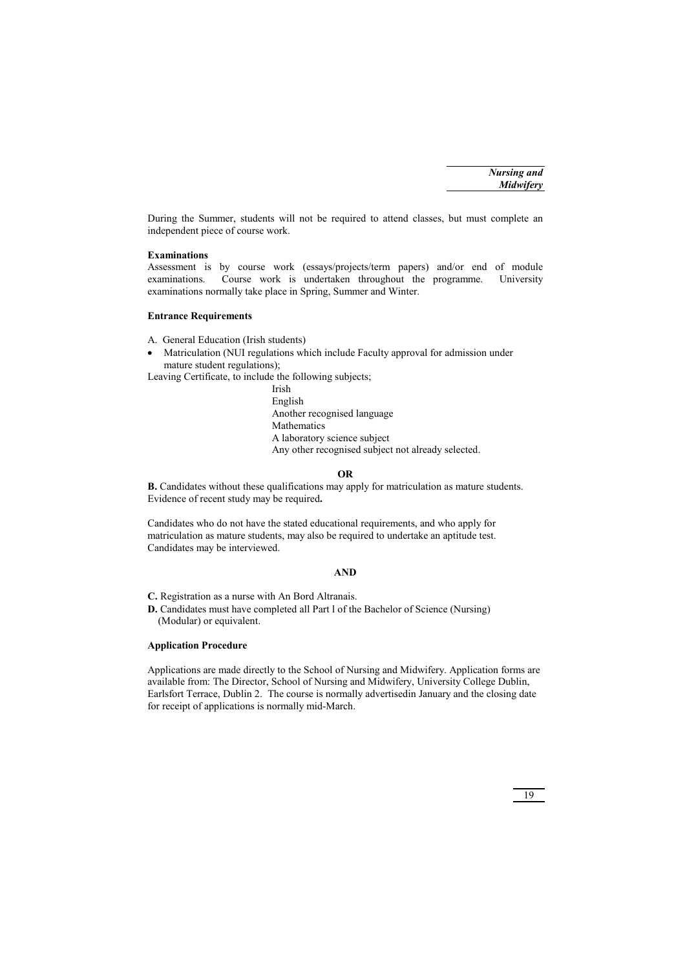During the Summer, students will not be required to attend classes, but must complete an independent piece of course work.

# **Examinations**

Assessment is by course work (essays/projects/term papers) and/or end of module examinations. Course work is undertaken throughout the programme. University examinations normally take place in Spring, Summer and Winter.

# **Entrance Requirements**

A. General Education (Irish students)

- Matriculation (NUI regulations which include Faculty approval for admission under mature student regulations);

Leaving Certificate, to include the following subjects;

 Irish English Another recognised language Mathematics A laboratory science subject Any other recognised subject not already selected.

# **OR**

**B.** Candidates without these qualifications may apply for matriculation as mature students. Evidence of recent study may be required**.** 

Candidates who do not have the stated educational requirements, and who apply for matriculation as mature students, may also be required to undertake an aptitude test. Candidates may be interviewed.

# **AND**

**C.** Registration as a nurse with An Bord Altranais.

**D.** Candidates must have completed all Part l of the Bachelor of Science (Nursing) (Modular) or equivalent.

# **Application Procedure**

Applications are made directly to the School of Nursing and Midwifery. Application forms are available from: The Director, School of Nursing and Midwifery, University College Dublin, Earlsfort Terrace, Dublin 2. The course is normally advertisedin January and the closing date for receipt of applications is normally mid-March.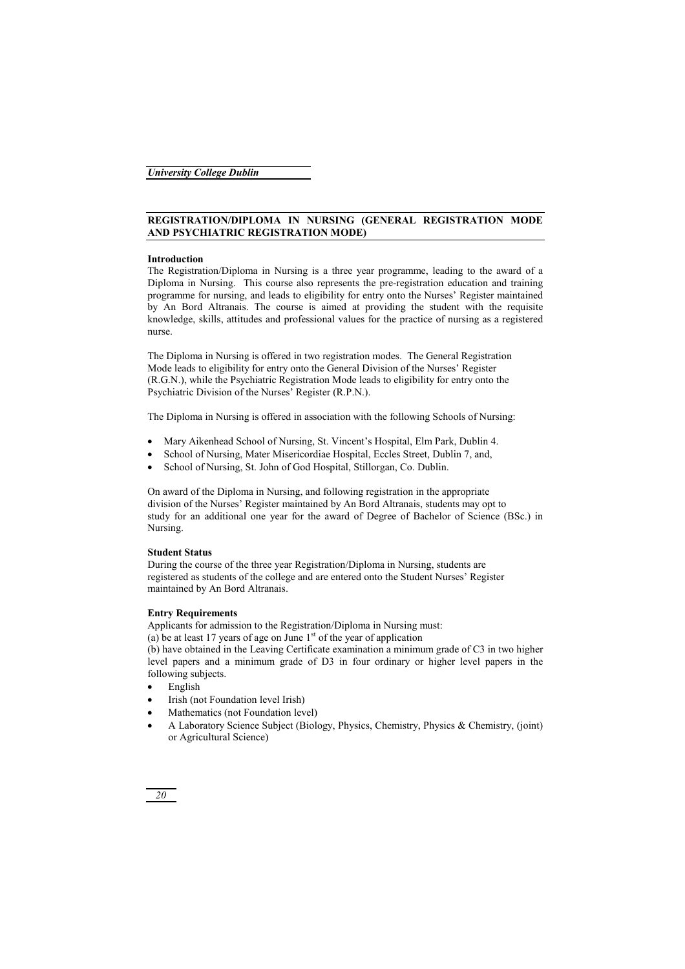# **REGISTRATION/DIPLOMA IN NURSING (GENERAL REGISTRATION MODE AND PSYCHIATRIC REGISTRATION MODE)**

# **Introduction**

The Registration/Diploma in Nursing is a three year programme, leading to the award of a Diploma in Nursing. This course also represents the pre-registration education and training programme for nursing, and leads to eligibility for entry onto the Nurses' Register maintained by An Bord Altranais. The course is aimed at providing the student with the requisite knowledge, skills, attitudes and professional values for the practice of nursing as a registered nurse.

The Diploma in Nursing is offered in two registration modes. The General Registration Mode leads to eligibility for entry onto the General Division of the Nurses' Register (R.G.N.), while the Psychiatric Registration Mode leads to eligibility for entry onto the Psychiatric Division of the Nurses' Register (R.P.N.).

The Diploma in Nursing is offered in association with the following Schools of Nursing:

- Mary Aikenhead School of Nursing, St. Vincent's Hospital, Elm Park, Dublin 4.
- School of Nursing, Mater Misericordiae Hospital, Eccles Street, Dublin 7, and,
- School of Nursing, St. John of God Hospital, Stillorgan, Co. Dublin.

On award of the Diploma in Nursing, and following registration in the appropriate division of the Nurses' Register maintained by An Bord Altranais, students may opt to study for an additional one year for the award of Degree of Bachelor of Science (BSc.) in Nursing.

# **Student Status**

During the course of the three year Registration/Diploma in Nursing, students are registered as students of the college and are entered onto the Student Nurses' Register maintained by An Bord Altranais.

# **Entry Requirements**

Applicants for admission to the Registration/Diploma in Nursing must: (a) be at least 17 years of age on June  $1<sup>st</sup>$  of the year of application (b) have obtained in the Leaving Certificate examination a minimum grade of C3 in two higher level papers and a minimum grade of D3 in four ordinary or higher level papers in the following subjects.

- -English
- -Irish (not Foundation level Irish)
- -Mathematics (not Foundation level)
- - A Laboratory Science Subject (Biology, Physics, Chemistry, Physics & Chemistry, (joint) or Agricultural Science)

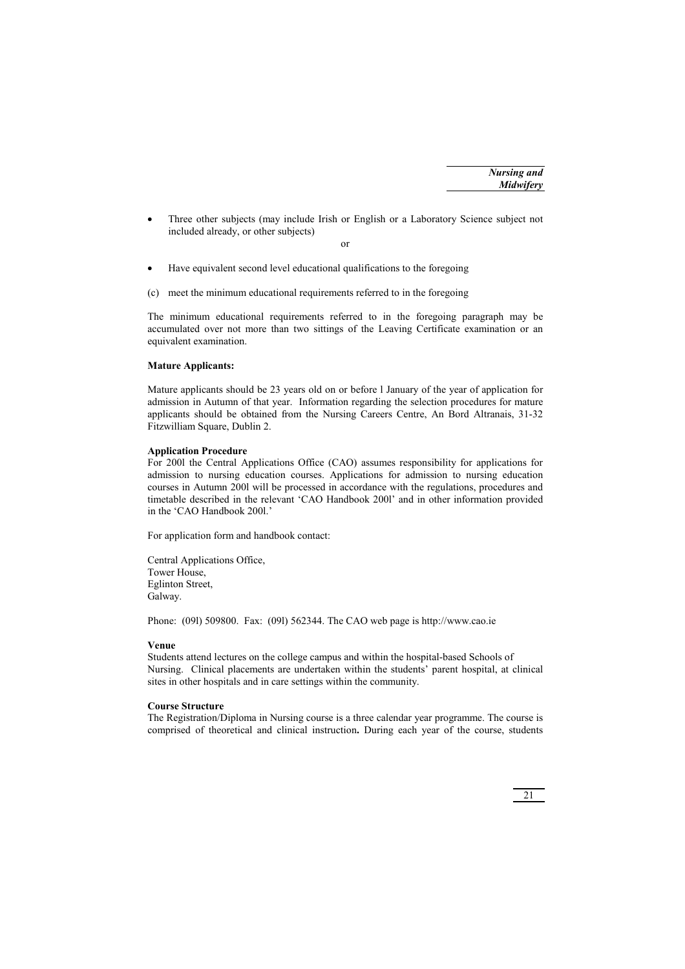- Three other subjects (may include Irish or English or a Laboratory Science subject not included already, or other subjects)

or

- -Have equivalent second level educational qualifications to the foregoing
- (c) meet the minimum educational requirements referred to in the foregoing

The minimum educational requirements referred to in the foregoing paragraph may be accumulated over not more than two sittings of the Leaving Certificate examination or an equivalent examination.

# **Mature Applicants:**

Mature applicants should be 23 years old on or before l January of the year of application for admission in Autumn of that year. Information regarding the selection procedures for mature applicants should be obtained from the Nursing Careers Centre, An Bord Altranais, 31-32 Fitzwilliam Square, Dublin 2.

# **Application Procedure**

For 200l the Central Applications Office (CAO) assumes responsibility for applications for admission to nursing education courses. Applications for admission to nursing education courses in Autumn 200l will be processed in accordance with the regulations, procedures and timetable described in the relevant 'CAO Handbook 200l' and in other information provided in the 'CAO Handbook 200l.'

For application form and handbook contact:

Central Applications Office, Tower House, Eglinton Street, Galway.

Phone: (09l) 509800. Fax: (09l) 562344. The CAO web page is http://www.cao.ie

### **Venue**

Students attend lectures on the college campus and within the hospital-based Schools of Nursing. Clinical placements are undertaken within the students' parent hospital, at clinical sites in other hospitals and in care settings within the community.

### **Course Structure**

The Registration/Diploma in Nursing course is a three calendar year programme. The course is comprised of theoretical and clinical instruction**.** During each year of the course, students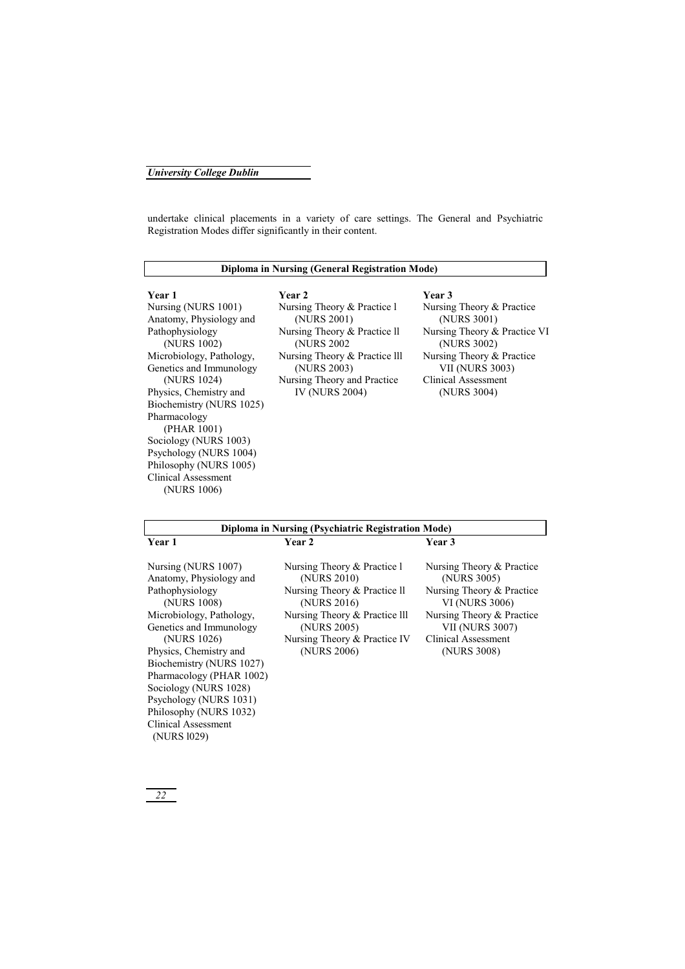undertake clinical placements in a variety of care settings. The General and Psychiatric Registration Modes differ significantly in their content.

# **Diploma in Nursing (General Registration Mode)**

Nursing (NURS 1001) Anatomy, Physiology and Pathophysiology (NURS 1002) Microbiology, Pathology, Genetics and Immunology (NURS 1024) Physics, Chemistry and Biochemistry (NURS 1025) Pharmacology (PHAR 1001) Sociology (NURS 1003) Psychology (NURS 1004) Philosophy (NURS 1005) Clinical Assessment (NURS 1006)

**Year 1 Year 2 Year 3**  Nursing Theory & Practice l (NURS 2001) Nursing Theory & Practice ll (NURS 2002 Nursing Theory & Practice lll (NURS 2003) Nursing Theory and Practice IV (NURS 2004)

Nursing Theory & Practice (NURS 3001) Nursing Theory & Practice VI (NURS 3002) Nursing Theory & Practice VII (NURS 3003) Clinical Assessment (NURS 3004)

| Diploma in Nursing (Psychiatric Registration Mode)                                                                                                                                                                                                                                                                                                                 |                                                                                                                                                                                          |                                                                                                                                                                                             |
|--------------------------------------------------------------------------------------------------------------------------------------------------------------------------------------------------------------------------------------------------------------------------------------------------------------------------------------------------------------------|------------------------------------------------------------------------------------------------------------------------------------------------------------------------------------------|---------------------------------------------------------------------------------------------------------------------------------------------------------------------------------------------|
| Year 1                                                                                                                                                                                                                                                                                                                                                             | Year 2                                                                                                                                                                                   | <b>Year 3</b>                                                                                                                                                                               |
| Nursing (NURS 1007)<br>Anatomy, Physiology and<br>Pathophysiology<br>(NURS 1008)<br>Microbiology, Pathology,<br>Genetics and Immunology<br>(NURS 1026)<br>Physics, Chemistry and<br>Biochemistry (NURS 1027)<br>Pharmacology (PHAR 1002)<br>Sociology (NURS 1028)<br>Psychology (NURS 1031)<br>Philosophy (NURS 1032)<br><b>Clinical Assessment</b><br>(NURS 1029) | Nursing Theory & Practice 1<br>(NURS 2010)<br>Nursing Theory & Practice II<br>(NURS 2016)<br>Nursing Theory & Practice III<br>(NURS 2005)<br>Nursing Theory & Practice IV<br>(NURS 2006) | Nursing Theory & Practice<br>(NURS 3005)<br>Nursing Theory & Practice<br><b>VI (NURS 3006)</b><br>Nursing Theory & Practice<br><b>VII (NURS 3007)</b><br>Clinical Assessment<br>(NURS 3008) |
|                                                                                                                                                                                                                                                                                                                                                                    |                                                                                                                                                                                          |                                                                                                                                                                                             |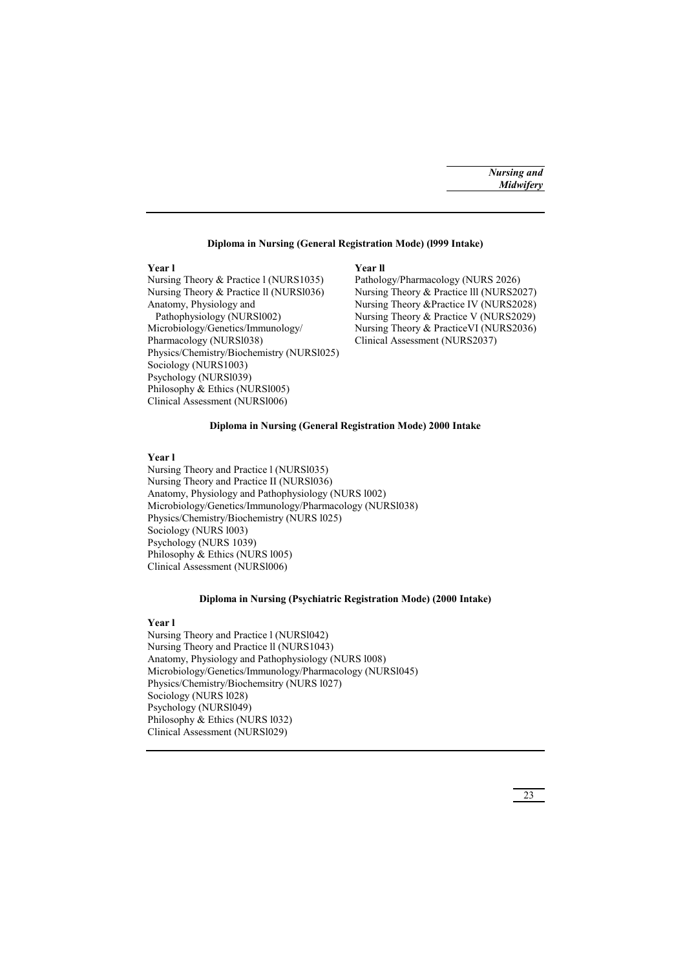# **Diploma in Nursing (General Registration Mode) (l999 Intake)**

# **Year l Year ll**

Nursing Theory & Practice ll (NURS1036) Nursing Theory & Practice lll (NURS2027) Anatomy, Physiology and Nursing Theory &Practice IV (NURS2028) Pathophysiology (NURSl002) Nursing Theory & Practice V (NURS2029) Microbiology/Genetics/Immunology/ Nursing Theory & PracticeVI (NURS2036) Pharmacology (NURS1038) Clinical Assessment (NURS2037) Physics/Chemistry/Biochemistry (NURSl025) Sociology (NURS1003) Psychology (NURSl039) Philosophy & Ethics (NURS1005) Clinical Assessment (NURSl006)

Nursing Theory & Practice l (NURS1035) Pathology/Pharmacology (NURS 2026)

# **Diploma in Nursing (General Registration Mode) 2000 Intake**

## **Year l**

Nursing Theory and Practice l (NURSl035) Nursing Theory and Practice II (NURSl036) Anatomy, Physiology and Pathophysiology (NURS l002) Microbiology/Genetics/Immunology/Pharmacology (NURSl038) Physics/Chemistry/Biochemistry (NURS l025) Sociology (NURS l003) Psychology (NURS 1039) Philosophy & Ethics (NURS l005) Clinical Assessment (NURSl006)

# **Diploma in Nursing (Psychiatric Registration Mode) (2000 Intake)**

### **Year l**

Nursing Theory and Practice l (NURSl042) Nursing Theory and Practice ll (NURS1043) Anatomy, Physiology and Pathophysiology (NURS l008) Microbiology/Genetics/Immunology/Pharmacology (NURSl045) Physics/Chemistry/Biochemsitry (NURS l027) Sociology (NURS l028) Psychology (NURSl049) Philosophy & Ethics (NURS 1032) Clinical Assessment (NURSl029)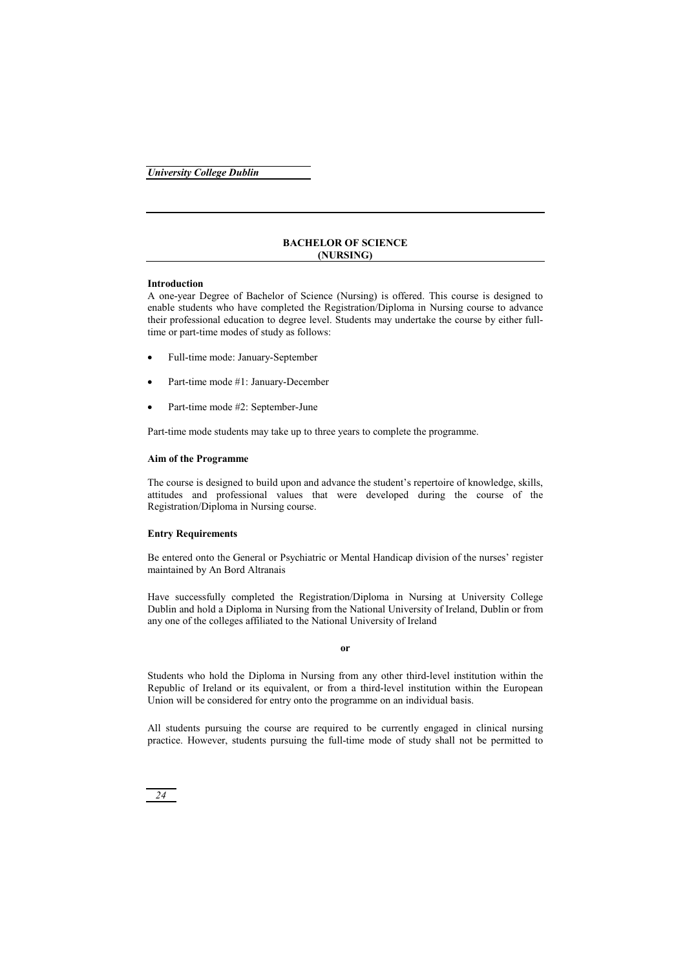# **BACHELOR OF SCIENCE (NURSING)**

# **Introduction**

A one-year Degree of Bachelor of Science (Nursing) is offered. This course is designed to enable students who have completed the Registration/Diploma in Nursing course to advance their professional education to degree level. Students may undertake the course by either fulltime or part-time modes of study as follows:

- -Full-time mode: January-September
- -Part-time mode #1: January-December
- -Part-time mode #2: September-June

Part-time mode students may take up to three years to complete the programme.

# **Aim of the Programme**

The course is designed to build upon and advance the student's repertoire of knowledge, skills, attitudes and professional values that were developed during the course of the Registration/Diploma in Nursing course.

# **Entry Requirements**

Be entered onto the General or Psychiatric or Mental Handicap division of the nurses' register maintained by An Bord Altranais

Have successfully completed the Registration/Diploma in Nursing at University College Dublin and hold a Diploma in Nursing from the National University of Ireland, Dublin or from any one of the colleges affiliated to the National University of Ireland

**or** 

Students who hold the Diploma in Nursing from any other third-level institution within the Republic of Ireland or its equivalent, or from a third-level institution within the European Union will be considered for entry onto the programme on an individual basis.

All students pursuing the course are required to be currently engaged in clinical nursing practice. However, students pursuing the full-time mode of study shall not be permitted to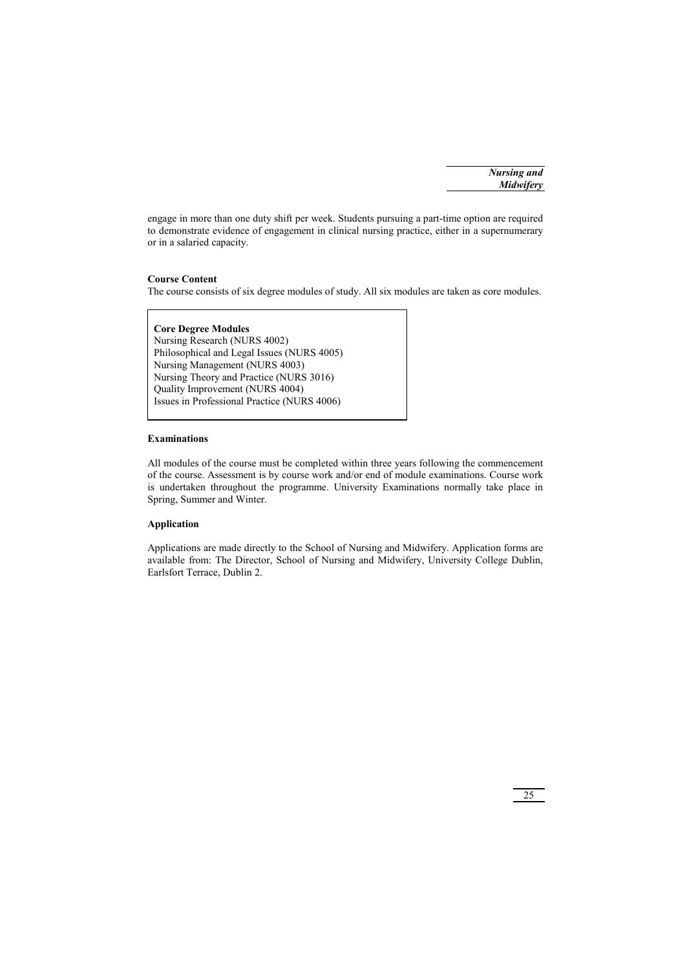engage in more than one duty shift per week. Students pursuing a part-time option are required to demonstrate evidence of engagement in clinical nursing practice, either in a supernumerary or in a salaried capacity.

# **Course Content**

The course consists of six degree modules of study. All six modules are taken as core modules.

**Core Degree Modules**  Nursing Research (NURS 4002) Philosophical and Legal Issues (NURS 4005) Nursing Management (NURS 4003) Nursing Theory and Practice (NURS 3016) Quality Improvement (NURS 4004) Issues in Professional Practice (NURS 4006)

# **Examinations**

All modules of the course must be completed within three years following the commencement of the course. Assessment is by course work and/or end of module examinations. Course work is undertaken throughout the programme. University Examinations normally take place in Spring, Summer and Winter.

# **Application**

Applications are made directly to the School of Nursing and Midwifery. Application forms are available from: The Director, School of Nursing and Midwifery, University College Dublin, Earlsfort Terrace, Dublin 2.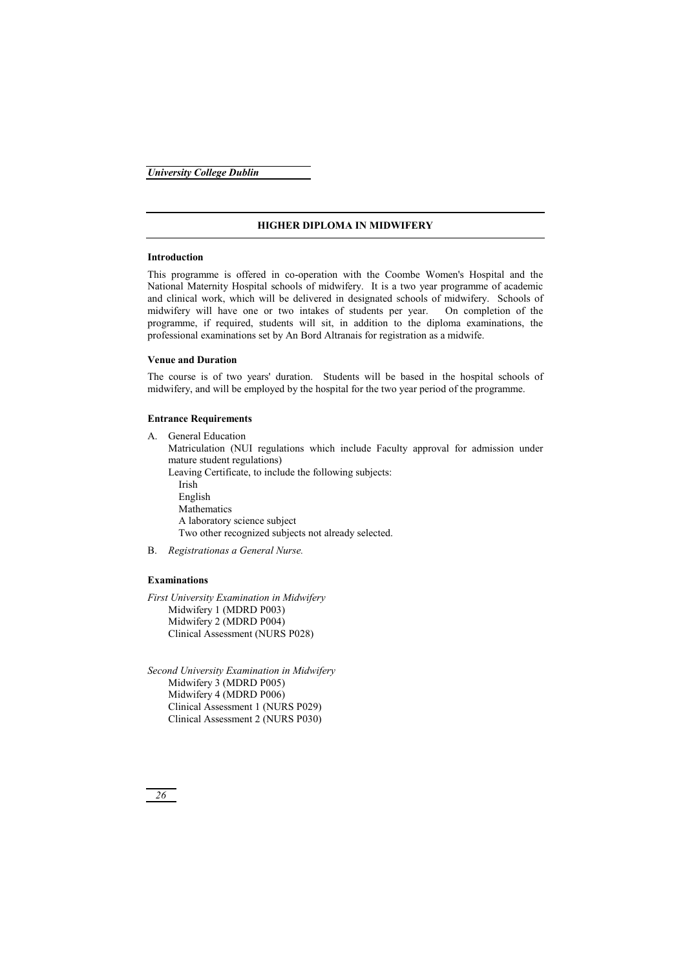# **HIGHER DIPLOMA IN MIDWIFERY**

# **Introduction**

This programme is offered in co-operation with the Coombe Women's Hospital and the National Maternity Hospital schools of midwifery. It is a two year programme of academic and clinical work, which will be delivered in designated schools of midwifery. Schools of midwifery will have one or two intakes of students per year. On completion of the programme, if required, students will sit, in addition to the diploma examinations, the professional examinations set by An Bord Altranais for registration as a midwife.

# **Venue and Duration**

The course is of two years' duration. Students will be based in the hospital schools of midwifery, and will be employed by the hospital for the two year period of the programme.

# **Entrance Requirements**

A. General Education Matriculation (NUI regulations which include Faculty approval for admission under mature student regulations) Leaving Certificate, to include the following subjects: Irish English Mathematics A laboratory science subject Two other recognized subjects not already selected. B. *Registrationas a General Nurse.* 

# **Examinations**

*First University Examination in Midwifery*  Midwifery 1 (MDRD P003) Midwifery 2 (MDRD P004) Clinical Assessment (NURS P028)

*Second University Examination in Midwifery*  Midwifery 3 (MDRD P005) Midwifery 4 (MDRD P006) Clinical Assessment 1 (NURS P029) Clinical Assessment 2 (NURS P030)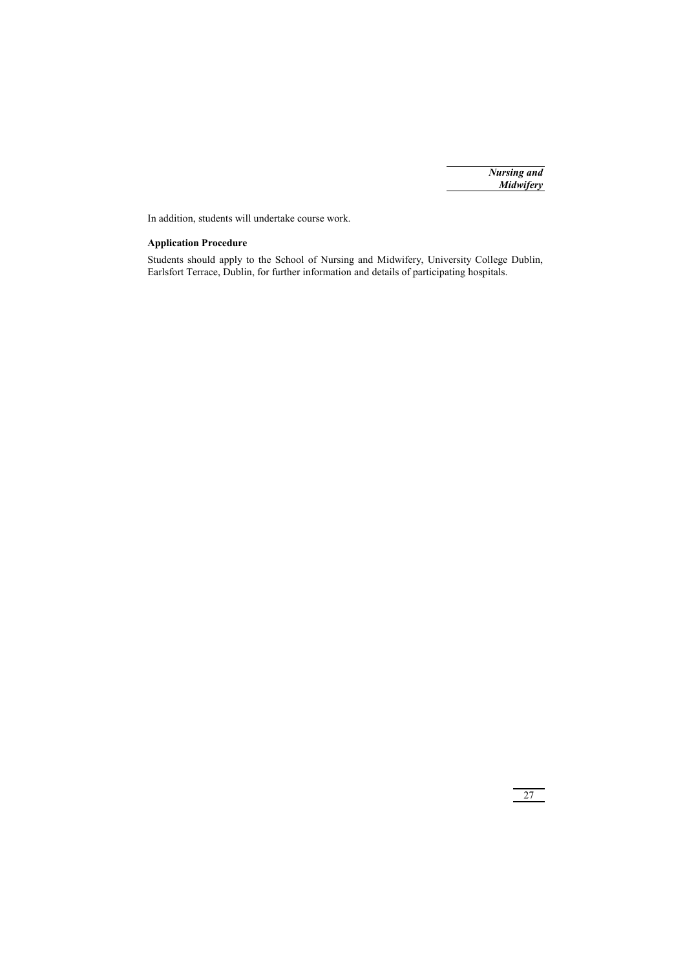In addition, students will undertake course work.

# **Application Procedure**

Students should apply to the School of Nursing and Midwifery, University College Dublin, Earlsfort Terrace, Dublin, for further information and details of participating hospitals.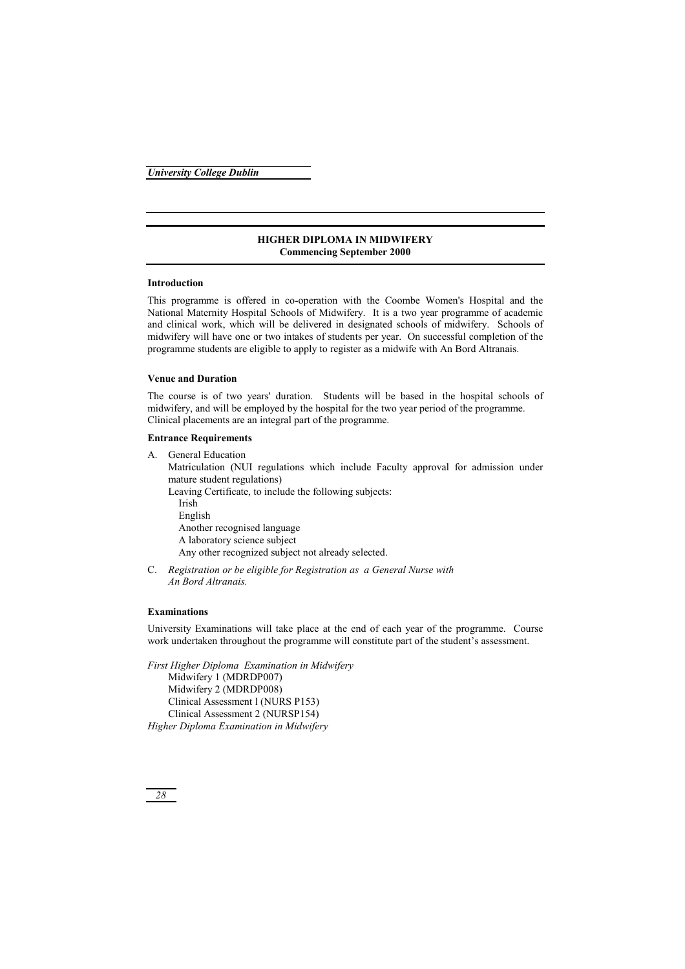# **HIGHER DIPLOMA IN MIDWIFERY Commencing September 2000**

# **Introduction**

This programme is offered in co-operation with the Coombe Women's Hospital and the National Maternity Hospital Schools of Midwifery. It is a two year programme of academic and clinical work, which will be delivered in designated schools of midwifery. Schools of midwifery will have one or two intakes of students per year. On successful completion of the programme students are eligible to apply to register as a midwife with An Bord Altranais.

# **Venue and Duration**

The course is of two years' duration. Students will be based in the hospital schools of midwifery, and will be employed by the hospital for the two year period of the programme. Clinical placements are an integral part of the programme.

### **Entrance Requirements**

A. General Education

 Matriculation (NUI regulations which include Faculty approval for admission under mature student regulations)

Leaving Certificate, to include the following subjects:

 Irish English Another recognised language A laboratory science subject Any other recognized subject not already selected.

C. *Registration or be eligible for Registration as a General Nurse with An Bord Altranais.* 

# **Examinations**

University Examinations will take place at the end of each year of the programme. Course work undertaken throughout the programme will constitute part of the student's assessment.

*First Higher Diploma Examination in Midwifery*  Midwifery 1 (MDRDP007) Midwifery 2 (MDRDP008) Clinical Assessment l (NURS P153) Clinical Assessment 2 (NURSP154) *Higher Diploma Examination in Midwifery*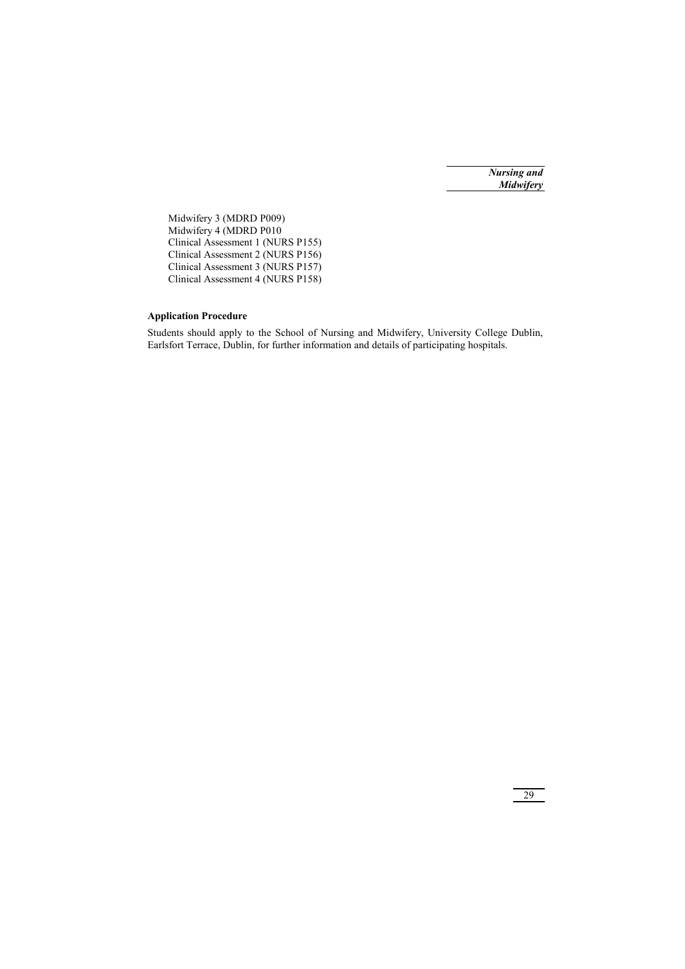Midwifery 3 (MDRD P009) Midwifery 4 (MDRD P010 Clinical Assessment 1 (NURS P155) Clinical Assessment 2 (NURS P156) Clinical Assessment 3 (NURS P157) Clinical Assessment 4 (NURS P158)

# **Application Procedure**

Students should apply to the School of Nursing and Midwifery, University College Dublin, Earlsfort Terrace, Dublin, for further information and details of participating hospitals.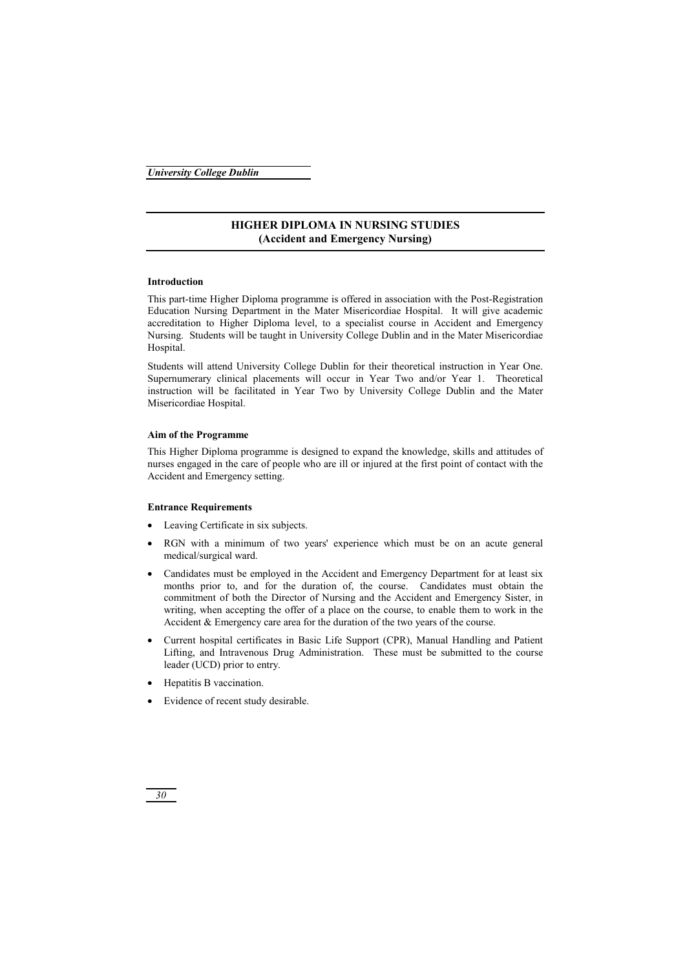# **HIGHER DIPLOMA IN NURSING STUDIES (Accident and Emergency Nursing)**

# **Introduction**

This part-time Higher Diploma programme is offered in association with the Post-Registration Education Nursing Department in the Mater Misericordiae Hospital. It will give academic accreditation to Higher Diploma level, to a specialist course in Accident and Emergency Nursing. Students will be taught in University College Dublin and in the Mater Misericordiae Hospital.

Students will attend University College Dublin for their theoretical instruction in Year One. Supernumerary clinical placements will occur in Year Two and/or Year 1. Theoretical instruction will be facilitated in Year Two by University College Dublin and the Mater Misericordiae Hospital.

# **Aim of the Programme**

This Higher Diploma programme is designed to expand the knowledge, skills and attitudes of nurses engaged in the care of people who are ill or injured at the first point of contact with the Accident and Emergency setting.

# **Entrance Requirements**

- Leaving Certificate in six subjects.
- - RGN with a minimum of two years' experience which must be on an acute general medical/surgical ward.
- - Candidates must be employed in the Accident and Emergency Department for at least six months prior to, and for the duration of, the course. Candidates must obtain the commitment of both the Director of Nursing and the Accident and Emergency Sister, in writing, when accepting the offer of a place on the course, to enable them to work in the Accident & Emergency care area for the duration of the two years of the course.
- $\bullet$  Current hospital certificates in Basic Life Support (CPR), Manual Handling and Patient Lifting, and Intravenous Drug Administration. These must be submitted to the course leader (UCD) prior to entry.
- -Hepatitis B vaccination.
- -Evidence of recent study desirable.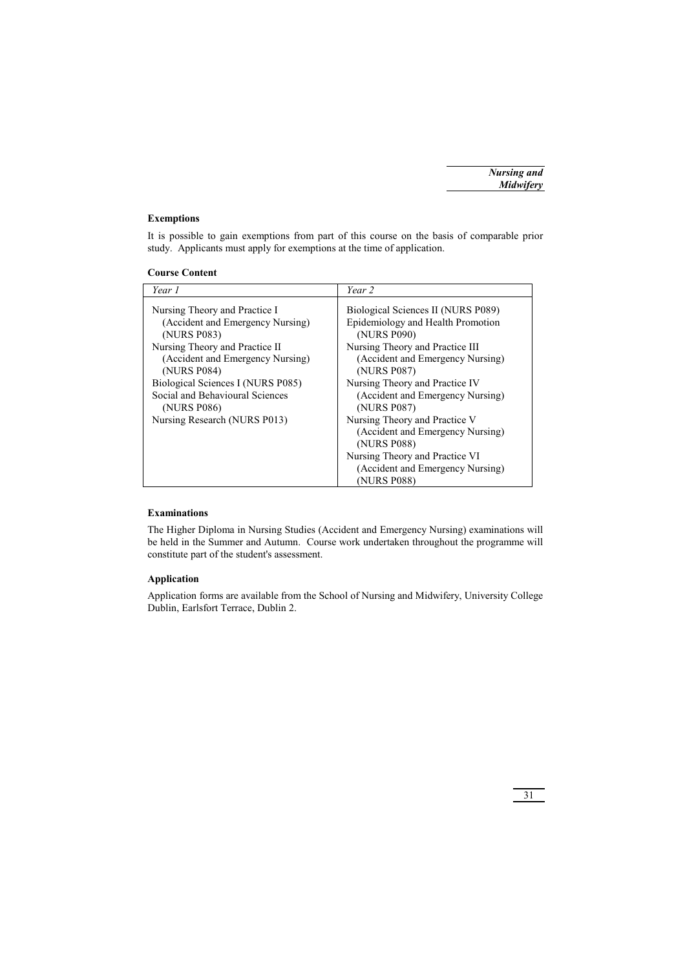# **Exemptions**

It is possible to gain exemptions from part of this course on the basis of comparable prior study. Applicants must apply for exemptions at the time of application.

| Year 1                                                                                                                                                                                                                                                                                       | Year 2                                                                                                                                                                                                                                                                                                                                                                                                                      |
|----------------------------------------------------------------------------------------------------------------------------------------------------------------------------------------------------------------------------------------------------------------------------------------------|-----------------------------------------------------------------------------------------------------------------------------------------------------------------------------------------------------------------------------------------------------------------------------------------------------------------------------------------------------------------------------------------------------------------------------|
| Nursing Theory and Practice I<br>(Accident and Emergency Nursing)<br>(NURS P083)<br>Nursing Theory and Practice II<br>(Accident and Emergency Nursing)<br>(NURS P084)<br>Biological Sciences I (NURS P085)<br>Social and Behavioural Sciences<br>(NURS P086)<br>Nursing Research (NURS P013) | Biological Sciences II (NURS P089)<br>Epidemiology and Health Promotion<br>(NURS P090)<br>Nursing Theory and Practice III<br>(Accident and Emergency Nursing)<br>(NURS P087)<br>Nursing Theory and Practice IV<br>(Accident and Emergency Nursing)<br>(NURS P087)<br>Nursing Theory and Practice V<br>(Accident and Emergency Nursing)<br>(NURS P088)<br>Nursing Theory and Practice VI<br>(Accident and Emergency Nursing) |
|                                                                                                                                                                                                                                                                                              | (NURS P088)                                                                                                                                                                                                                                                                                                                                                                                                                 |

# **Examinations**

The Higher Diploma in Nursing Studies (Accident and Emergency Nursing) examinations will be held in the Summer and Autumn. Course work undertaken throughout the programme will constitute part of the student's assessment.

# **Application**

Application forms are available from the School of Nursing and Midwifery, University College Dublin, Earlsfort Terrace, Dublin 2.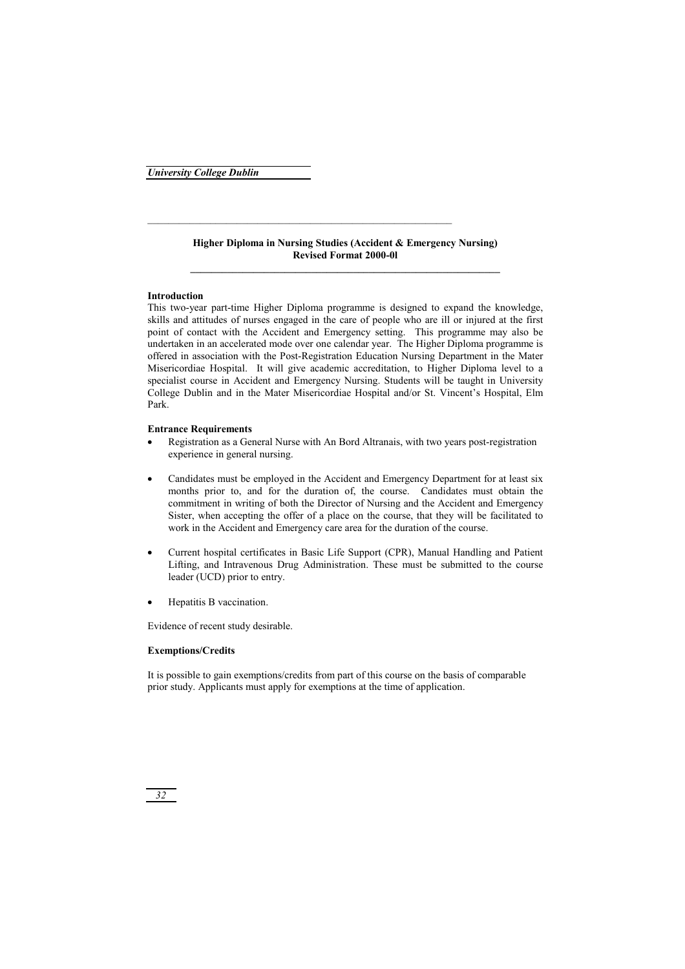# **Higher Diploma in Nursing Studies (Accident & Emergency Nursing) Revised Format 2000-0l**

# **Introduction**

This two-year part-time Higher Diploma programme is designed to expand the knowledge, skills and attitudes of nurses engaged in the care of people who are ill or injured at the first point of contact with the Accident and Emergency setting. This programme may also be undertaken in an accelerated mode over one calendar year. The Higher Diploma programme is offered in association with the Post-Registration Education Nursing Department in the Mater Misericordiae Hospital. It will give academic accreditation, to Higher Diploma level to a specialist course in Accident and Emergency Nursing. Students will be taught in University College Dublin and in the Mater Misericordiae Hospital and/or St. Vincent's Hospital, Elm Park.

# **Entrance Requirements**

- - Registration as a General Nurse with An Bord Altranais, with two years post-registration experience in general nursing.
- - Candidates must be employed in the Accident and Emergency Department for at least six months prior to, and for the duration of, the course. Candidates must obtain the commitment in writing of both the Director of Nursing and the Accident and Emergency Sister, when accepting the offer of a place on the course, that they will be facilitated to work in the Accident and Emergency care area for the duration of the course.
- - Current hospital certificates in Basic Life Support (CPR), Manual Handling and Patient Lifting, and Intravenous Drug Administration. These must be submitted to the course leader (UCD) prior to entry.
- $\bullet$ Hepatitis B vaccination.

Evidence of recent study desirable.

# **Exemptions/Credits**

It is possible to gain exemptions/credits from part of this course on the basis of comparable prior study. Applicants must apply for exemptions at the time of application.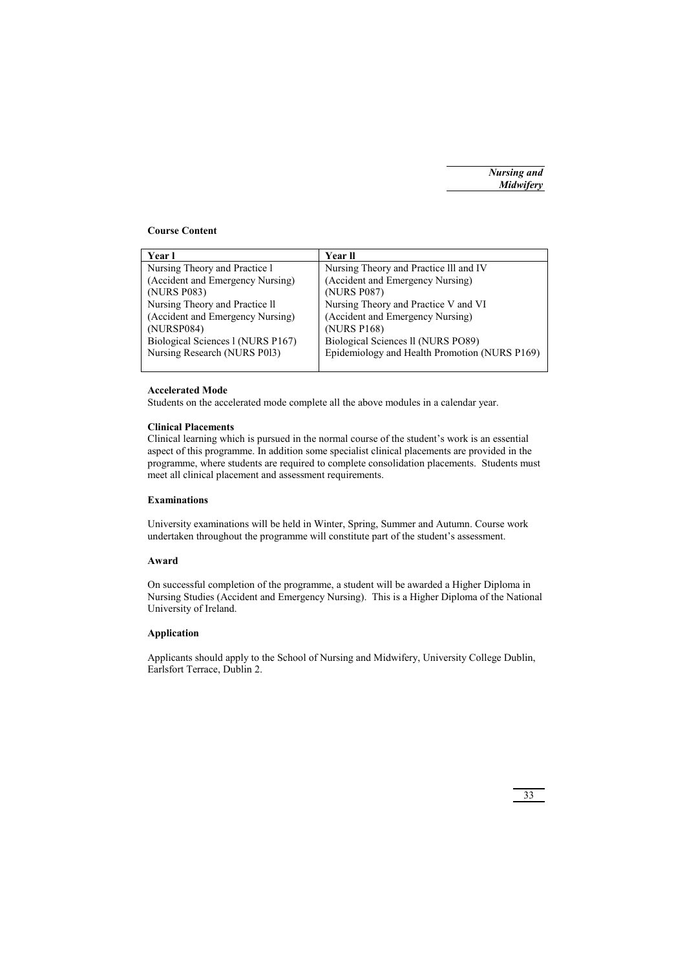# **Course Content**

| Year l                            | Year ll                                       |
|-----------------------------------|-----------------------------------------------|
| Nursing Theory and Practice 1     | Nursing Theory and Practice III and IV        |
| (Accident and Emergency Nursing)  | (Accident and Emergency Nursing)              |
| (NURS P083)                       | (NURS P087)                                   |
| Nursing Theory and Practice II    | Nursing Theory and Practice V and VI          |
| (Accident and Emergency Nursing)  | (Accident and Emergency Nursing)              |
| (NURSP084)                        | (NURS P168)                                   |
| Biological Sciences 1 (NURS P167) | Biological Sciences II (NURS PO89)            |
| Nursing Research (NURS P013)      | Epidemiology and Health Promotion (NURS P169) |
|                                   |                                               |

# **Accelerated Mode**

Students on the accelerated mode complete all the above modules in a calendar year.

# **Clinical Placements**

Clinical learning which is pursued in the normal course of the student's work is an essential aspect of this programme. In addition some specialist clinical placements are provided in the programme, where students are required to complete consolidation placements. Students must meet all clinical placement and assessment requirements.

# **Examinations**

University examinations will be held in Winter, Spring, Summer and Autumn. Course work undertaken throughout the programme will constitute part of the student's assessment.

# **Award**

On successful completion of the programme, a student will be awarded a Higher Diploma in Nursing Studies (Accident and Emergency Nursing). This is a Higher Diploma of the National University of Ireland.

# **Application**

Applicants should apply to the School of Nursing and Midwifery, University College Dublin, Earlsfort Terrace, Dublin 2.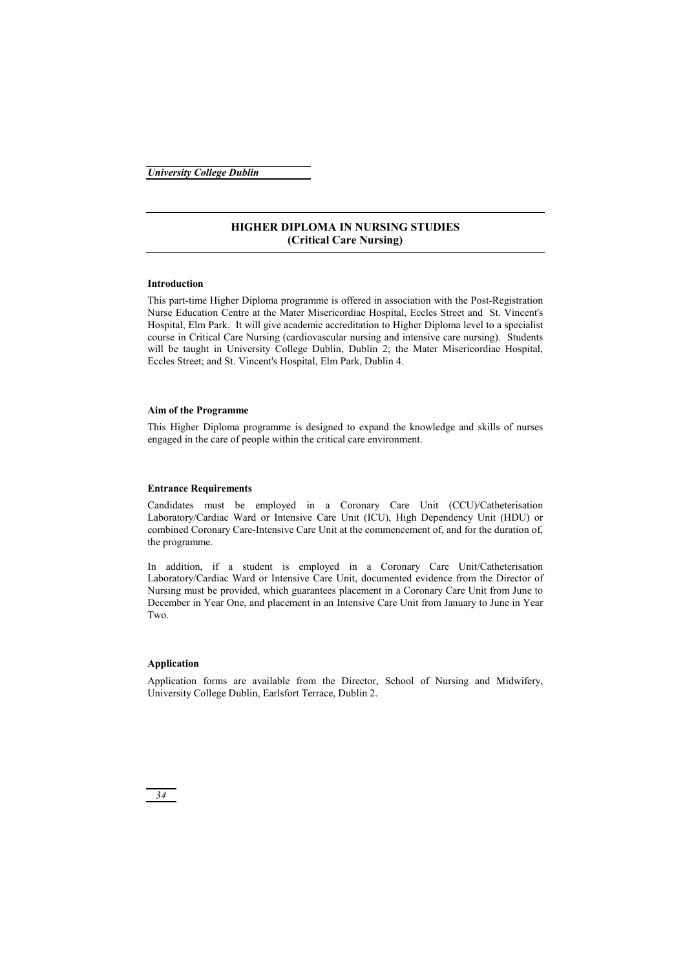# **HIGHER DIPLOMA IN NURSING STUDIES (Critical Care Nursing)**

# **Introduction**

This part-time Higher Diploma programme is offered in association with the Post-Registration Nurse Education Centre at the Mater Misericordiae Hospital, Eccles Street and St. Vincent's Hospital, Elm Park. It will give academic accreditation to Higher Diploma level to a specialist course in Critical Care Nursing (cardiovascular nursing and intensive care nursing). Students will be taught in University College Dublin, Dublin 2; the Mater Misericordiae Hospital, Eccles Street; and St. Vincent's Hospital, Elm Park, Dublin 4.

# **Aim of the Programme**

This Higher Diploma programme is designed to expand the knowledge and skills of nurses engaged in the care of people within the critical care environment.

# **Entrance Requirements**

Candidates must be employed in a Coronary Care Unit (CCU)/Catheterisation Laboratory/Cardiac Ward or Intensive Care Unit (ICU), High Dependency Unit (HDU) or combined Coronary Care-Intensive Care Unit at the commencement of, and for the duration of, the programme.

In addition, if a student is employed in a Coronary Care Unit/Catheterisation Laboratory/Cardiac Ward or Intensive Care Unit, documented evidence from the Director of Nursing must be provided, which guarantees placement in a Coronary Care Unit from June to December in Year One, and placement in an Intensive Care Unit from January to June in Year Two.

# **Application**

Application forms are available from the Director, School of Nursing and Midwifery, University College Dublin, Earlsfort Terrace, Dublin 2.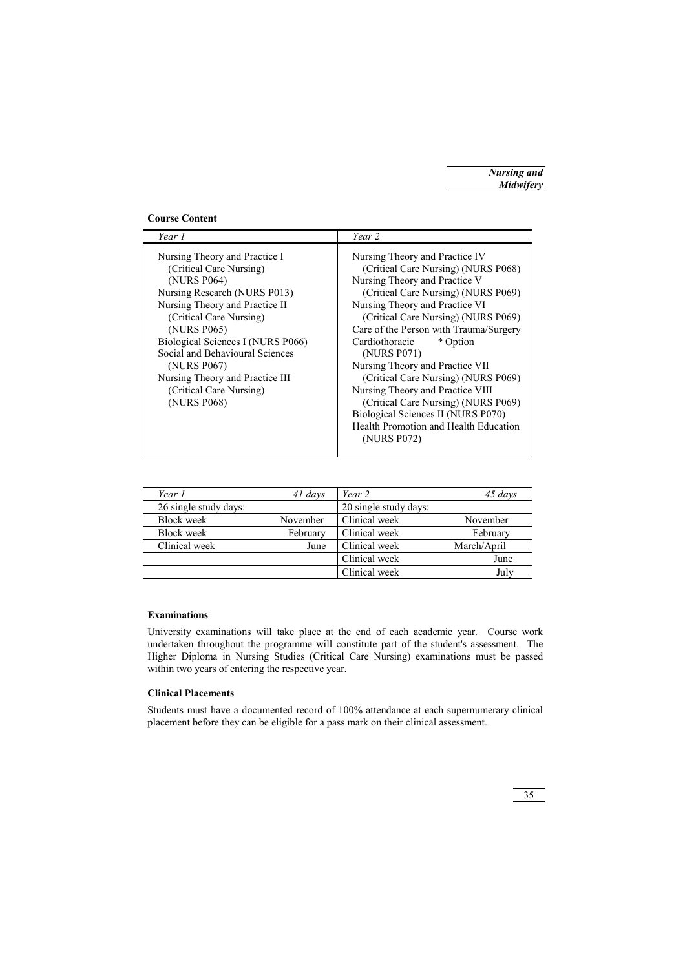# **Course Content**

| Year 1                                                                                                                                                                                                                                                                                                                                                  | Year 2                                                                                                                                                                                                                                                                                                                                                                                                                                                                                                                                                           |
|---------------------------------------------------------------------------------------------------------------------------------------------------------------------------------------------------------------------------------------------------------------------------------------------------------------------------------------------------------|------------------------------------------------------------------------------------------------------------------------------------------------------------------------------------------------------------------------------------------------------------------------------------------------------------------------------------------------------------------------------------------------------------------------------------------------------------------------------------------------------------------------------------------------------------------|
| Nursing Theory and Practice I<br>(Critical Care Nursing)<br>(NURS P064)<br>Nursing Research (NURS P013)<br>Nursing Theory and Practice II<br>(Critical Care Nursing)<br>(NURS P065)<br>Biological Sciences I (NURS P066)<br>Social and Behavioural Sciences<br>(NURS P067)<br>Nursing Theory and Practice III<br>(Critical Care Nursing)<br>(NURS P068) | Nursing Theory and Practice IV<br>(Critical Care Nursing) (NURS P068)<br>Nursing Theory and Practice V<br>(Critical Care Nursing) (NURS P069)<br>Nursing Theory and Practice VI<br>(Critical Care Nursing) (NURS P069)<br>Care of the Person with Trauma/Surgery<br>Cardiothoracic<br>* Option<br>(NURS P071)<br>Nursing Theory and Practice VII<br>(Critical Care Nursing) (NURS P069)<br>Nursing Theory and Practice VIII<br>(Critical Care Nursing) (NURS P069)<br>Biological Sciences II (NURS P070)<br>Health Promotion and Health Education<br>(NURS P072) |

| Year 1                | 41 days  | Year 2                | 45 days     |
|-----------------------|----------|-----------------------|-------------|
| 26 single study days: |          | 20 single study days: |             |
| <b>Block</b> week     | November | Clinical week         | November    |
| <b>Block</b> week     | February | Clinical week         | February    |
| Clinical week         | June     | Clinical week         | March/April |
|                       |          | Clinical week         | June        |
|                       |          | Clinical week         | July        |

# **Examinations**

University examinations will take place at the end of each academic year. Course work undertaken throughout the programme will constitute part of the student's assessment. The Higher Diploma in Nursing Studies (Critical Care Nursing) examinations must be passed within two years of entering the respective year.

# **Clinical Placements**

Students must have a documented record of 100% attendance at each supernumerary clinical placement before they can be eligible for a pass mark on their clinical assessment.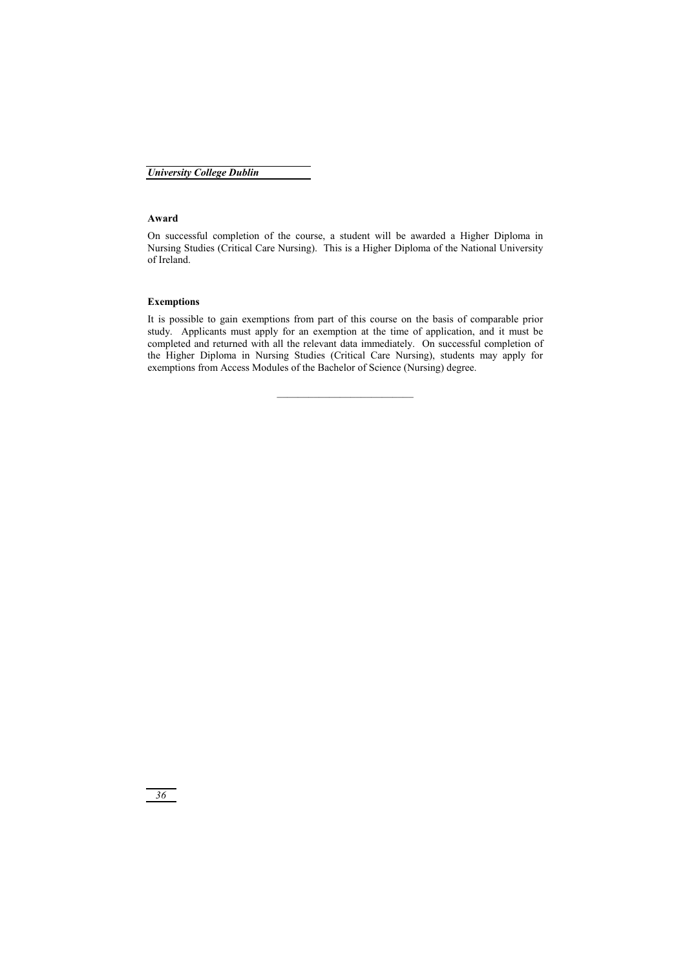# **Award**

On successful completion of the course, a student will be awarded a Higher Diploma in Nursing Studies (Critical Care Nursing). This is a Higher Diploma of the National University of Ireland.

# **Exemptions**

It is possible to gain exemptions from part of this course on the basis of comparable prior study. Applicants must apply for an exemption at the time of application, and it must be completed and returned with all the relevant data immediately. On successful completion of the Higher Diploma in Nursing Studies (Critical Care Nursing), students may apply for exemptions from Access Modules of the Bachelor of Science (Nursing) degree.

 $\mathcal{L}_\text{max}$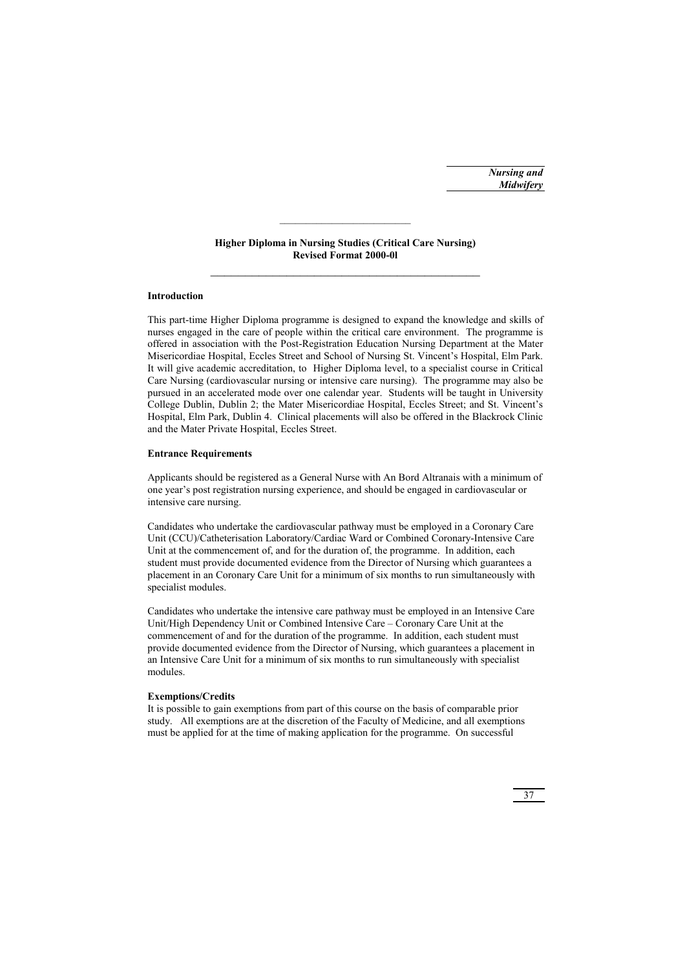## **Higher Diploma in Nursing Studies (Critical Care Nursing) Revised Format 2000-0l**  \_\_\_\_\_\_\_\_\_\_\_\_\_\_\_\_\_\_\_\_\_\_\_\_\_\_\_\_\_\_\_\_\_\_\_\_\_\_\_

### **Introduction**

This part-time Higher Diploma programme is designed to expand the knowledge and skills of nurses engaged in the care of people within the critical care environment. The programme is offered in association with the Post-Registration Education Nursing Department at the Mater Misericordiae Hospital, Eccles Street and School of Nursing St. Vincent's Hospital, Elm Park. It will give academic accreditation, to Higher Diploma level, to a specialist course in Critical Care Nursing (cardiovascular nursing or intensive care nursing). The programme may also be pursued in an accelerated mode over one calendar year. Students will be taught in University College Dublin, Dublin 2; the Mater Misericordiae Hospital, Eccles Street; and St. Vincent's Hospital, Elm Park, Dublin 4. Clinical placements will also be offered in the Blackrock Clinic and the Mater Private Hospital, Eccles Street.

#### **Entrance Requirements**

Applicants should be registered as a General Nurse with An Bord Altranais with a minimum of one year's post registration nursing experience, and should be engaged in cardiovascular or intensive care nursing.

Candidates who undertake the cardiovascular pathway must be employed in a Coronary Care Unit (CCU)/Catheterisation Laboratory/Cardiac Ward or Combined Coronary-Intensive Care Unit at the commencement of, and for the duration of, the programme. In addition, each student must provide documented evidence from the Director of Nursing which guarantees a placement in an Coronary Care Unit for a minimum of six months to run simultaneously with specialist modules.

Candidates who undertake the intensive care pathway must be employed in an Intensive Care Unit/High Dependency Unit or Combined Intensive Care – Coronary Care Unit at the commencement of and for the duration of the programme. In addition, each student must provide documented evidence from the Director of Nursing, which guarantees a placement in an Intensive Care Unit for a minimum of six months to run simultaneously with specialist modules.

#### **Exemptions/Credits**

It is possible to gain exemptions from part of this course on the basis of comparable prior study. All exemptions are at the discretion of the Faculty of Medicine, and all exemptions must be applied for at the time of making application for the programme. On successful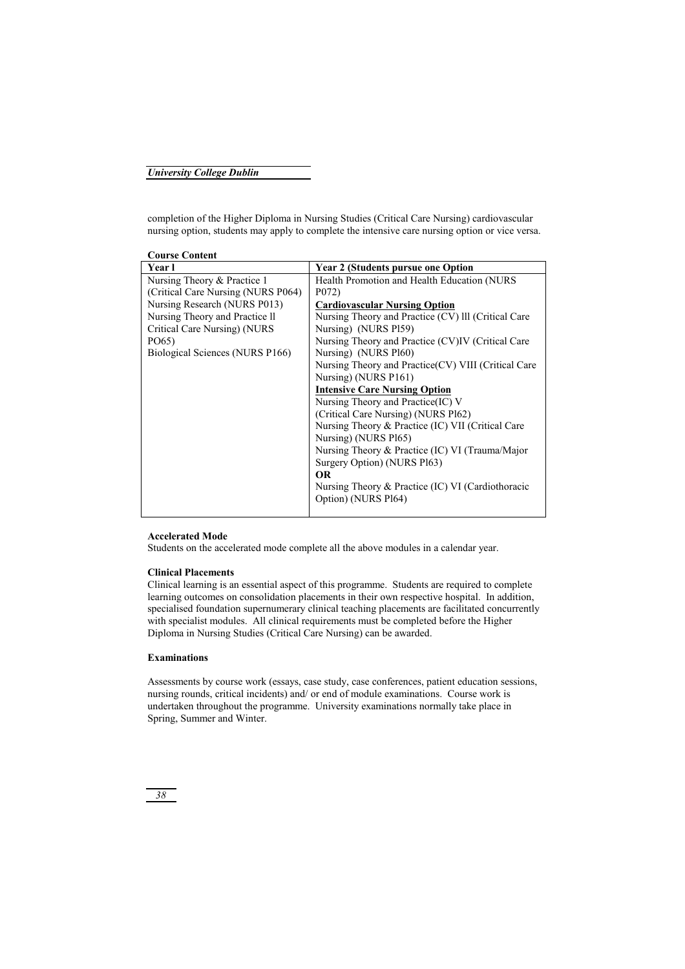completion of the Higher Diploma in Nursing Studies (Critical Care Nursing) cardiovascular nursing option, students may apply to complete the intensive care nursing option or vice versa.

| <b>Course Content</b>              |                                                      |
|------------------------------------|------------------------------------------------------|
| Year l                             | <b>Year 2 (Students pursue one Option</b>            |
| Nursing Theory & Practice 1        | Health Promotion and Health Education (NURS)         |
| (Critical Care Nursing (NURS P064) | P <sub>0</sub> 72)                                   |
| Nursing Research (NURS P013)       | <b>Cardiovascular Nursing Option</b>                 |
| Nursing Theory and Practice II     | Nursing Theory and Practice (CV) III (Critical Care  |
| Critical Care Nursing) (NURS       | Nursing) (NURS P159)                                 |
| PO65)                              | Nursing Theory and Practice (CV)IV (Critical Care    |
| Biological Sciences (NURS P166)    | Nursing) (NURS P160)                                 |
|                                    | Nursing Theory and Practice (CV) VIII (Critical Care |
|                                    | Nursing) (NURS P161)                                 |
|                                    | <b>Intensive Care Nursing Option</b>                 |
|                                    | Nursing Theory and Practice (IC) V                   |
|                                    | (Critical Care Nursing) (NURS Pl62)                  |
|                                    | Nursing Theory & Practice (IC) VII (Critical Care    |
|                                    | Nursing) (NURS Pl65)                                 |
|                                    | Nursing Theory & Practice (IC) VI (Trauma/Major      |
|                                    | Surgery Option) (NURS P163)                          |
|                                    | <b>OR</b>                                            |
|                                    | Nursing Theory & Practice (IC) VI (Cardiothoracic    |
|                                    | Option) (NURS Pl64)                                  |
|                                    |                                                      |

## **Accelerated Mode**

Students on the accelerated mode complete all the above modules in a calendar year.

## **Clinical Placements**

Clinical learning is an essential aspect of this programme. Students are required to complete learning outcomes on consolidation placements in their own respective hospital. In addition, specialised foundation supernumerary clinical teaching placements are facilitated concurrently with specialist modules. All clinical requirements must be completed before the Higher Diploma in Nursing Studies (Critical Care Nursing) can be awarded.

### **Examinations**

Assessments by course work (essays, case study, case conferences, patient education sessions, nursing rounds, critical incidents) and/ or end of module examinations. Course work is undertaken throughout the programme. University examinations normally take place in Spring, Summer and Winter.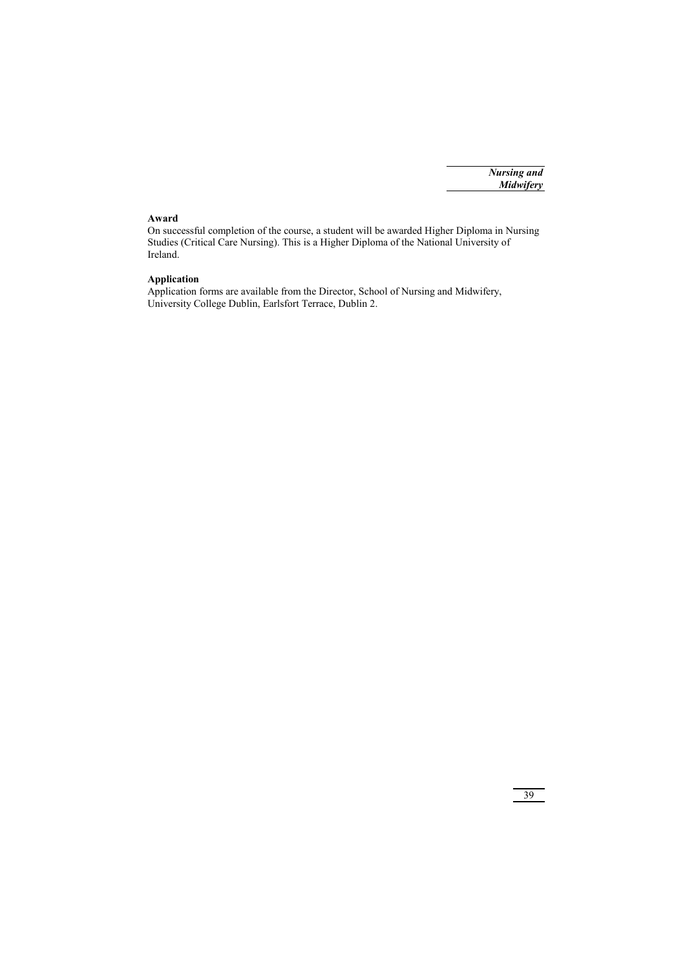# **Award**

On successful completion of the course, a student will be awarded Higher Diploma in Nursing Studies (Critical Care Nursing). This is a Higher Diploma of the National University of Ireland.

## **Application**

Application forms are available from the Director, School of Nursing and Midwifery, University College Dublin, Earlsfort Terrace, Dublin 2.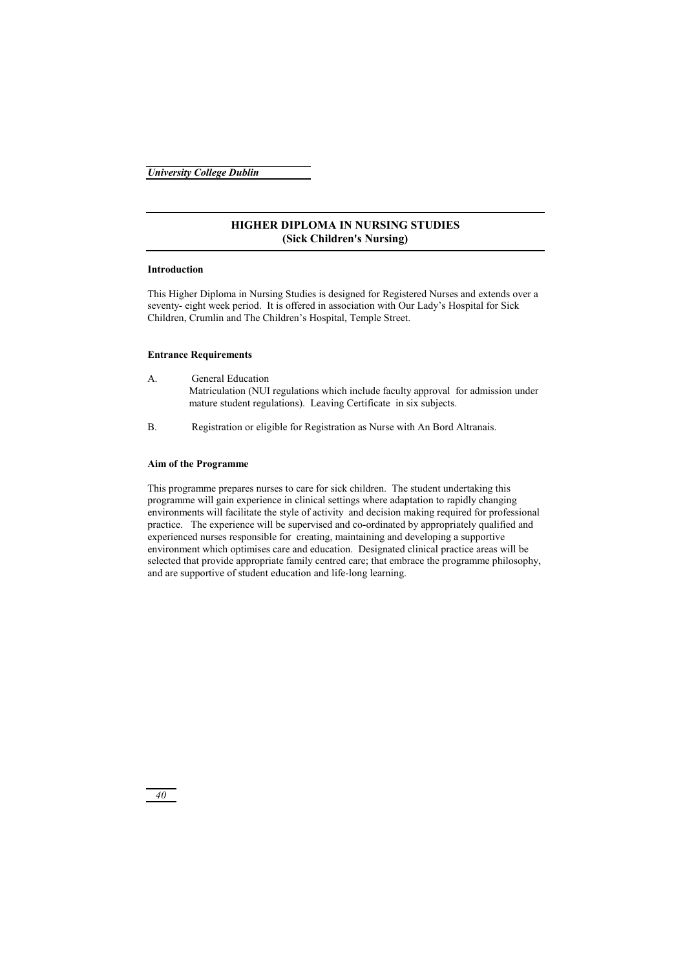## **HIGHER DIPLOMA IN NURSING STUDIES (Sick Children's Nursing)**

## **Introduction**

This Higher Diploma in Nursing Studies is designed for Registered Nurses and extends over a seventy- eight week period. It is offered in association with Our Lady's Hospital for Sick Children, Crumlin and The Children's Hospital, Temple Street.

### **Entrance Requirements**

- A. General Education Matriculation (NUI regulations which include faculty approval for admission under mature student regulations). Leaving Certificate in six subjects.
- B. Registration or eligible for Registration as Nurse with An Bord Altranais.

## **Aim of the Programme**

This programme prepares nurses to care for sick children. The student undertaking this programme will gain experience in clinical settings where adaptation to rapidly changing environments will facilitate the style of activity and decision making required for professional practice. The experience will be supervised and co-ordinated by appropriately qualified and experienced nurses responsible for creating, maintaining and developing a supportive environment which optimises care and education. Designated clinical practice areas will be selected that provide appropriate family centred care; that embrace the programme philosophy, and are supportive of student education and life-long learning.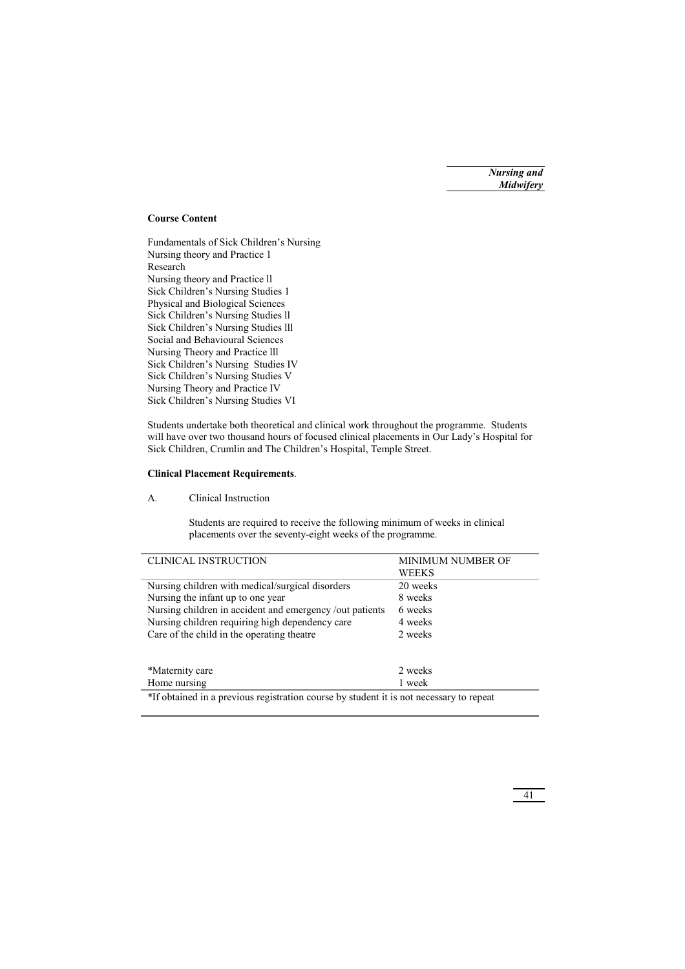## **Course Content**

Fundamentals of Sick Children's Nursing Nursing theory and Practice 1 Research Nursing theory and Practice ll Sick Children's Nursing Studies 1 Physical and Biological Sciences Sick Children's Nursing Studies ll Sick Children's Nursing Studies lll Social and Behavioural Sciences Nursing Theory and Practice lll Sick Children's Nursing Studies IV Sick Children's Nursing Studies V Nursing Theory and Practice IV Sick Children's Nursing Studies VI

Students undertake both theoretical and clinical work throughout the programme. Students will have over two thousand hours of focused clinical placements in Our Lady's Hospital for Sick Children, Crumlin and The Children's Hospital, Temple Street.

## **Clinical Placement Requirements**.

A. Clinical Instruction

 Students are required to receive the following minimum of weeks in clinical placements over the seventy-eight weeks of the programme.

| <b>CLINICAL INSTRUCTION</b>                                                             | MINIMUM NUMBER OF |
|-----------------------------------------------------------------------------------------|-------------------|
|                                                                                         | WEEKS             |
| Nursing children with medical/surgical disorders                                        | 20 weeks          |
| Nursing the infant up to one year                                                       | 8 weeks           |
| Nursing children in accident and emergency /out patients                                | 6 weeks           |
| Nursing children requiring high dependency care                                         | 4 weeks           |
| Care of the child in the operating theatre                                              | 2 weeks           |
|                                                                                         |                   |
| *Maternity care                                                                         | 2 weeks           |
| Home nursing                                                                            | 1 week            |
| *If obtained in a previous registration course by student it is not necessary to repeat |                   |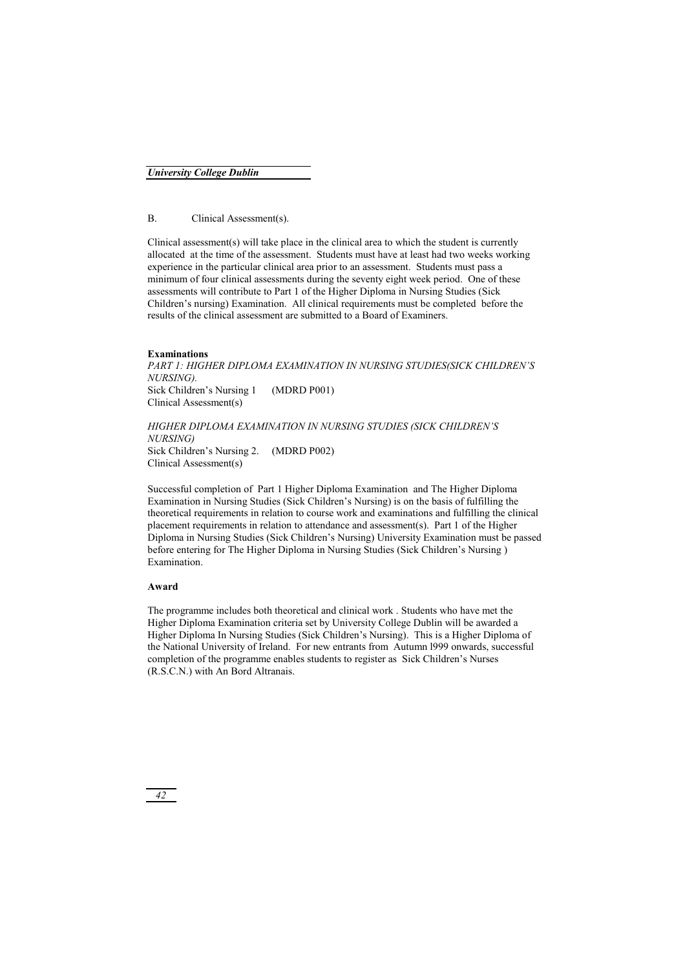## B. Clinical Assessment(s).

Clinical assessment(s) will take place in the clinical area to which the student is currently allocated at the time of the assessment. Students must have at least had two weeks working experience in the particular clinical area prior to an assessment. Students must pass a minimum of four clinical assessments during the seventy eight week period. One of these assessments will contribute to Part 1 of the Higher Diploma in Nursing Studies (Sick Children's nursing) Examination. All clinical requirements must be completed before the results of the clinical assessment are submitted to a Board of Examiners.

### **Examinations**

*PART 1: HIGHER DIPLOMA EXAMINATION IN NURSING STUDIES(SICK CHILDREN'S NURSING).*  Sick Children's Nursing 1 (MDRD P001) Clinical Assessment(s)

*HIGHER DIPLOMA EXAMINATION IN NURSING STUDIES (SICK CHILDREN'S NURSING)*  Sick Children's Nursing 2. (MDRD P002) Clinical Assessment(s)

Successful completion of Part 1 Higher Diploma Examination and The Higher Diploma Examination in Nursing Studies (Sick Children's Nursing) is on the basis of fulfilling the theoretical requirements in relation to course work and examinations and fulfilling the clinical placement requirements in relation to attendance and assessment(s). Part 1 of the Higher Diploma in Nursing Studies (Sick Children's Nursing) University Examination must be passed before entering for The Higher Diploma in Nursing Studies (Sick Children's Nursing ) Examination.

#### **Award**

The programme includes both theoretical and clinical work . Students who have met the Higher Diploma Examination criteria set by University College Dublin will be awarded a Higher Diploma In Nursing Studies (Sick Children's Nursing). This is a Higher Diploma of the National University of Ireland. For new entrants from Autumn l999 onwards, successful completion of the programme enables students to register as Sick Children's Nurses (R.S.C.N.) with An Bord Altranais.

*42*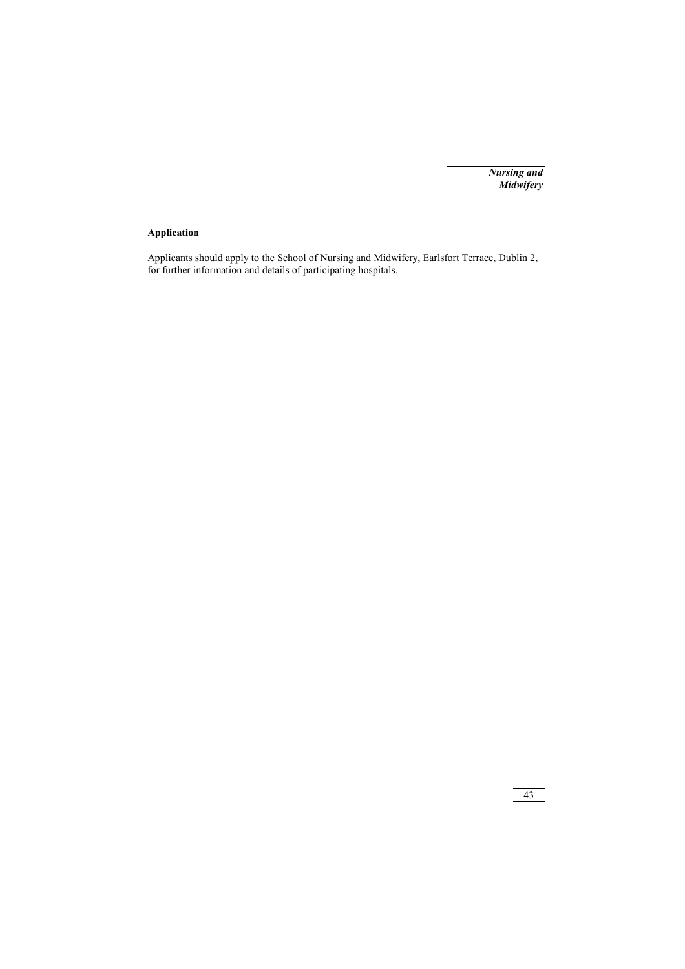# **Application**

Applicants should apply to the School of Nursing and Midwifery, Earlsfort Terrace, Dublin 2, for further information and details of participating hospitals.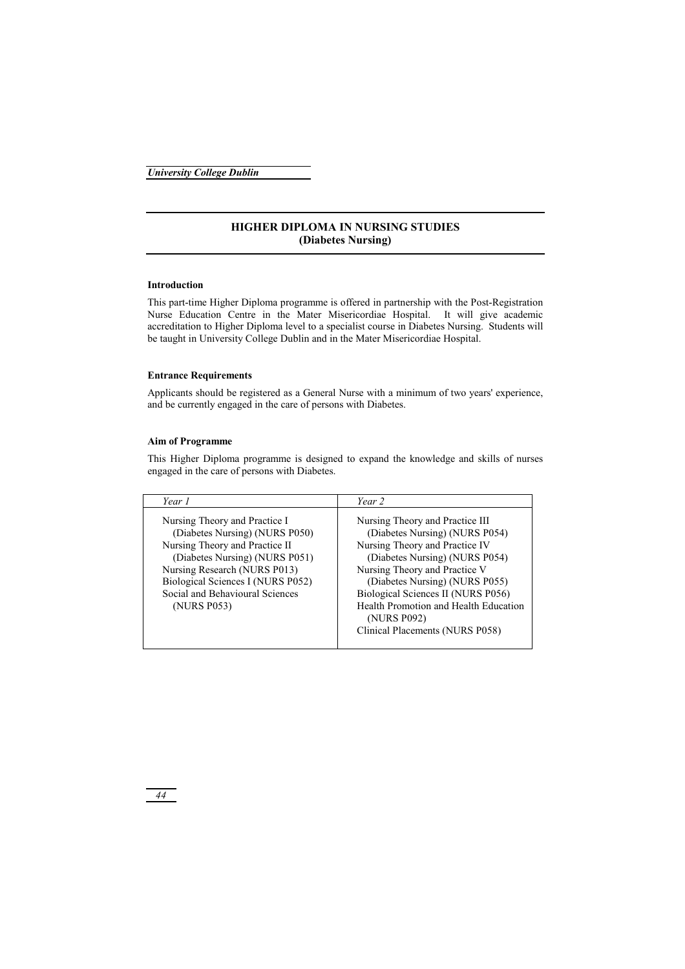# **HIGHER DIPLOMA IN NURSING STUDIES (Diabetes Nursing)**

## **Introduction**

This part-time Higher Diploma programme is offered in partnership with the Post-Registration Nurse Education Centre in the Mater Misericordiae Hospital. It will give academic accreditation to Higher Diploma level to a specialist course in Diabetes Nursing. Students will be taught in University College Dublin and in the Mater Misericordiae Hospital.

## **Entrance Requirements**

Applicants should be registered as a General Nurse with a minimum of two years' experience, and be currently engaged in the care of persons with Diabetes.

### **Aim of Programme**

This Higher Diploma programme is designed to expand the knowledge and skills of nurses engaged in the care of persons with Diabetes.

| Year 1                                                                                                                                                                                                                                                     | Year 2                                                                                                                                                                                                                                                                                                                                    |
|------------------------------------------------------------------------------------------------------------------------------------------------------------------------------------------------------------------------------------------------------------|-------------------------------------------------------------------------------------------------------------------------------------------------------------------------------------------------------------------------------------------------------------------------------------------------------------------------------------------|
| Nursing Theory and Practice I<br>(Diabetes Nursing) (NURS P050)<br>Nursing Theory and Practice II<br>(Diabetes Nursing) (NURS P051)<br>Nursing Research (NURS P013)<br>Biological Sciences I (NURS P052)<br>Social and Behavioural Sciences<br>(NURS P053) | Nursing Theory and Practice III<br>(Diabetes Nursing) (NURS P054)<br>Nursing Theory and Practice IV<br>(Diabetes Nursing) (NURS P054)<br>Nursing Theory and Practice V<br>(Diabetes Nursing) (NURS P055)<br>Biological Sciences II (NURS P056)<br>Health Promotion and Health Education<br>(NURS P092)<br>Clinical Placements (NURS P058) |
|                                                                                                                                                                                                                                                            |                                                                                                                                                                                                                                                                                                                                           |

*44*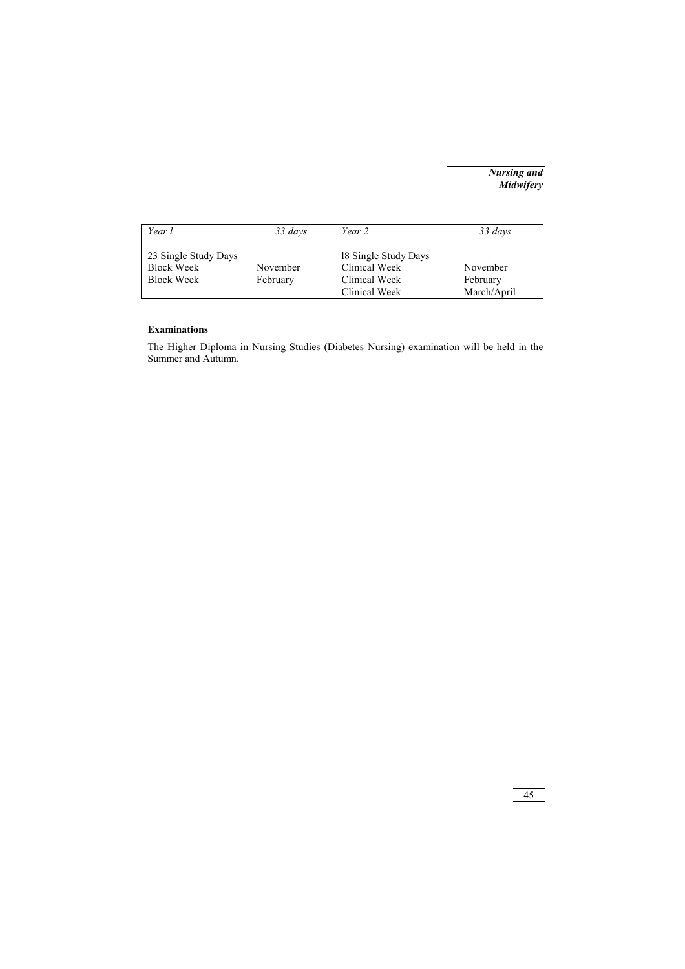| Year l                                    | 33 days  | Year 2                                | 33 days     |
|-------------------------------------------|----------|---------------------------------------|-------------|
| 23 Single Study Days<br><b>Block Week</b> | November | 18 Single Study Days<br>Clinical Week | November    |
| <b>Block Week</b>                         | February | Clinical Week                         | February    |
|                                           |          | Clinical Week                         | March/April |

## **Examinations**

The Higher Diploma in Nursing Studies (Diabetes Nursing) examination will be held in the Summer and Autumn.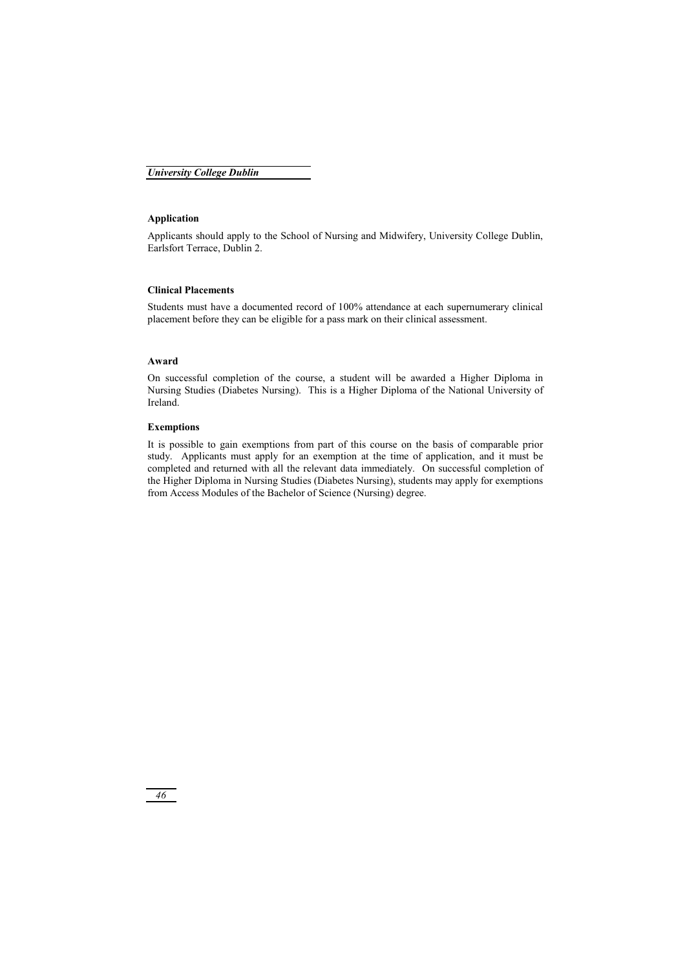## **Application**

Applicants should apply to the School of Nursing and Midwifery, University College Dublin, Earlsfort Terrace, Dublin 2.

## **Clinical Placements**

Students must have a documented record of 100% attendance at each supernumerary clinical placement before they can be eligible for a pass mark on their clinical assessment.

#### **Award**

On successful completion of the course, a student will be awarded a Higher Diploma in Nursing Studies (Diabetes Nursing). This is a Higher Diploma of the National University of Ireland.

## **Exemptions**

It is possible to gain exemptions from part of this course on the basis of comparable prior study. Applicants must apply for an exemption at the time of application, and it must be completed and returned with all the relevant data immediately. On successful completion of the Higher Diploma in Nursing Studies (Diabetes Nursing), students may apply for exemptions from Access Modules of the Bachelor of Science (Nursing) degree.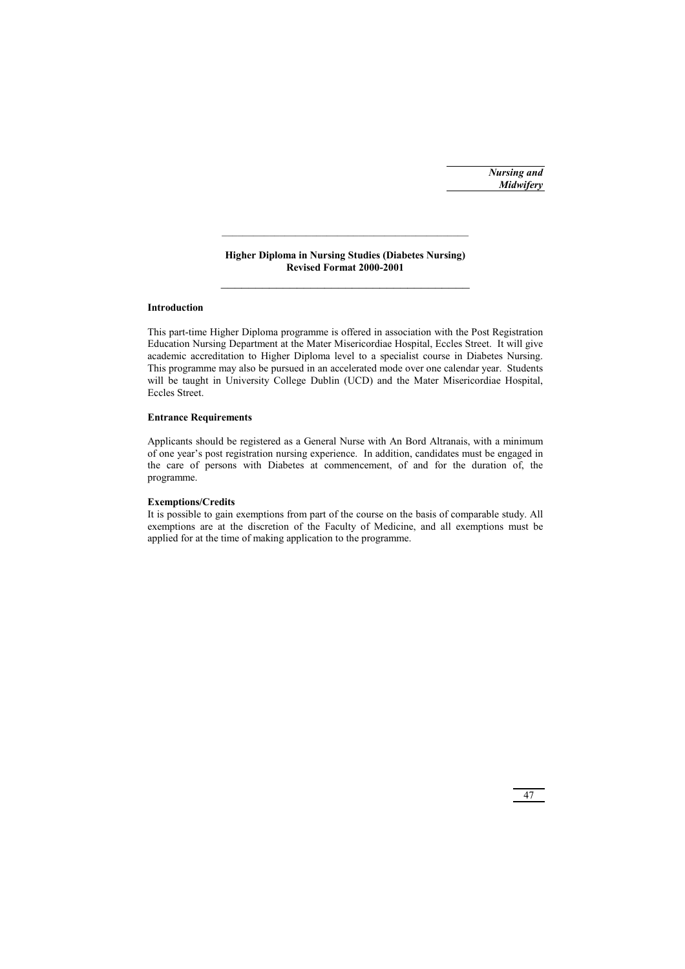## **Higher Diploma in Nursing Studies (Diabetes Nursing) Revised Format 2000-2001**   $\mathcal{L}_\text{max}$

# **Introduction**

This part-time Higher Diploma programme is offered in association with the Post Registration Education Nursing Department at the Mater Misericordiae Hospital, Eccles Street. It will give academic accreditation to Higher Diploma level to a specialist course in Diabetes Nursing. This programme may also be pursued in an accelerated mode over one calendar year. Students will be taught in University College Dublin (UCD) and the Mater Misericordiae Hospital, Eccles Street.

## **Entrance Requirements**

Applicants should be registered as a General Nurse with An Bord Altranais, with a minimum of one year's post registration nursing experience. In addition, candidates must be engaged in the care of persons with Diabetes at commencement, of and for the duration of, the programme.

## **Exemptions/Credits**

It is possible to gain exemptions from part of the course on the basis of comparable study. All exemptions are at the discretion of the Faculty of Medicine, and all exemptions must be applied for at the time of making application to the programme.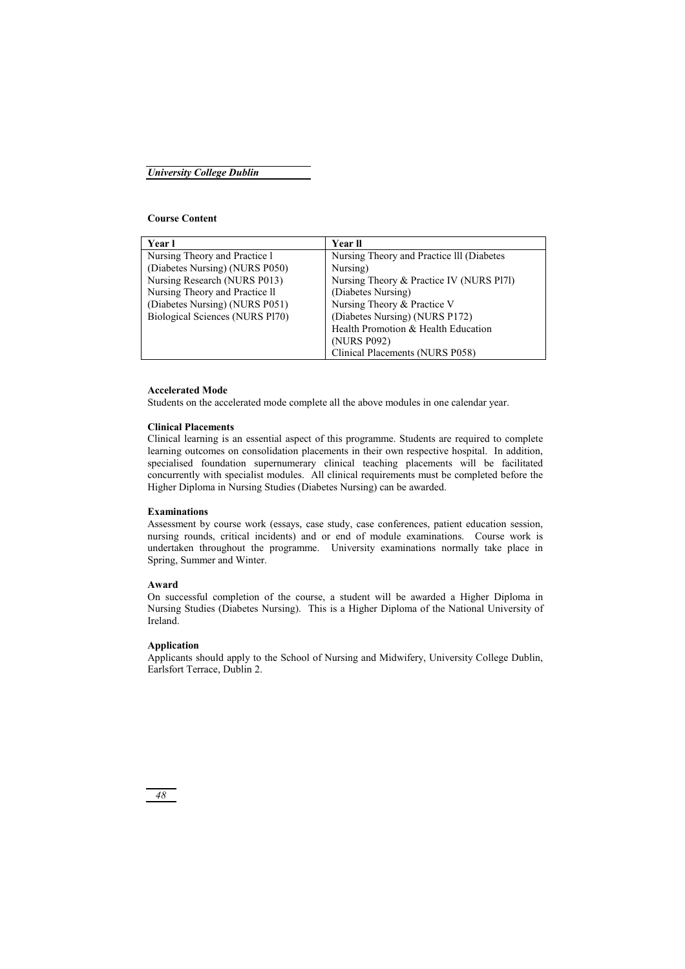### **Course Content**

| Year l                          | Year ll                                   |
|---------------------------------|-------------------------------------------|
| Nursing Theory and Practice 1   | Nursing Theory and Practice III (Diabetes |
| (Diabetes Nursing) (NURS P050)  | Nursing)                                  |
| Nursing Research (NURS P013)    | Nursing Theory & Practice IV (NURS Pl7l)  |
| Nursing Theory and Practice II  | (Diabetes Nursing)                        |
| (Diabetes Nursing) (NURS P051)  | Nursing Theory & Practice V               |
| Biological Sciences (NURS P170) | (Diabetes Nursing) (NURS P172)            |
|                                 | Health Promotion & Health Education       |
|                                 | (NURS P092)                               |
|                                 | Clinical Placements (NURS P058)           |

### **Accelerated Mode**

Students on the accelerated mode complete all the above modules in one calendar year.

### **Clinical Placements**

Clinical learning is an essential aspect of this programme. Students are required to complete learning outcomes on consolidation placements in their own respective hospital. In addition, specialised foundation supernumerary clinical teaching placements will be facilitated concurrently with specialist modules. All clinical requirements must be completed before the Higher Diploma in Nursing Studies (Diabetes Nursing) can be awarded.

## **Examinations**

Assessment by course work (essays, case study, case conferences, patient education session, nursing rounds, critical incidents) and or end of module examinations. Course work is undertaken throughout the programme. University examinations normally take place in Spring, Summer and Winter.

### **Award**

On successful completion of the course, a student will be awarded a Higher Diploma in Nursing Studies (Diabetes Nursing). This is a Higher Diploma of the National University of Ireland.

#### **Application**

Applicants should apply to the School of Nursing and Midwifery, University College Dublin, Earlsfort Terrace, Dublin 2.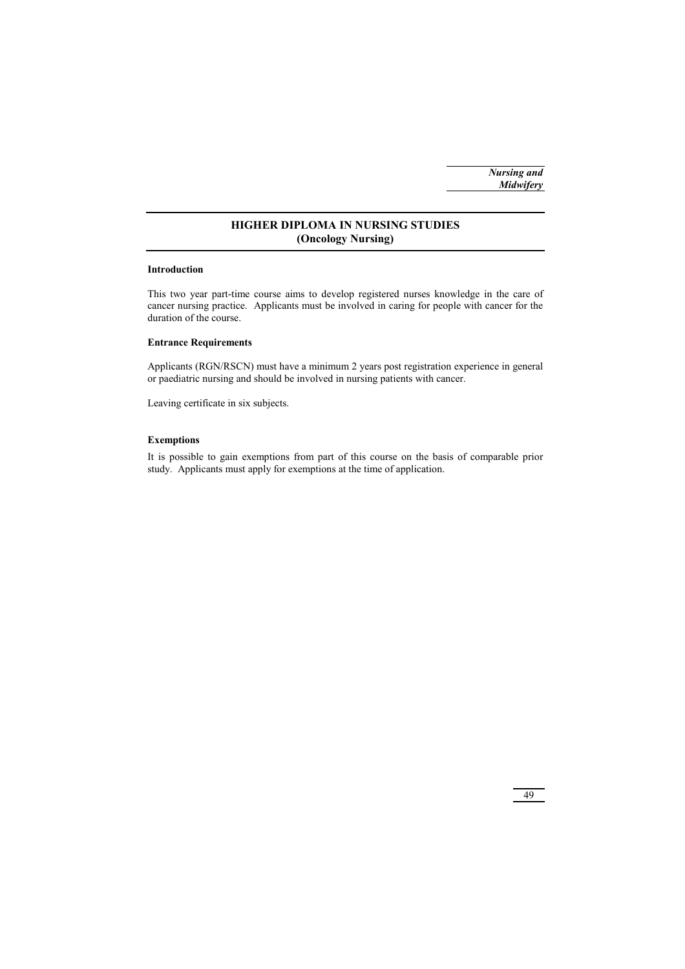## **HIGHER DIPLOMA IN NURSING STUDIES (Oncology Nursing)**

## **Introduction**

This two year part-time course aims to develop registered nurses knowledge in the care of cancer nursing practice. Applicants must be involved in caring for people with cancer for the duration of the course.

## **Entrance Requirements**

Applicants (RGN/RSCN) must have a minimum 2 years post registration experience in general or paediatric nursing and should be involved in nursing patients with cancer.

Leaving certificate in six subjects.

## **Exemptions**

It is possible to gain exemptions from part of this course on the basis of comparable prior study. Applicants must apply for exemptions at the time of application.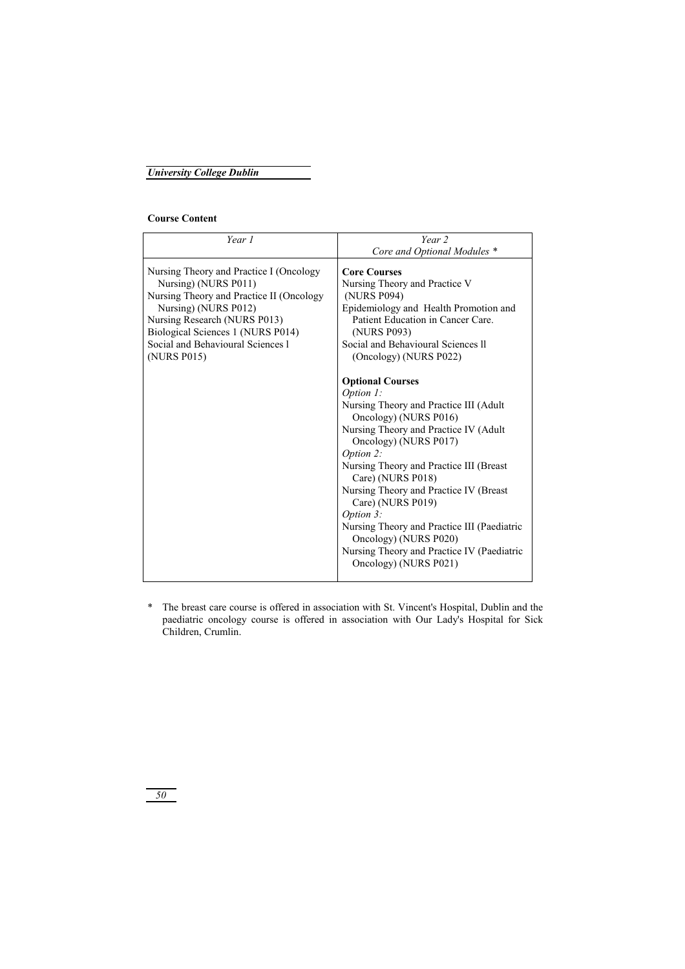## **Course Content**

| Year 1                                                                                                                                                                                                                                                       | Year 2                                                                                                                                                                                                                                                                                                                                                                                                                                                                                                                                                                                                                                                                                                                        |
|--------------------------------------------------------------------------------------------------------------------------------------------------------------------------------------------------------------------------------------------------------------|-------------------------------------------------------------------------------------------------------------------------------------------------------------------------------------------------------------------------------------------------------------------------------------------------------------------------------------------------------------------------------------------------------------------------------------------------------------------------------------------------------------------------------------------------------------------------------------------------------------------------------------------------------------------------------------------------------------------------------|
|                                                                                                                                                                                                                                                              | Core and Optional Modules *                                                                                                                                                                                                                                                                                                                                                                                                                                                                                                                                                                                                                                                                                                   |
| Nursing Theory and Practice I (Oncology<br>Nursing) (NURS P011)<br>Nursing Theory and Practice II (Oncology<br>Nursing) (NURS P012)<br>Nursing Research (NURS P013)<br>Biological Sciences 1 (NURS P014)<br>Social and Behavioural Sciences 1<br>(NURS P015) | <b>Core Courses</b><br>Nursing Theory and Practice V<br>(NURS P094)<br>Epidemiology and Health Promotion and<br>Patient Education in Cancer Care.<br>(NURS P093)<br>Social and Behavioural Sciences II<br>(Oncology) (NURS P022)<br><b>Optional Courses</b><br><i>Option 1:</i><br>Nursing Theory and Practice III (Adult)<br>Oncology) (NURS P016)<br>Nursing Theory and Practice IV (Adult<br>Oncology) (NURS P017)<br>Option 2:<br>Nursing Theory and Practice III (Breast<br>Care) (NURS P018)<br>Nursing Theory and Practice IV (Breast<br>Care) (NURS P019)<br>Option 3:<br>Nursing Theory and Practice III (Paediatric<br>Oncology) (NURS P020)<br>Nursing Theory and Practice IV (Paediatric<br>Oncology) (NURS P021) |
|                                                                                                                                                                                                                                                              |                                                                                                                                                                                                                                                                                                                                                                                                                                                                                                                                                                                                                                                                                                                               |

\* The breast care course is offered in association with St. Vincent's Hospital, Dublin and the paediatric oncology course is offered in association with Our Lady's Hospital for Sick Children, Crumlin.

*50*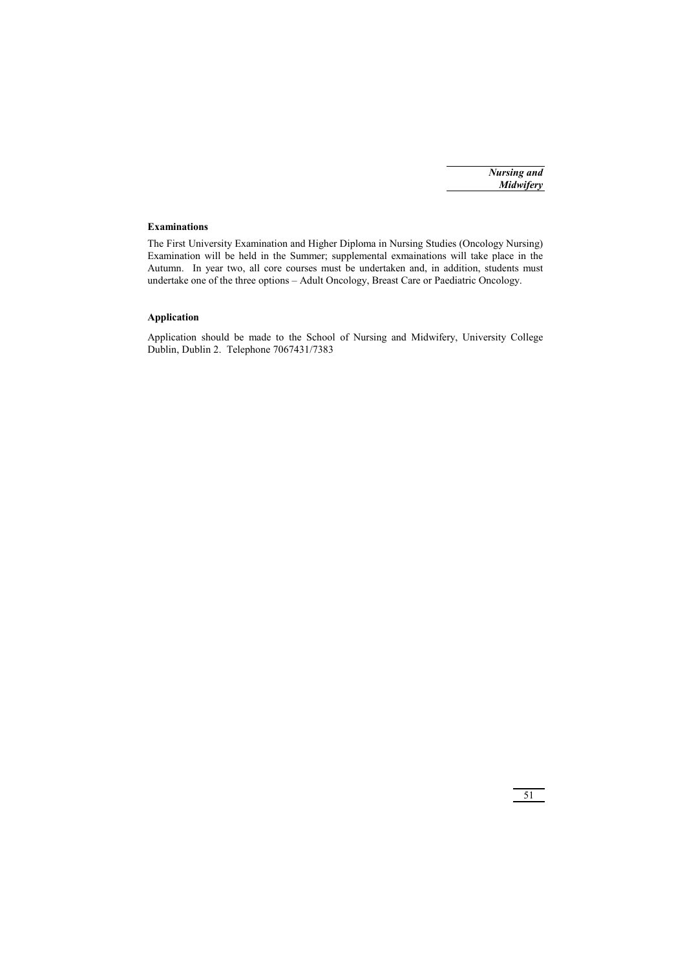# **Examinations**

The First University Examination and Higher Diploma in Nursing Studies (Oncology Nursing) Examination will be held in the Summer; supplemental exmainations will take place in the Autumn. In year two, all core courses must be undertaken and, in addition, students must undertake one of the three options – Adult Oncology, Breast Care or Paediatric Oncology.

# **Application**

Application should be made to the School of Nursing and Midwifery, University College Dublin, Dublin 2. Telephone 7067431/7383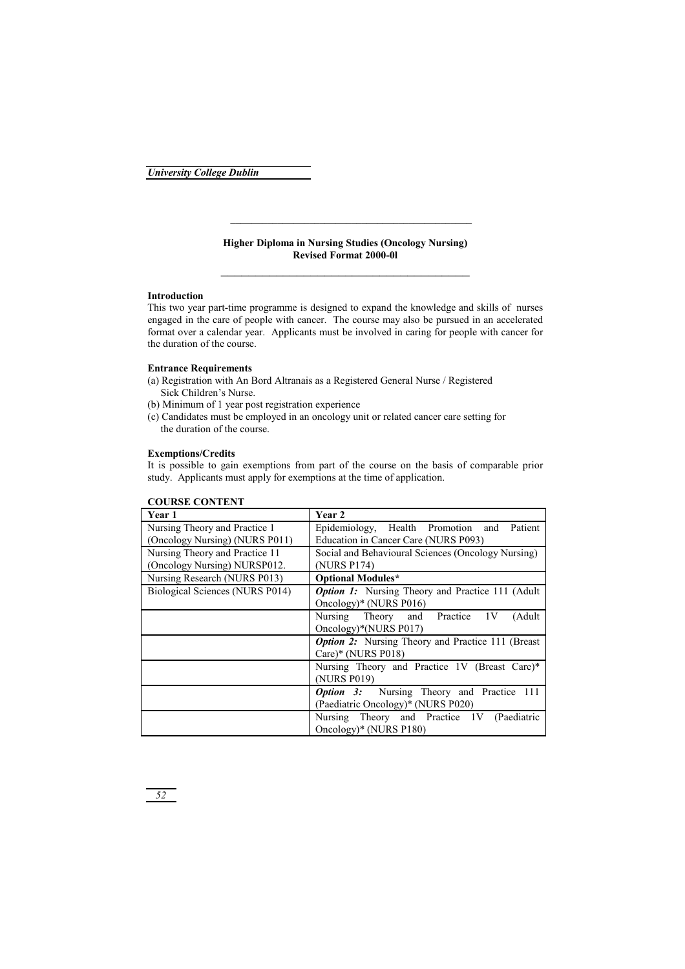## **Higher Diploma in Nursing Studies (Oncology Nursing) Revised Format 2000-0l**  \_\_\_\_\_\_\_\_\_\_\_\_\_\_\_\_\_\_\_\_\_\_\_\_\_\_\_\_\_\_\_\_\_\_\_\_

**\_\_\_\_\_\_\_\_\_\_\_\_\_\_\_\_\_\_\_\_\_\_\_\_\_\_\_\_\_\_\_\_\_\_\_\_\_\_\_\_\_\_\_\_\_\_** 

### **Introduction**

This two year part-time programme is designed to expand the knowledge and skills of nurses engaged in the care of people with cancer. The course may also be pursued in an accelerated format over a calendar year. Applicants must be involved in caring for people with cancer for the duration of the course.

### **Entrance Requirements**

- (a) Registration with An Bord Altranais as a Registered General Nurse / Registered Sick Children's Nurse.
- (b) Minimum of 1 year post registration experience
- (c) Candidates must be employed in an oncology unit or related cancer care setting for the duration of the course.

### **Exemptions/Credits**

It is possible to gain exemptions from part of the course on the basis of comparable prior study. Applicants must apply for exemptions at the time of application.

| Year 1                          | Year 2                                                    |
|---------------------------------|-----------------------------------------------------------|
| Nursing Theory and Practice 1   | Epidemiology, Health Promotion and<br>Patient             |
| (Oncology Nursing) (NURS P011)  | Education in Cancer Care (NURS P093)                      |
| Nursing Theory and Practice 11  | Social and Behavioural Sciences (Oncology Nursing)        |
| (Oncology Nursing) NURSP012.    | (NURS P174)                                               |
| Nursing Research (NURS P013)    | <b>Optional Modules*</b>                                  |
| Biological Sciences (NURS P014) | <b>Option 1:</b> Nursing Theory and Practice 111 (Adult   |
|                                 | Oncology)* (NURS P016)                                    |
|                                 | Nursing Theory and Practice 1V<br>(Adult)                 |
|                                 | Oncology)*(NURS P017)                                     |
|                                 | <b>Option 2:</b> Nursing Theory and Practice 111 (Breast) |
|                                 | Care)* (NURS $P018$ )                                     |
|                                 | Nursing Theory and Practice 1V (Breast Care)*             |
|                                 | (NURS P019)                                               |
|                                 | <b>Option 3:</b> Nursing Theory and Practice 111          |
|                                 | (Paediatric Oncology)* (NURS P020)                        |
|                                 | Nursing Theory and Practice 1V (Paediatric                |
|                                 | Oncology)* (NURS P180)                                    |

## **COURSE CONTENT**

*52*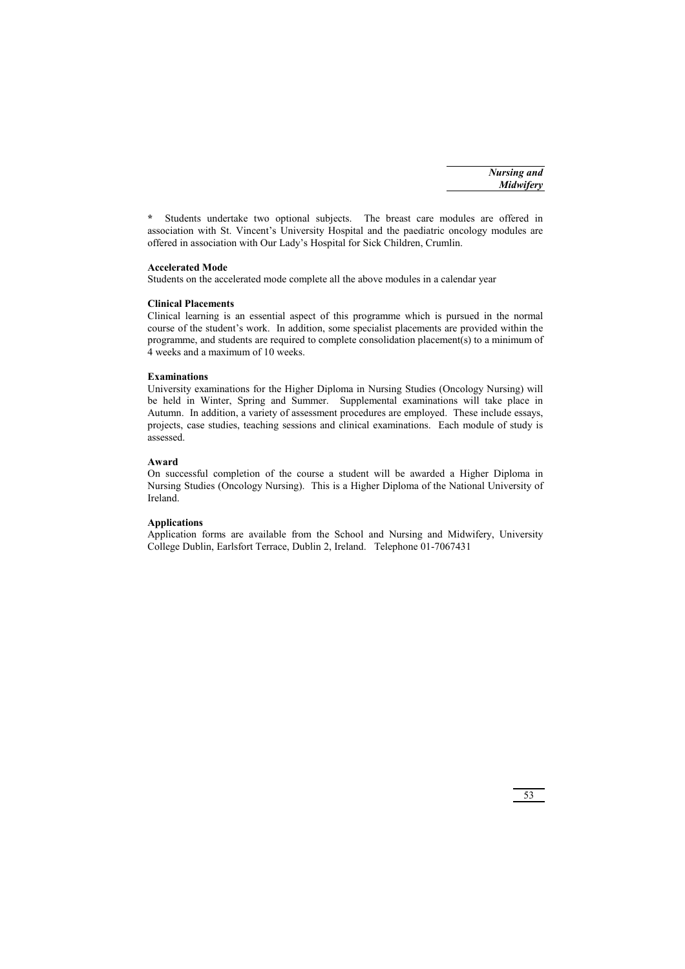**\*** Students undertake two optional subjects. The breast care modules are offered in association with St. Vincent's University Hospital and the paediatric oncology modules are offered in association with Our Lady's Hospital for Sick Children, Crumlin.

#### **Accelerated Mode**

Students on the accelerated mode complete all the above modules in a calendar year

## **Clinical Placements**

Clinical learning is an essential aspect of this programme which is pursued in the normal course of the student's work. In addition, some specialist placements are provided within the programme, and students are required to complete consolidation placement(s) to a minimum of 4 weeks and a maximum of 10 weeks.

#### **Examinations**

University examinations for the Higher Diploma in Nursing Studies (Oncology Nursing) will be held in Winter, Spring and Summer. Supplemental examinations will take place in Autumn. In addition, a variety of assessment procedures are employed. These include essays, projects, case studies, teaching sessions and clinical examinations. Each module of study is assessed.

### **Award**

On successful completion of the course a student will be awarded a Higher Diploma in Nursing Studies (Oncology Nursing). This is a Higher Diploma of the National University of Ireland.

### **Applications**

Application forms are available from the School and Nursing and Midwifery, University College Dublin, Earlsfort Terrace, Dublin 2, Ireland. Telephone 01-7067431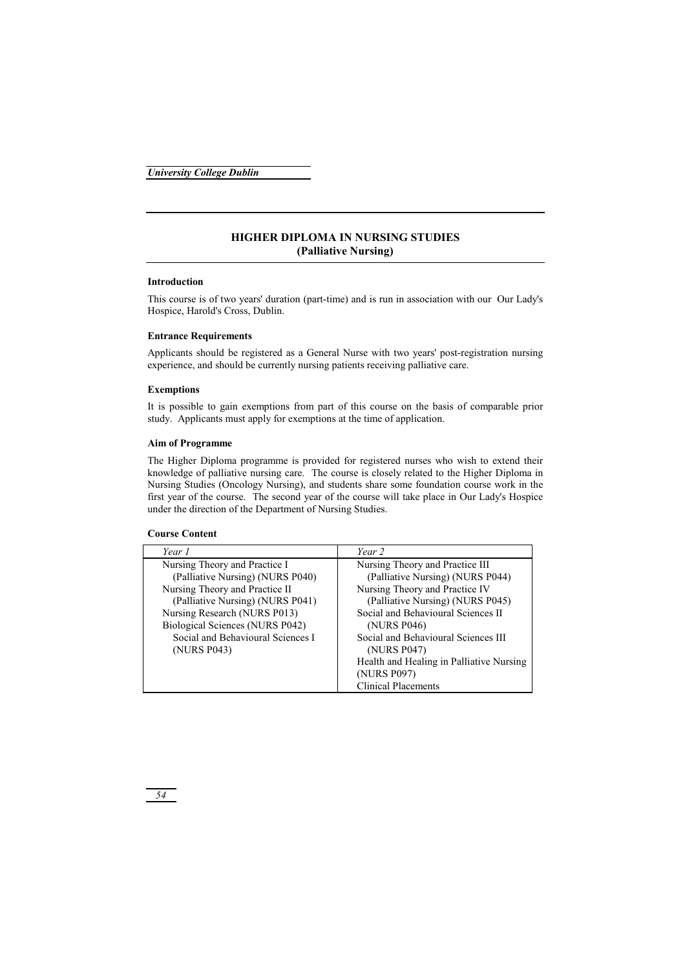## **HIGHER DIPLOMA IN NURSING STUDIES (Palliative Nursing)**

## **Introduction**

This course is of two years' duration (part-time) and is run in association with our Our Lady's Hospice, Harold's Cross, Dublin.

## **Entrance Requirements**

Applicants should be registered as a General Nurse with two years' post-registration nursing experience, and should be currently nursing patients receiving palliative care.

## **Exemptions**

It is possible to gain exemptions from part of this course on the basis of comparable prior study. Applicants must apply for exemptions at the time of application.

## **Aim of Programme**

The Higher Diploma programme is provided for registered nurses who wish to extend their knowledge of palliative nursing care. The course is closely related to the Higher Diploma in Nursing Studies (Oncology Nursing), and students share some foundation course work in the first year of the course. The second year of the course will take place in Our Lady's Hospice under the direction of the Department of Nursing Studies.

## **Course Content**

| Year 1                            | Year 2                                   |
|-----------------------------------|------------------------------------------|
| Nursing Theory and Practice I     | Nursing Theory and Practice III          |
| (Palliative Nursing) (NURS P040)  | (Palliative Nursing) (NURS P044)         |
| Nursing Theory and Practice II    | Nursing Theory and Practice IV           |
| (Palliative Nursing) (NURS P041)  | (Palliative Nursing) (NURS P045)         |
| Nursing Research (NURS P013)      | Social and Behavioural Sciences II       |
| Biological Sciences (NURS P042)   | (NURS P046)                              |
| Social and Behavioural Sciences I | Social and Behavioural Sciences III      |
| (NURS P043)                       | (NURS P047)                              |
|                                   | Health and Healing in Palliative Nursing |
|                                   | (NURS P097)                              |
|                                   | <b>Clinical Placements</b>               |

*54*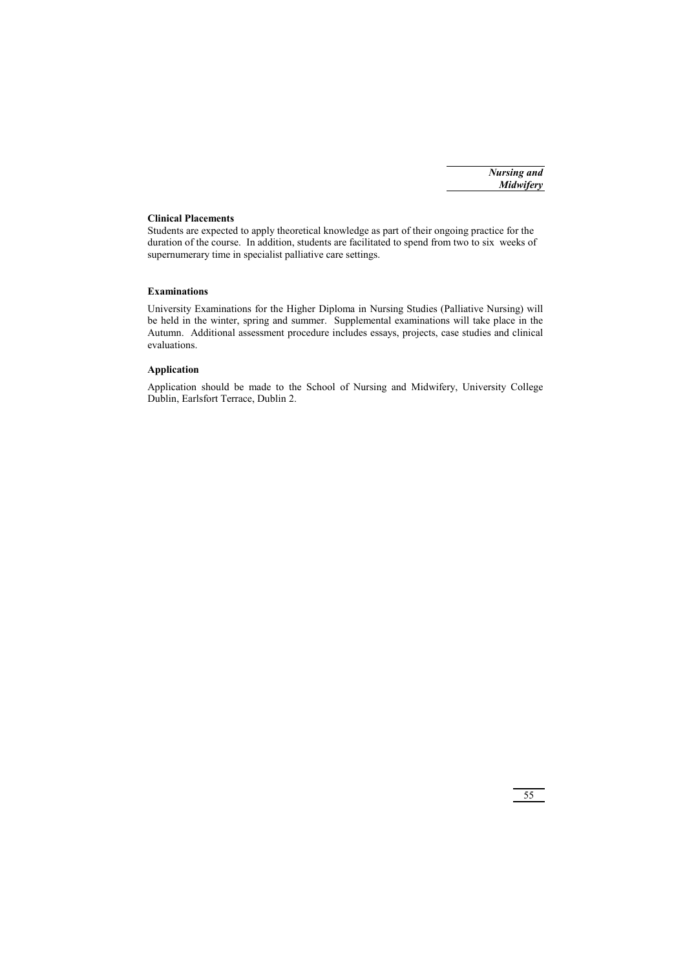### **Clinical Placements**

Students are expected to apply theoretical knowledge as part of their ongoing practice for the duration of the course. In addition, students are facilitated to spend from two to six weeks of supernumerary time in specialist palliative care settings.

## **Examinations**

University Examinations for the Higher Diploma in Nursing Studies (Palliative Nursing) will be held in the winter, spring and summer. Supplemental examinations will take place in the Autumn. Additional assessment procedure includes essays, projects, case studies and clinical evaluations.

## **Application**

Application should be made to the School of Nursing and Midwifery, University College Dublin, Earlsfort Terrace, Dublin 2.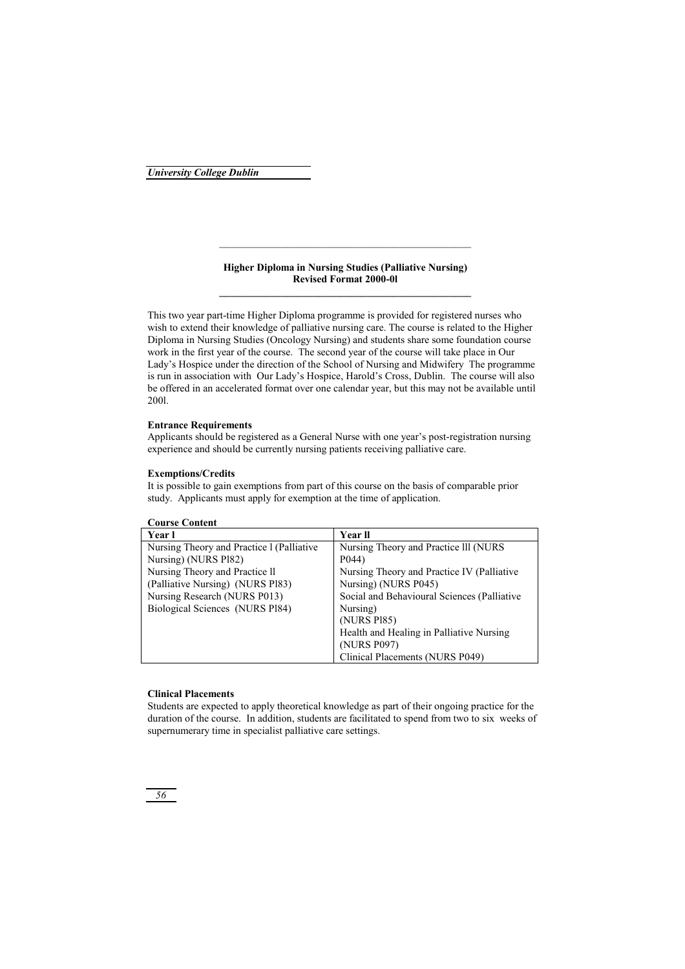### **Higher Diploma in Nursing Studies (Palliative Nursing) Revised Format 2000-0l**

\_\_\_\_\_\_\_\_\_\_\_\_\_\_\_\_\_\_\_\_\_\_\_\_\_\_\_\_\_\_\_\_\_\_\_\_\_\_\_\_\_\_\_\_\_\_\_\_

This two year part-time Higher Diploma programme is provided for registered nurses who wish to extend their knowledge of palliative nursing care. The course is related to the Higher Diploma in Nursing Studies (Oncology Nursing) and students share some foundation course work in the first year of the course. The second year of the course will take place in Our Lady's Hospice under the direction of the School of Nursing and Midwifery The programme is run in association with Our Lady's Hospice, Harold's Cross, Dublin. The course will also be offered in an accelerated format over one calendar year, but this may not be available until 200l.

#### **Entrance Requirements**

Applicants should be registered as a General Nurse with one year's post-registration nursing experience and should be currently nursing patients receiving palliative care.

## **Exemptions/Credits**

It is possible to gain exemptions from part of this course on the basis of comparable prior study. Applicants must apply for exemption at the time of application.

| <b>Course Content</b>                     |                                             |
|-------------------------------------------|---------------------------------------------|
| Year l                                    | <b>Year II</b>                              |
| Nursing Theory and Practice 1 (Palliative | Nursing Theory and Practice III (NURS)      |
| Nursing) (NURS P182)                      | P <sub>044</sub> )                          |
| Nursing Theory and Practice II            | Nursing Theory and Practice IV (Palliative  |
| (Palliative Nursing) (NURS P183)          | Nursing) (NURS P045)                        |
| Nursing Research (NURS P013)              | Social and Behavioural Sciences (Palliative |
| Biological Sciences (NURS Pl84)           | Nursing)                                    |
|                                           | (NURS P185)                                 |
|                                           | Health and Healing in Palliative Nursing    |
|                                           | (NURS P097)                                 |
|                                           | Clinical Placements (NURS P049)             |

#### **Clinical Placements**

Students are expected to apply theoretical knowledge as part of their ongoing practice for the duration of the course. In addition, students are facilitated to spend from two to six weeks of supernumerary time in specialist palliative care settings.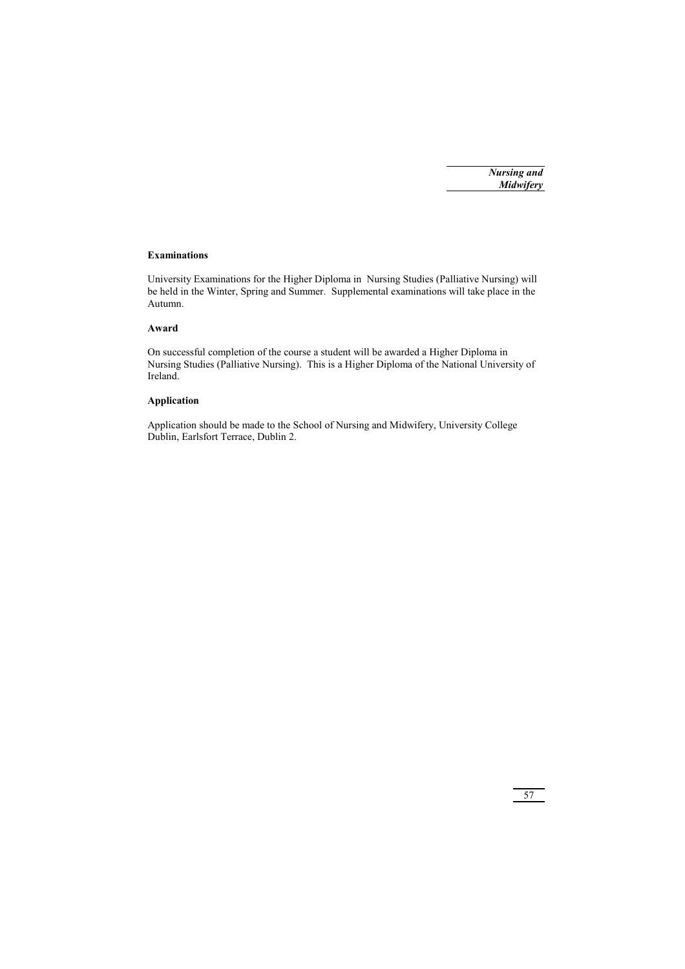#### **Examinations**

University Examinations for the Higher Diploma in Nursing Studies (Palliative Nursing) will be held in the Winter, Spring and Summer. Supplemental examinations will take place in the Autumn.

## **Award**

On successful completion of the course a student will be awarded a Higher Diploma in Nursing Studies (Palliative Nursing). This is a Higher Diploma of the National University of Ireland.

## **Application**

Application should be made to the School of Nursing and Midwifery, University College Dublin, Earlsfort Terrace, Dublin 2.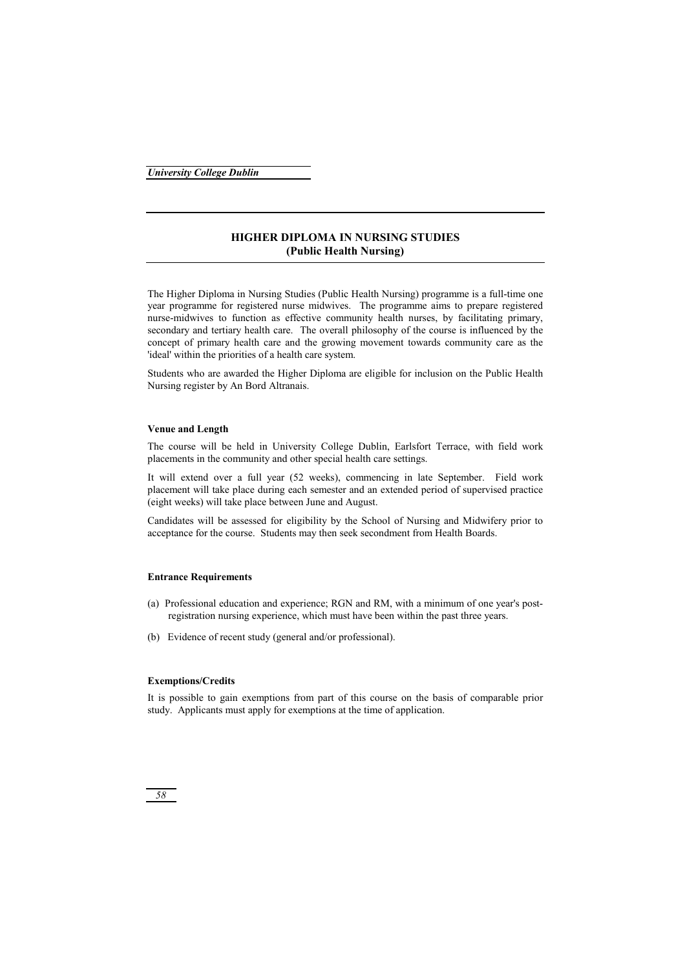## **HIGHER DIPLOMA IN NURSING STUDIES (Public Health Nursing)**

The Higher Diploma in Nursing Studies (Public Health Nursing) programme is a full-time one year programme for registered nurse midwives. The programme aims to prepare registered nurse-midwives to function as effective community health nurses, by facilitating primary, secondary and tertiary health care. The overall philosophy of the course is influenced by the concept of primary health care and the growing movement towards community care as the 'ideal' within the priorities of a health care system.

Students who are awarded the Higher Diploma are eligible for inclusion on the Public Health Nursing register by An Bord Altranais.

### **Venue and Length**

The course will be held in University College Dublin, Earlsfort Terrace, with field work placements in the community and other special health care settings.

It will extend over a full year (52 weeks), commencing in late September. Field work placement will take place during each semester and an extended period of supervised practice (eight weeks) will take place between June and August.

Candidates will be assessed for eligibility by the School of Nursing and Midwifery prior to acceptance for the course. Students may then seek secondment from Health Boards.

#### **Entrance Requirements**

- (a) Professional education and experience; RGN and RM, with a minimum of one year's postregistration nursing experience, which must have been within the past three years.
- (b) Evidence of recent study (general and/or professional).

### **Exemptions/Credits**

It is possible to gain exemptions from part of this course on the basis of comparable prior study. Applicants must apply for exemptions at the time of application.

## *58*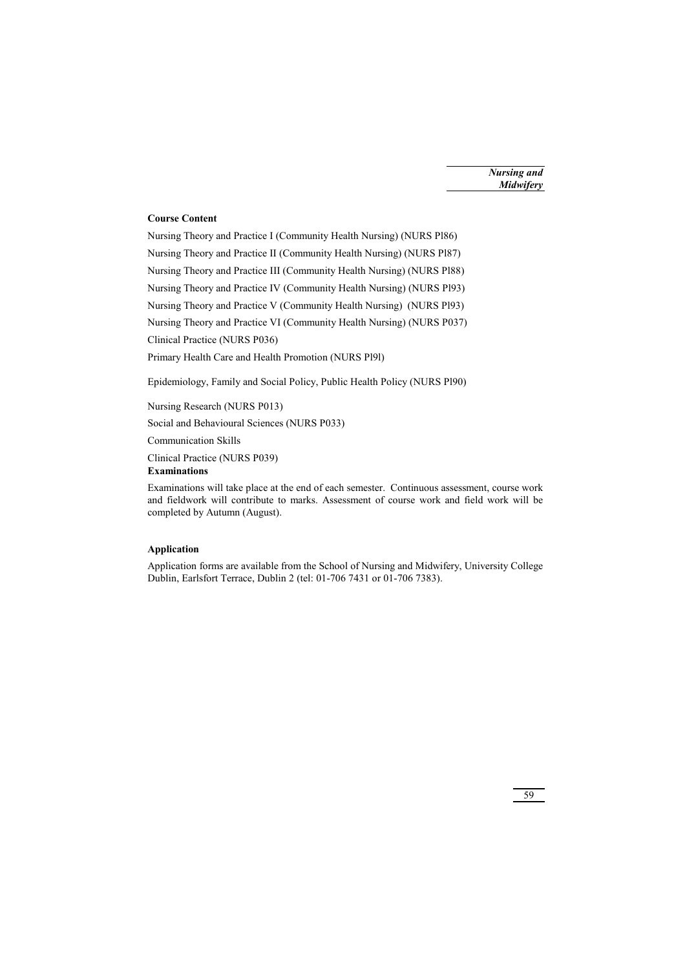# **Course Content**

Nursing Theory and Practice I (Community Health Nursing) (NURS Pl86) Nursing Theory and Practice II (Community Health Nursing) (NURS Pl87) Nursing Theory and Practice III (Community Health Nursing) (NURS Pl88) Nursing Theory and Practice IV (Community Health Nursing) (NURS Pl93) Nursing Theory and Practice V (Community Health Nursing) (NURS Pl93) Nursing Theory and Practice VI (Community Health Nursing) (NURS P037) Clinical Practice (NURS P036) Primary Health Care and Health Promotion (NURS Pl9l)

Epidemiology, Family and Social Policy, Public Health Policy (NURS Pl90)

Nursing Research (NURS P013)

Social and Behavioural Sciences (NURS P033)

Communication Skills

Clinical Practice (NURS P039)

## **Examinations**

Examinations will take place at the end of each semester. Continuous assessment, course work and fieldwork will contribute to marks. Assessment of course work and field work will be completed by Autumn (August).

## **Application**

Application forms are available from the School of Nursing and Midwifery, University College Dublin, Earlsfort Terrace, Dublin 2 (tel: 01-706 7431 or 01-706 7383).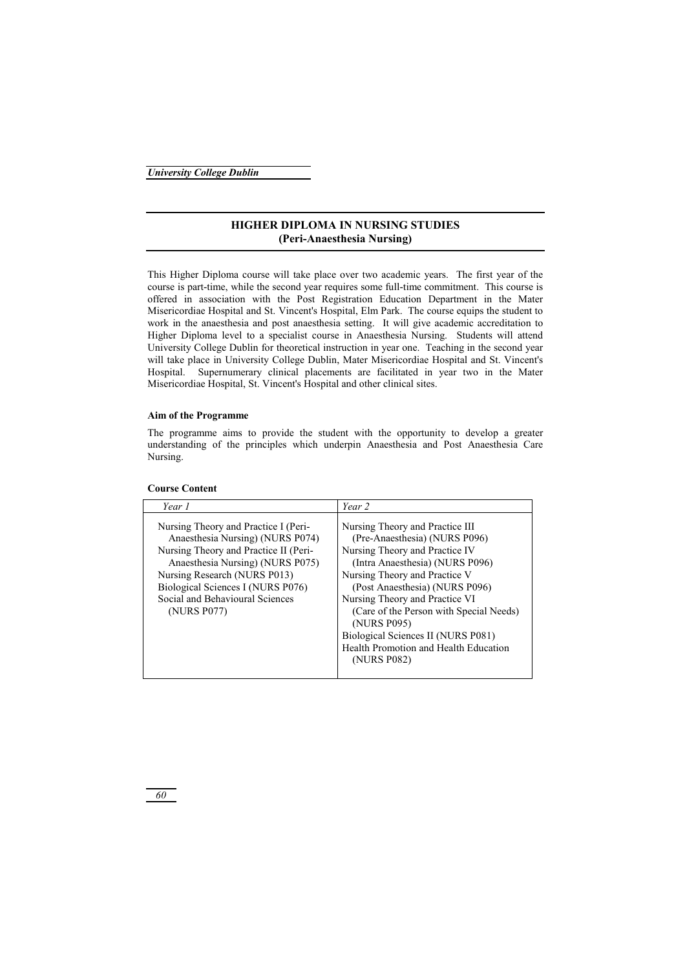## **HIGHER DIPLOMA IN NURSING STUDIES (Peri-Anaesthesia Nursing)**

This Higher Diploma course will take place over two academic years. The first year of the course is part-time, while the second year requires some full-time commitment. This course is offered in association with the Post Registration Education Department in the Mater Misericordiae Hospital and St. Vincent's Hospital, Elm Park. The course equips the student to work in the anaesthesia and post anaesthesia setting. It will give academic accreditation to Higher Diploma level to a specialist course in Anaesthesia Nursing. Students will attend University College Dublin for theoretical instruction in year one. Teaching in the second year will take place in University College Dublin, Mater Misericordiae Hospital and St. Vincent's Hospital. Supernumerary clinical placements are facilitated in year two in the Mater Misericordiae Hospital, St. Vincent's Hospital and other clinical sites.

#### **Aim of the Programme**

The programme aims to provide the student with the opportunity to develop a greater understanding of the principles which underpin Anaesthesia and Post Anaesthesia Care Nursing.

| Year 1                                                                                                                                                                                                                                                                       | Year 2                                                                                                                                                                                                                                                                                                                                                                                             |
|------------------------------------------------------------------------------------------------------------------------------------------------------------------------------------------------------------------------------------------------------------------------------|----------------------------------------------------------------------------------------------------------------------------------------------------------------------------------------------------------------------------------------------------------------------------------------------------------------------------------------------------------------------------------------------------|
| Nursing Theory and Practice I (Peri-<br>Anaesthesia Nursing) (NURS P074)<br>Nursing Theory and Practice II (Peri-<br>Anaesthesia Nursing) (NURS P075)<br>Nursing Research (NURS P013)<br>Biological Sciences I (NURS P076)<br>Social and Behavioural Sciences<br>(NURS P077) | Nursing Theory and Practice III<br>(Pre-Anaesthesia) (NURS P096)<br>Nursing Theory and Practice IV<br>(Intra Anaesthesia) (NURS P096)<br>Nursing Theory and Practice V<br>(Post Anaesthesia) (NURS P096)<br>Nursing Theory and Practice VI<br>(Care of the Person with Special Needs)<br>(NURS P095)<br>Biological Sciences II (NURS P081)<br>Health Promotion and Health Education<br>(NURS P082) |

## **Course Content**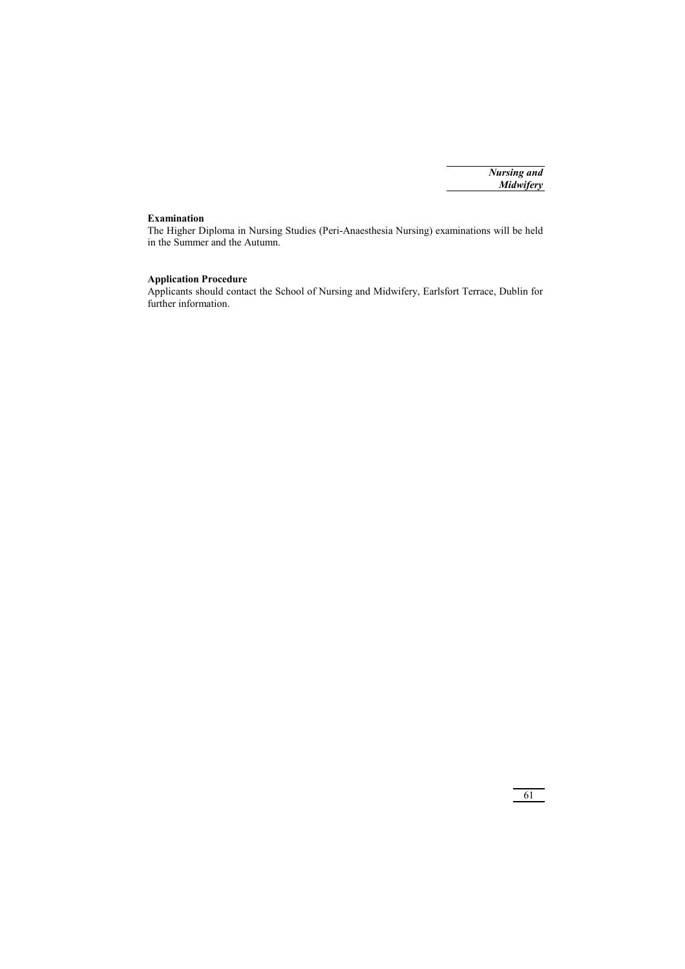## **Examination**

The Higher Diploma in Nursing Studies (Peri-Anaesthesia Nursing) examinations will be held in the Summer and the Autumn.

## **Application Procedure**

Applicants should contact the School of Nursing and Midwifery, Earlsfort Terrace, Dublin for further information.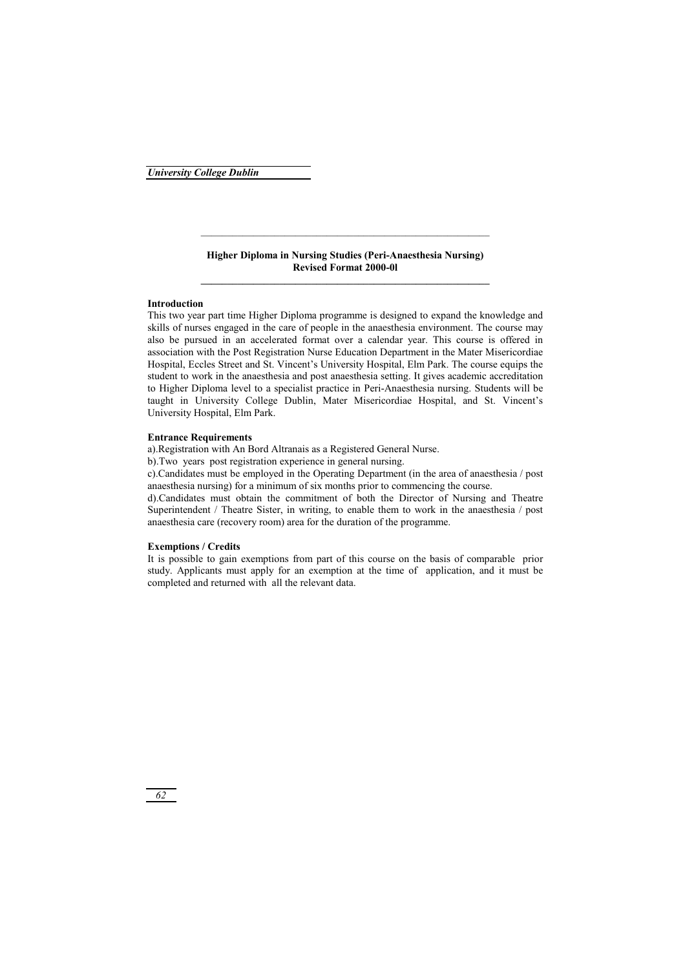### **Higher Diploma in Nursing Studies (Peri-Anaesthesia Nursing) Revised Format 2000-0l**

#### **Introduction**

This two year part time Higher Diploma programme is designed to expand the knowledge and skills of nurses engaged in the care of people in the anaesthesia environment. The course may also be pursued in an accelerated format over a calendar year. This course is offered in association with the Post Registration Nurse Education Department in the Mater Misericordiae Hospital, Eccles Street and St. Vincent's University Hospital, Elm Park. The course equips the student to work in the anaesthesia and post anaesthesia setting. It gives academic accreditation to Higher Diploma level to a specialist practice in Peri-Anaesthesia nursing. Students will be taught in University College Dublin, Mater Misericordiae Hospital, and St. Vincent's University Hospital, Elm Park.

#### **Entrance Requirements**

a).Registration with An Bord Altranais as a Registered General Nurse.

b).Two years post registration experience in general nursing.

c).Candidates must be employed in the Operating Department (in the area of anaesthesia / post anaesthesia nursing) for a minimum of six months prior to commencing the course.

d).Candidates must obtain the commitment of both the Director of Nursing and Theatre Superintendent / Theatre Sister, in writing, to enable them to work in the anaesthesia / post anaesthesia care (recovery room) area for the duration of the programme.

#### **Exemptions / Credits**

It is possible to gain exemptions from part of this course on the basis of comparable prior study. Applicants must apply for an exemption at the time of application, and it must be completed and returned with all the relevant data.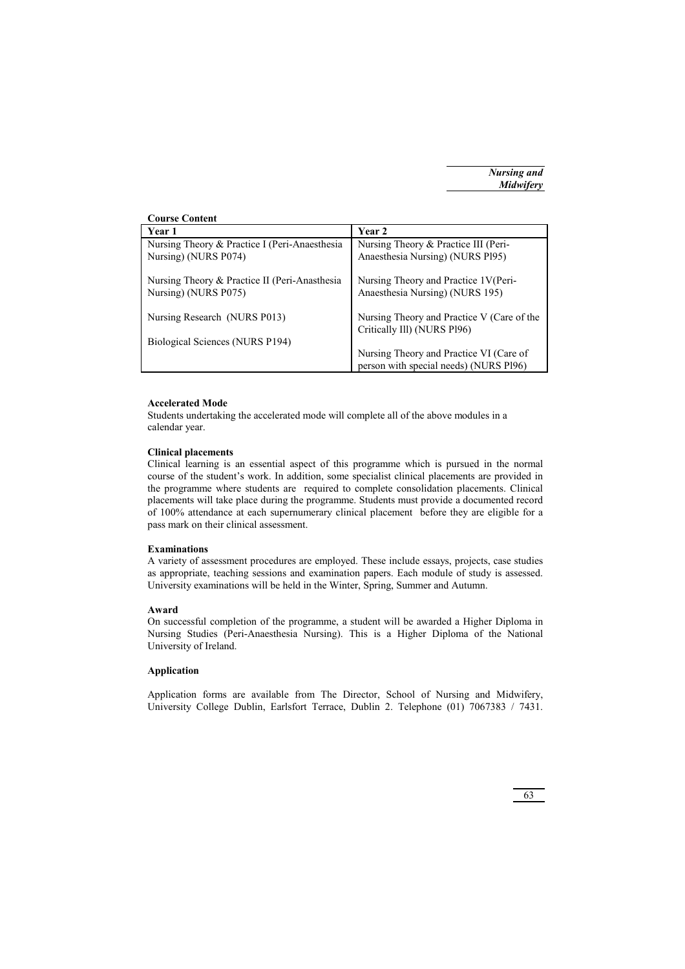| <b>Course Content</b>                         |                                            |
|-----------------------------------------------|--------------------------------------------|
| Year 1                                        | <b>Year 2</b>                              |
| Nursing Theory & Practice I (Peri-Anaesthesia | Nursing Theory & Practice III (Peri-       |
| Nursing) (NURS P074)                          | Anaesthesia Nursing) (NURS P195)           |
|                                               |                                            |
| Nursing Theory & Practice II (Peri-Anasthesia | Nursing Theory and Practice 1V(Peri-       |
| Nursing) (NURS P075)                          | Anaesthesia Nursing) (NURS 195)            |
|                                               |                                            |
| Nursing Research (NURS P013)                  | Nursing Theory and Practice V (Care of the |
|                                               | Critically Ill) (NURS Pl96)                |
| Biological Sciences (NURS P194)               |                                            |
|                                               | Nursing Theory and Practice VI (Care of    |
|                                               | person with special needs) (NURS Pl96)     |

#### **Accelerated Mode**

Students undertaking the accelerated mode will complete all of the above modules in a calendar year.

### **Clinical placements**

Clinical learning is an essential aspect of this programme which is pursued in the normal course of the student's work. In addition, some specialist clinical placements are provided in the programme where students are required to complete consolidation placements. Clinical placements will take place during the programme. Students must provide a documented record of 100% attendance at each supernumerary clinical placement before they are eligible for a pass mark on their clinical assessment.

### **Examinations**

A variety of assessment procedures are employed. These include essays, projects, case studies as appropriate, teaching sessions and examination papers. Each module of study is assessed. University examinations will be held in the Winter, Spring, Summer and Autumn.

### **Award**

On successful completion of the programme, a student will be awarded a Higher Diploma in Nursing Studies (Peri-Anaesthesia Nursing). This is a Higher Diploma of the National University of Ireland.

## **Application**

Application forms are available from The Director, School of Nursing and Midwifery, University College Dublin, Earlsfort Terrace, Dublin 2. Telephone (01) 7067383 / 7431.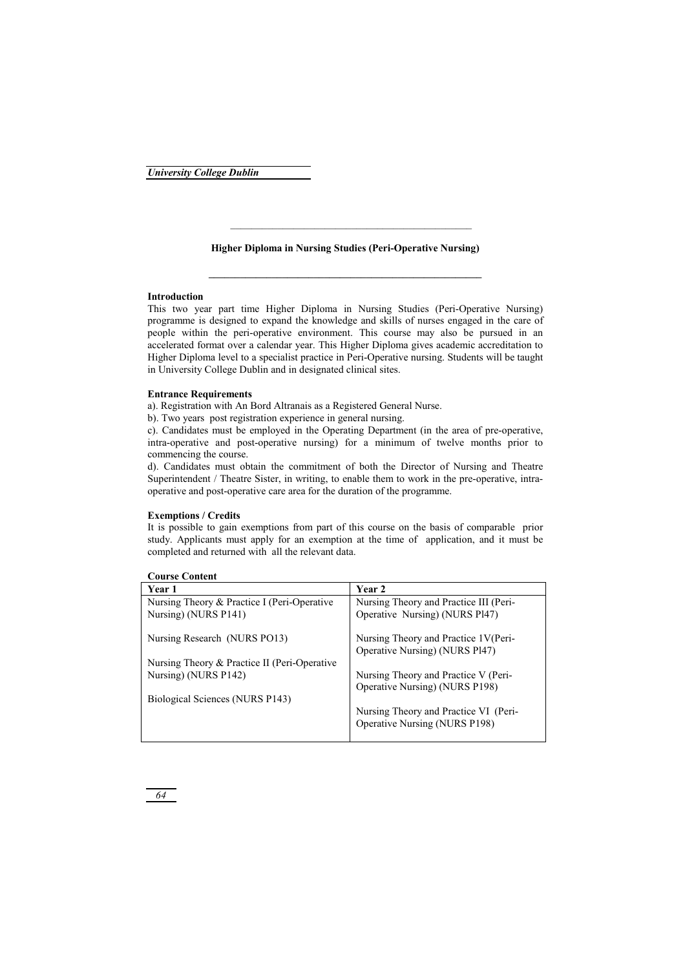### **Higher Diploma in Nursing Studies (Peri-Operative Nursing)**

### **Introduction**

This two year part time Higher Diploma in Nursing Studies (Peri-Operative Nursing) programme is designed to expand the knowledge and skills of nurses engaged in the care of people within the peri-operative environment. This course may also be pursued in an accelerated format over a calendar year. This Higher Diploma gives academic accreditation to Higher Diploma level to a specialist practice in Peri-Operative nursing. Students will be taught in University College Dublin and in designated clinical sites.

#### **Entrance Requirements**

a). Registration with An Bord Altranais as a Registered General Nurse.

b). Two years post registration experience in general nursing.

c). Candidates must be employed in the Operating Department (in the area of pre-operative, intra-operative and post-operative nursing) for a minimum of twelve months prior to commencing the course.

d). Candidates must obtain the commitment of both the Director of Nursing and Theatre Superintendent / Theatre Sister, in writing, to enable them to work in the pre-operative, intraoperative and post-operative care area for the duration of the programme.

### **Exemptions / Credits**

It is possible to gain exemptions from part of this course on the basis of comparable prior study. Applicants must apply for an exemption at the time of application, and it must be completed and returned with all the relevant data.

|  | <b>Course Content</b> |
|--|-----------------------|
|--|-----------------------|

| Year 1                                       | Year 2                                 |
|----------------------------------------------|----------------------------------------|
| Nursing Theory & Practice I (Peri-Operative  | Nursing Theory and Practice III (Peri- |
| Nursing) (NURS P141)                         | Operative Nursing) (NURS Pl47)         |
| Nursing Research (NURS PO13)                 | Nursing Theory and Practice 1V(Peri-   |
|                                              | Operative Nursing) (NURS Pl47)         |
| Nursing Theory & Practice II (Peri-Operative |                                        |
| Nursing) (NURS P142)                         | Nursing Theory and Practice V (Peri-   |
|                                              | Operative Nursing) (NURS P198)         |
| Biological Sciences (NURS P143)              |                                        |
|                                              | Nursing Theory and Practice VI (Peri-  |
|                                              | Operative Nursing (NURS P198)          |
|                                              |                                        |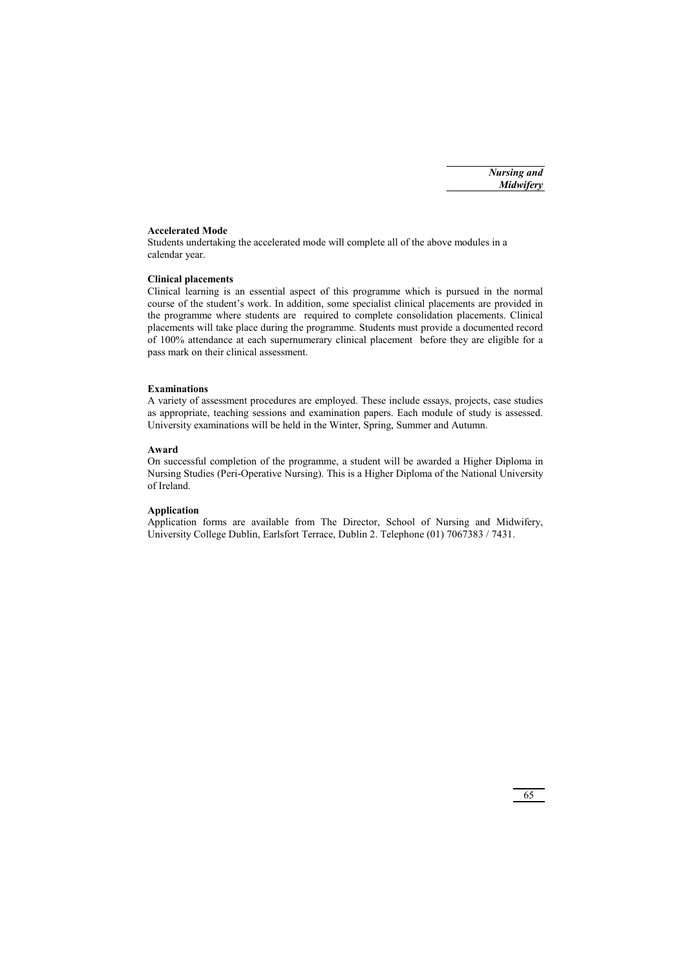## **Accelerated Mode**

Students undertaking the accelerated mode will complete all of the above modules in a calendar year.

### **Clinical placements**

Clinical learning is an essential aspect of this programme which is pursued in the normal course of the student's work. In addition, some specialist clinical placements are provided in the programme where students are required to complete consolidation placements. Clinical placements will take place during the programme. Students must provide a documented record of 100% attendance at each supernumerary clinical placement before they are eligible for a pass mark on their clinical assessment.

### **Examinations**

A variety of assessment procedures are employed. These include essays, projects, case studies as appropriate, teaching sessions and examination papers. Each module of study is assessed. University examinations will be held in the Winter, Spring, Summer and Autumn.

### **Award**

On successful completion of the programme, a student will be awarded a Higher Diploma in Nursing Studies (Peri-Operative Nursing). This is a Higher Diploma of the National University of Ireland.

## **Application**

Application forms are available from The Director, School of Nursing and Midwifery, University College Dublin, Earlsfort Terrace, Dublin 2. Telephone (01) 7067383 / 7431.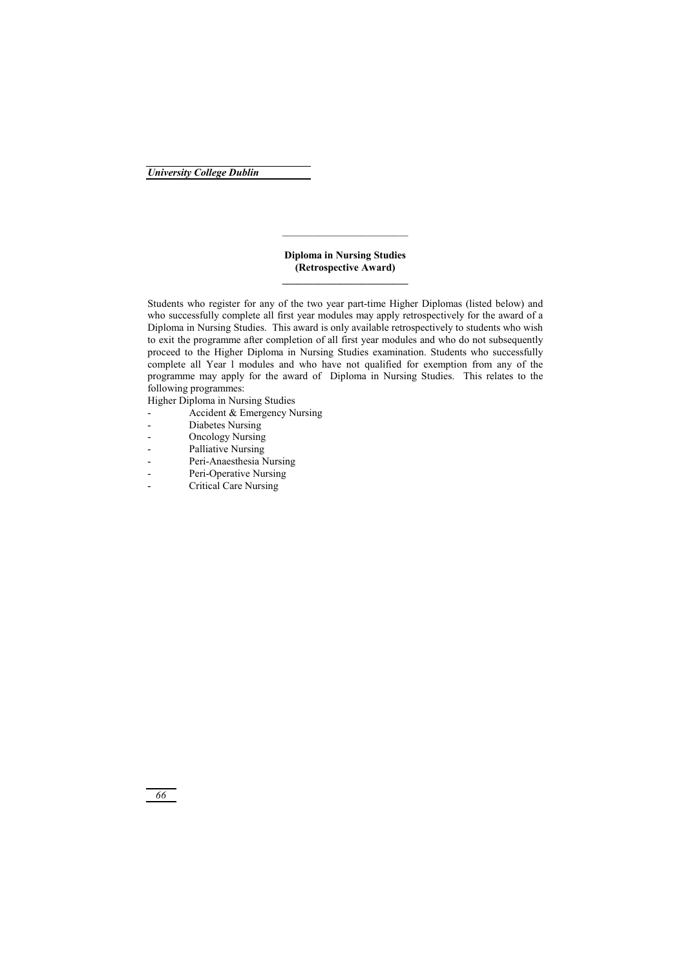## **Diploma in Nursing Studies (Retrospective Award)**

Students who register for any of the two year part-time Higher Diplomas (listed below) and who successfully complete all first year modules may apply retrospectively for the award of a Diploma in Nursing Studies. This award is only available retrospectively to students who wish to exit the programme after completion of all first year modules and who do not subsequently proceed to the Higher Diploma in Nursing Studies examination. Students who successfully complete all Year l modules and who have not qualified for exemption from any of the programme may apply for the award of Diploma in Nursing Studies. This relates to the following programmes:

Higher Diploma in Nursing Studies

- Accident & Emergency Nursing
- Diabetes Nursing
- Oncology Nursing
- Palliative Nursing
- Peri-Anaesthesia Nursing
- Peri-Operative Nursing
- Critical Care Nursing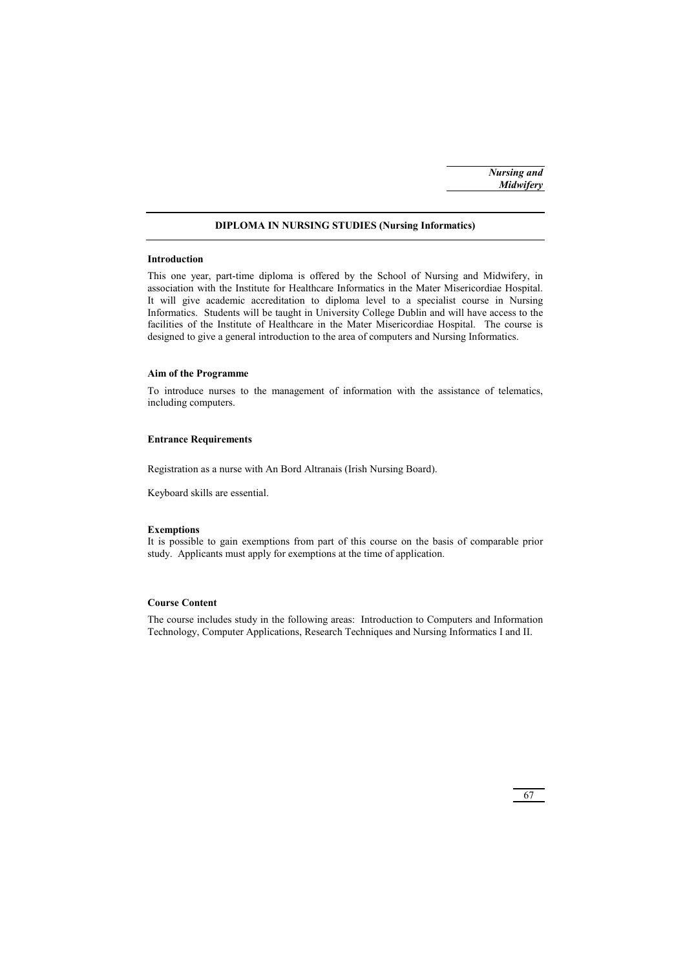## **DIPLOMA IN NURSING STUDIES (Nursing Informatics)**

#### **Introduction**

This one year, part-time diploma is offered by the School of Nursing and Midwifery, in association with the Institute for Healthcare Informatics in the Mater Misericordiae Hospital. It will give academic accreditation to diploma level to a specialist course in Nursing Informatics. Students will be taught in University College Dublin and will have access to the facilities of the Institute of Healthcare in the Mater Misericordiae Hospital. The course is designed to give a general introduction to the area of computers and Nursing Informatics.

### **Aim of the Programme**

To introduce nurses to the management of information with the assistance of telematics, including computers.

## **Entrance Requirements**

Registration as a nurse with An Bord Altranais (Irish Nursing Board).

Keyboard skills are essential.

#### **Exemptions**

It is possible to gain exemptions from part of this course on the basis of comparable prior study. Applicants must apply for exemptions at the time of application.

## **Course Content**

The course includes study in the following areas: Introduction to Computers and Information Technology, Computer Applications, Research Techniques and Nursing Informatics I and II.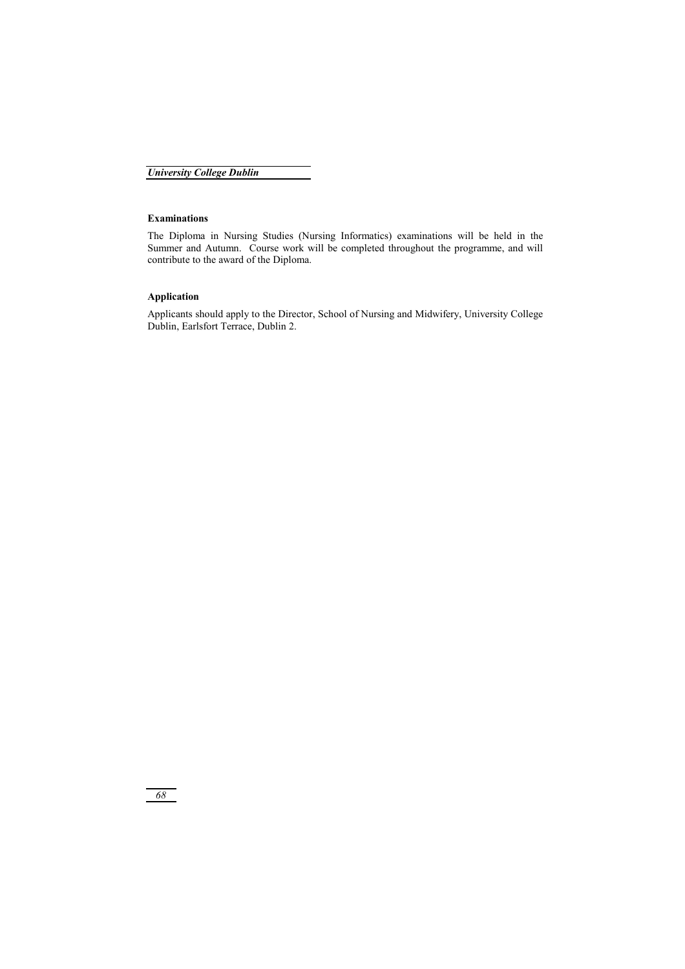## **Examinations**

The Diploma in Nursing Studies (Nursing Informatics) examinations will be held in the Summer and Autumn. Course work will be completed throughout the programme, and will contribute to the award of the Diploma.

# **Application**

Applicants should apply to the Director, School of Nursing and Midwifery, University College Dublin, Earlsfort Terrace, Dublin 2.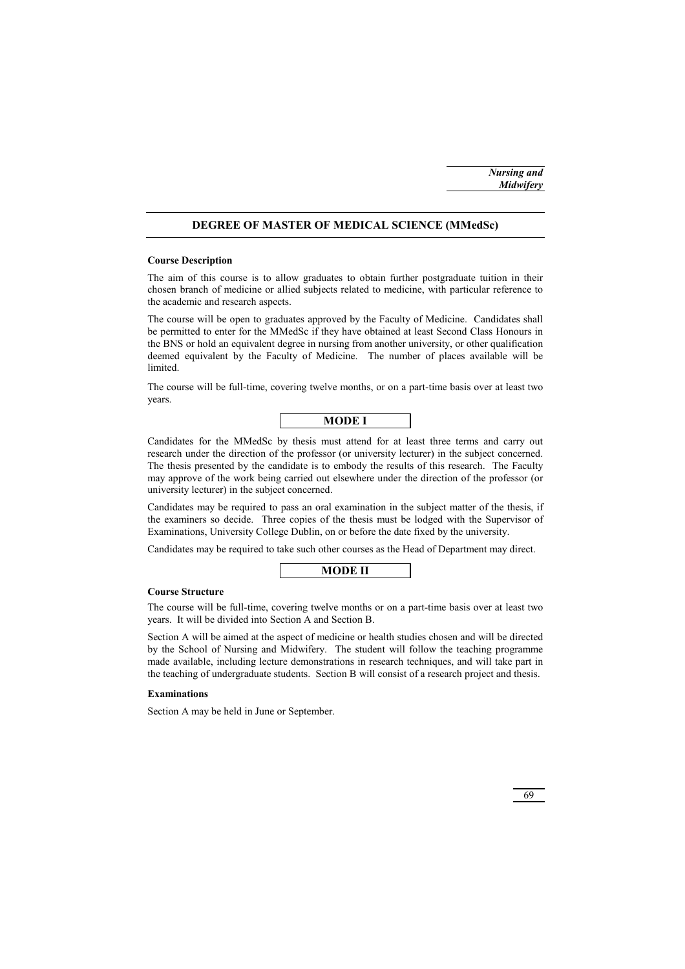### **DEGREE OF MASTER OF MEDICAL SCIENCE (MMedSc)**

#### **Course Description**

The aim of this course is to allow graduates to obtain further postgraduate tuition in their chosen branch of medicine or allied subjects related to medicine, with particular reference to the academic and research aspects.

The course will be open to graduates approved by the Faculty of Medicine. Candidates shall be permitted to enter for the MMedSc if they have obtained at least Second Class Honours in the BNS or hold an equivalent degree in nursing from another university, or other qualification deemed equivalent by the Faculty of Medicine. The number of places available will be limited.

The course will be full-time, covering twelve months, or on a part-time basis over at least two years.



Candidates for the MMedSc by thesis must attend for at least three terms and carry out research under the direction of the professor (or university lecturer) in the subject concerned. The thesis presented by the candidate is to embody the results of this research. The Faculty may approve of the work being carried out elsewhere under the direction of the professor (or university lecturer) in the subject concerned.

Candidates may be required to pass an oral examination in the subject matter of the thesis, if the examiners so decide. Three copies of the thesis must be lodged with the Supervisor of Examinations, University College Dublin, on or before the date fixed by the university.

Candidates may be required to take such other courses as the Head of Department may direct.

| п.<br>٠ |
|---------|
|         |

### **Course Structure**

The course will be full-time, covering twelve months or on a part-time basis over at least two years. It will be divided into Section A and Section B.

Section A will be aimed at the aspect of medicine or health studies chosen and will be directed by the School of Nursing and Midwifery. The student will follow the teaching programme made available, including lecture demonstrations in research techniques, and will take part in the teaching of undergraduate students. Section B will consist of a research project and thesis.

#### **Examinations**

Section A may be held in June or September.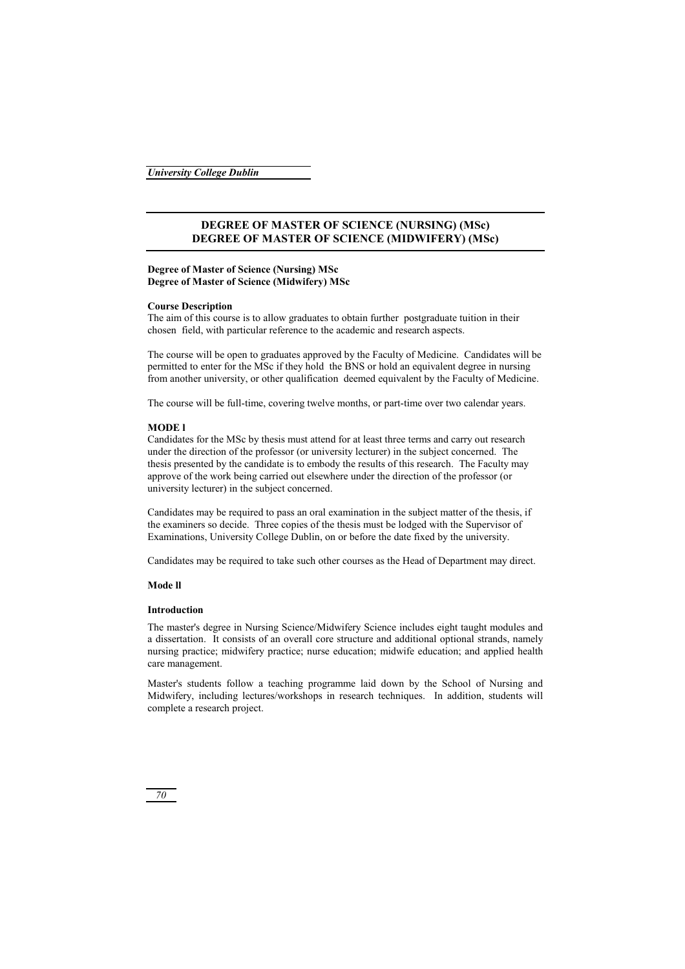## **DEGREE OF MASTER OF SCIENCE (NURSING) (MSc) DEGREE OF MASTER OF SCIENCE (MIDWIFERY) (MSc)**

## **Degree of Master of Science (Nursing) MSc Degree of Master of Science (Midwifery) MSc**

#### **Course Description**

The aim of this course is to allow graduates to obtain further postgraduate tuition in their chosen field, with particular reference to the academic and research aspects.

The course will be open to graduates approved by the Faculty of Medicine. Candidates will be permitted to enter for the MSc if they hold the BNS or hold an equivalent degree in nursing from another university, or other qualification deemed equivalent by the Faculty of Medicine.

The course will be full-time, covering twelve months, or part-time over two calendar years.

### **MODE l**

Candidates for the MSc by thesis must attend for at least three terms and carry out research under the direction of the professor (or university lecturer) in the subject concerned. The thesis presented by the candidate is to embody the results of this research. The Faculty may approve of the work being carried out elsewhere under the direction of the professor (or university lecturer) in the subject concerned.

Candidates may be required to pass an oral examination in the subject matter of the thesis, if the examiners so decide. Three copies of the thesis must be lodged with the Supervisor of Examinations, University College Dublin, on or before the date fixed by the university.

Candidates may be required to take such other courses as the Head of Department may direct.

#### **Mode ll**

### **Introduction**

The master's degree in Nursing Science/Midwifery Science includes eight taught modules and a dissertation. It consists of an overall core structure and additional optional strands, namely nursing practice; midwifery practice; nurse education; midwife education; and applied health care management.

Master's students follow a teaching programme laid down by the School of Nursing and Midwifery, including lectures/workshops in research techniques. In addition, students will complete a research project.

*70*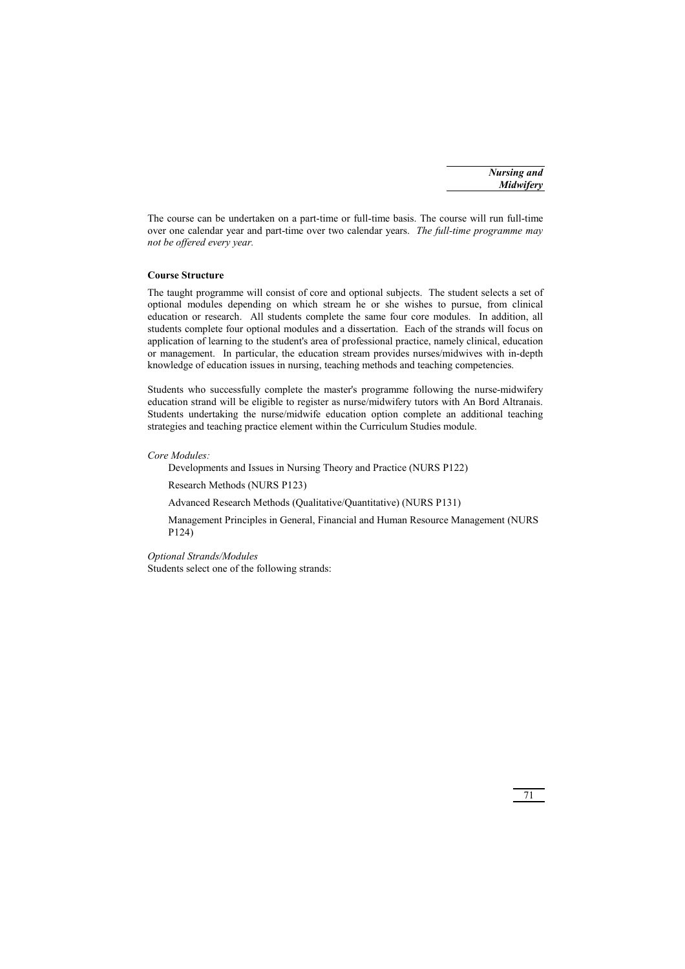The course can be undertaken on a part-time or full-time basis. The course will run full-time over one calendar year and part-time over two calendar years. *The full-time programme may not be offered every year.*

## **Course Structure**

The taught programme will consist of core and optional subjects. The student selects a set of optional modules depending on which stream he or she wishes to pursue, from clinical education or research. All students complete the same four core modules. In addition, all students complete four optional modules and a dissertation. Each of the strands will focus on application of learning to the student's area of professional practice, namely clinical, education or management. In particular, the education stream provides nurses/midwives with in-depth knowledge of education issues in nursing, teaching methods and teaching competencies.

Students who successfully complete the master's programme following the nurse-midwifery education strand will be eligible to register as nurse/midwifery tutors with An Bord Altranais. Students undertaking the nurse/midwife education option complete an additional teaching strategies and teaching practice element within the Curriculum Studies module.

#### *Core Modules:*

Developments and Issues in Nursing Theory and Practice (NURS P122)

Research Methods (NURS P123)

Advanced Research Methods (Qualitative/Quantitative) (NURS P131)

 Management Principles in General, Financial and Human Resource Management (NURS P124)

*Optional Strands/Modules*  Students select one of the following strands: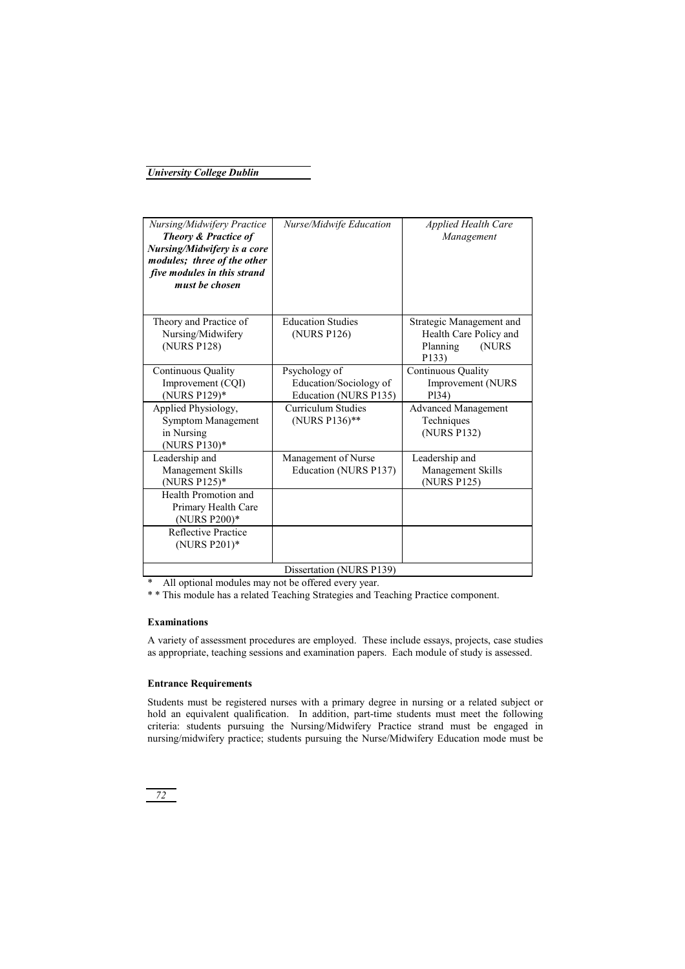| Nursing/Midwifery Practice<br><b>Theory &amp; Practice of</b><br>Nursing/Midwifery is a core<br>modules; three of the other<br>five modules in this strand<br>must be chosen | Nurse/Midwife Education  | <b>Applied Health Care</b><br>Management |
|------------------------------------------------------------------------------------------------------------------------------------------------------------------------------|--------------------------|------------------------------------------|
| Theory and Practice of                                                                                                                                                       | <b>Education Studies</b> | Strategic Management and                 |
| Nursing/Midwifery                                                                                                                                                            | (NURS P126)              | Health Care Policy and                   |
| (NURS P128)                                                                                                                                                                  |                          | Planning<br>(NURS                        |
|                                                                                                                                                                              |                          | P133)                                    |
| Continuous Quality                                                                                                                                                           | Psychology of            | Continuous Quality                       |
| Improvement (CQI)                                                                                                                                                            | Education/Sociology of   | Improvement (NURS                        |
| (NURS P129)*                                                                                                                                                                 | Education (NURS P135)    | P <sub>134</sub> )                       |
| Applied Physiology,                                                                                                                                                          | Curriculum Studies       | <b>Advanced Management</b>               |
| Symptom Management                                                                                                                                                           | (NURS P136)**            | Techniques                               |
| in Nursing                                                                                                                                                                   |                          | (NURS P132)                              |
| (NURS P130)*                                                                                                                                                                 |                          |                                          |
| Leadership and                                                                                                                                                               | Management of Nurse      | Leadership and                           |
| Management Skills                                                                                                                                                            | Education (NURS P137)    | Management Skills                        |
| (NURS P125)*                                                                                                                                                                 |                          | (NURS P125)                              |
| Health Promotion and                                                                                                                                                         |                          |                                          |
| Primary Health Care                                                                                                                                                          |                          |                                          |
| (NURS P200)*                                                                                                                                                                 |                          |                                          |
| Reflective Practice                                                                                                                                                          |                          |                                          |
| (NURS P201)*                                                                                                                                                                 |                          |                                          |
|                                                                                                                                                                              |                          |                                          |
| Dissertation (NURS P139)                                                                                                                                                     |                          |                                          |

\* All optional modules may not be offered every year.

\* \* This module has a related Teaching Strategies and Teaching Practice component.

## **Examinations**

A variety of assessment procedures are employed. These include essays, projects, case studies as appropriate, teaching sessions and examination papers. Each module of study is assessed.

### **Entrance Requirements**

Students must be registered nurses with a primary degree in nursing or a related subject or hold an equivalent qualification. In addition, part-time students must meet the following criteria: students pursuing the Nursing/Midwifery Practice strand must be engaged in nursing/midwifery practice; students pursuing the Nurse/Midwifery Education mode must be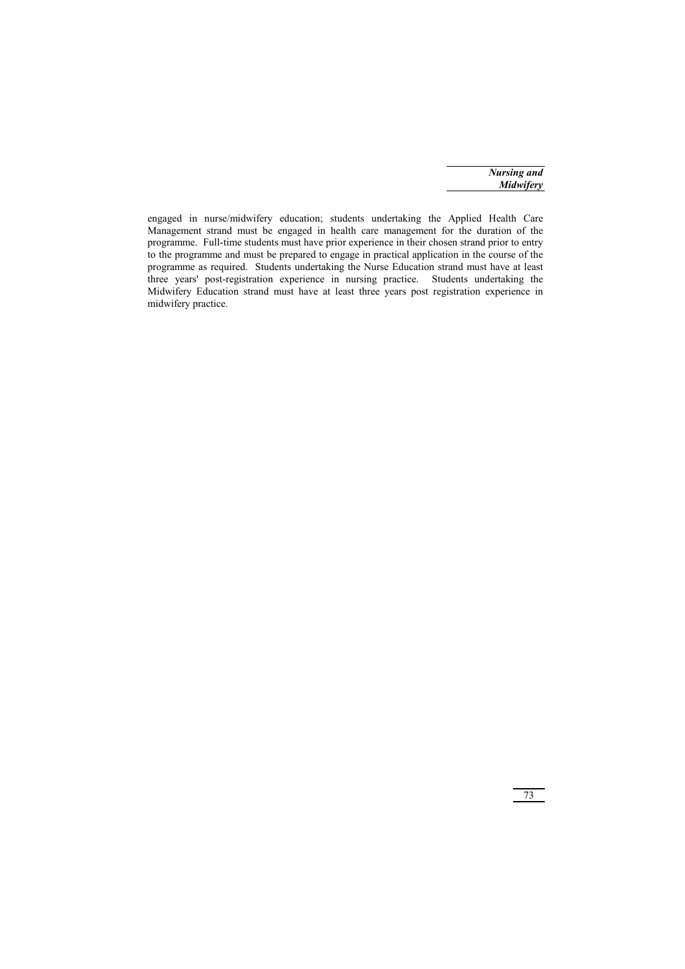*Nursing and Midwifery*

engaged in nurse/midwifery education; students undertaking the Applied Health Care Management strand must be engaged in health care management for the duration of the programme. Full-time students must have prior experience in their chosen strand prior to entry to the programme and must be prepared to engage in practical application in the course of the programme as required. Students undertaking the Nurse Education strand must have at least three years' post-registration experience in nursing practice. Students undertaking the Midwifery Education strand must have at least three years post registration experience in midwifery practice.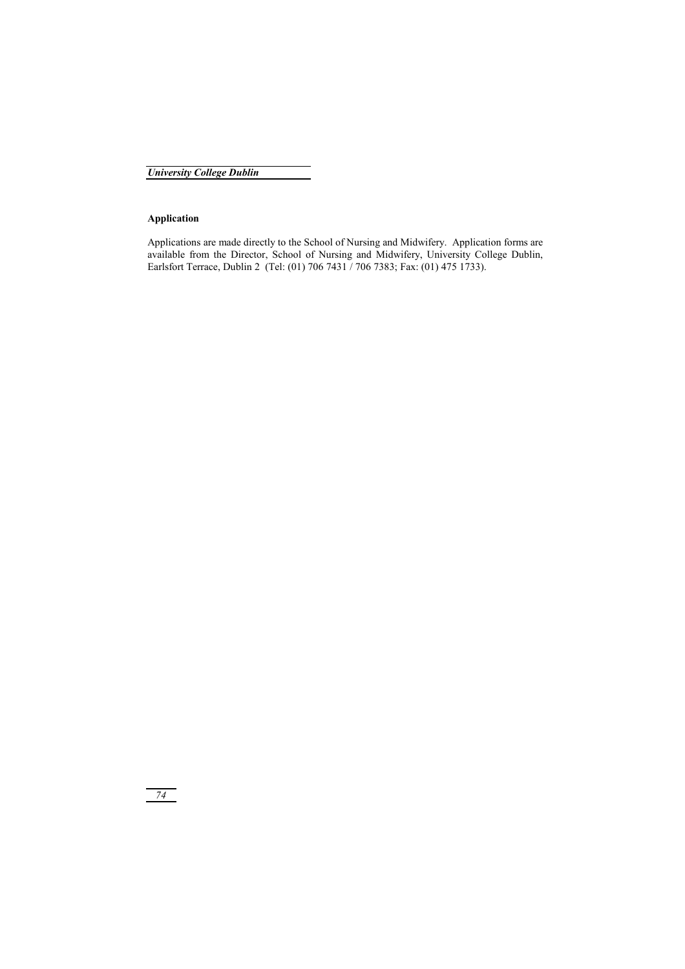*University College Dublin*

## **Application**

Applications are made directly to the School of Nursing and Midwifery. Application forms are available from the Director, School of Nursing and Midwifery, University College Dublin, Earlsfort Terrace, Dublin 2 (Tel: (01) 706 7431 / 706 7383; Fax: (01) 475 1733).